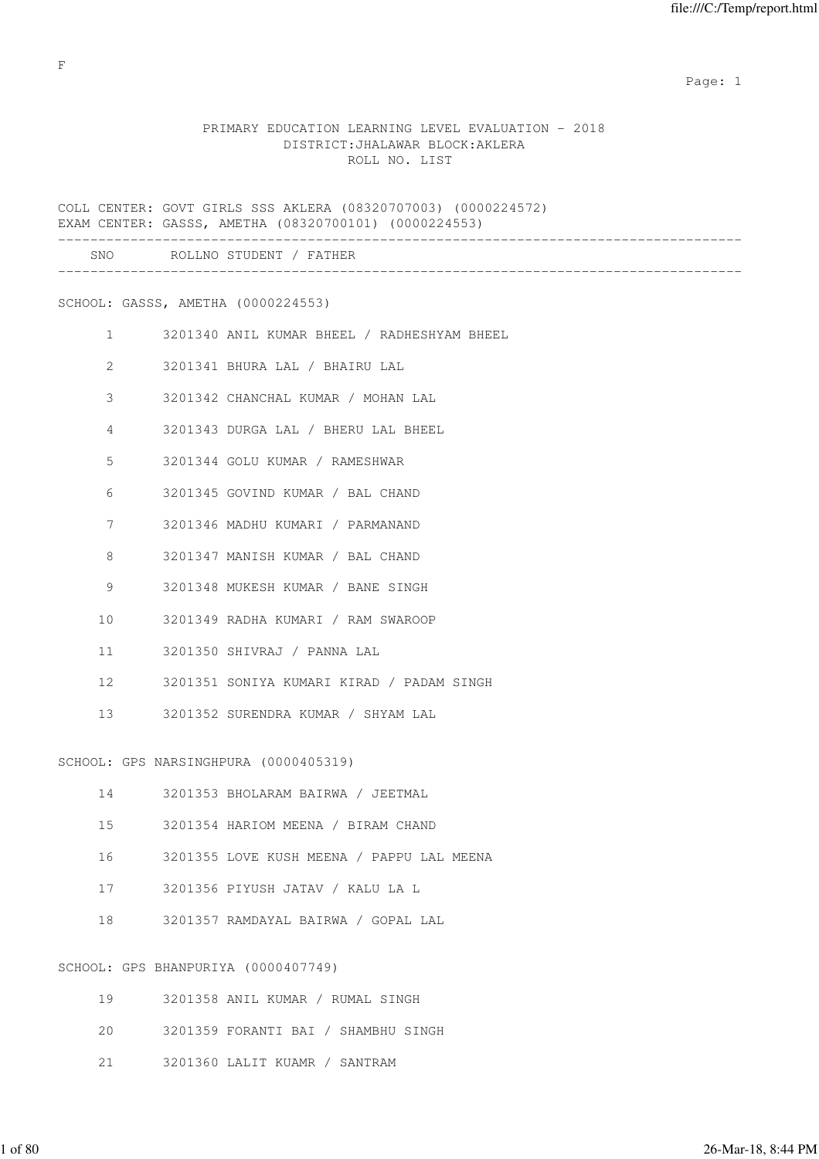### PRIMARY EDUCATION LEARNING LEVEL EVALUATION - 2018 DISTRICT:JHALAWAR BLOCK:AKLERA ROLL NO. LIST

COLL CENTER: GOVT GIRLS SSS AKLERA (08320707003) (0000224572) EXAM CENTER: GASSS, AMETHA (08320700101) (0000224553) ------------------------------------------------------------------------------------- SNO ROLLNO STUDENT / FATHER ------------------------------------------------------------------------------------- SCHOOL: GASSS, AMETHA (0000224553) 1 3201340 ANIL KUMAR BHEEL / RADHESHYAM BHEEL 2 3201341 BHURA LAL / BHAIRU LAL 3 3201342 CHANCHAL KUMAR / MOHAN LAL 4 3201343 DURGA LAL / BHERU LAL BHEEL 5 3201344 GOLU KUMAR / RAMESHWAR 6 3201345 GOVIND KUMAR / BAL CHAND 7 3201346 MADHU KUMARI / PARMANAND 8 3201347 MANISH KUMAR / BAL CHAND 9 3201348 MUKESH KUMAR / BANE SINGH 10 3201349 RADHA KUMARI / RAM SWAROOP 11 3201350 SHIVRAJ / PANNA LAL 12 3201351 SONIYA KUMARI KIRAD / PADAM SINGH 13 3201352 SURENDRA KUMAR / SHYAM LAL SCHOOL: GPS NARSINGHPURA (0000405319) 14 3201353 BHOLARAM BAIRWA / JEETMAL 15 3201354 HARIOM MEENA / BIRAM CHAND 16 3201355 LOVE KUSH MEENA / PAPPU LAL MEENA 17 3201356 PIYUSH JATAV / KALU LA L 18 3201357 RAMDAYAL BAIRWA / GOPAL LAL SCHOOL: GPS BHANPURIYA (0000407749)

| 19 | 3201358 ANIL KUMAR / RUMAL SINGH |                                     |
|----|----------------------------------|-------------------------------------|
| 20 |                                  | 3201359 FORANTI BAI / SHAMBHU SINGH |
| 21 | 3201360 LALIT KUAMR / SANTRAM    |                                     |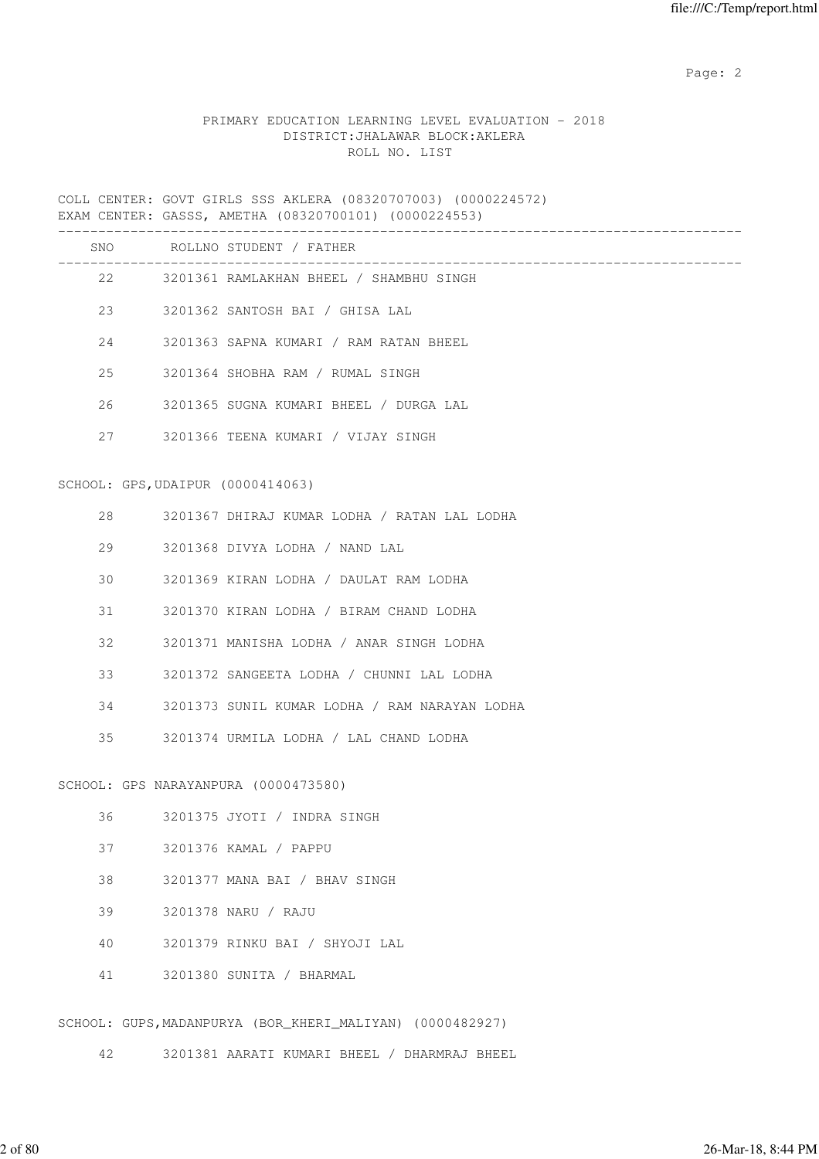## PRIMARY EDUCATION LEARNING LEVEL EVALUATION - 2018 DISTRICT:JHALAWAR BLOCK:AKLERA ROLL NO. LIST

COLL CENTER: GOVT GIRLS SSS AKLERA (08320707003) (0000224572) EXAM CENTER: GASSS, AMETHA (08320700101) (0000224553)

|    |                                   | SNO ROLLNO STUDENT / FATHER                               |
|----|-----------------------------------|-----------------------------------------------------------|
|    | 22 and $\sim$                     | 3201361 RAMLAKHAN BHEEL / SHAMBHU SINGH                   |
|    | 23 and $\sim$                     | 3201362 SANTOSH BAI / GHISA LAL                           |
|    | 24                                | 3201363 SAPNA KUMARI / RAM RATAN BHEEL                    |
| 25 |                                   | 3201364 SHOBHA RAM / RUMAL SINGH                          |
| 26 |                                   | 3201365 SUGNA KUMARI BHEEL / DURGA LAL                    |
|    | 27                                | 3201366 TEENA KUMARI / VIJAY SINGH                        |
|    | SCHOOL: GPS, UDAIPUR (0000414063) |                                                           |
|    |                                   |                                                           |
| 28 |                                   | 3201367 DHIRAJ KUMAR LODHA / RATAN LAL LODHA              |
| 29 |                                   | 3201368 DIVYA LODHA / NAND LAL                            |
| 30 |                                   | 3201369 KIRAN LODHA / DAULAT RAM LODHA                    |
| 31 |                                   | 3201370 KIRAN LODHA / BIRAM CHAND LODHA                   |
| 32 |                                   | 3201371 MANISHA LODHA / ANAR SINGH LODHA                  |
| 33 |                                   | 3201372 SANGEETA LODHA / CHUNNI LAL LODHA                 |
| 34 |                                   | 3201373 SUNIL KUMAR LODHA / RAM NARAYAN LODHA             |
| 35 |                                   | 3201374 URMILA LODHA / LAL CHAND LODHA                    |
|    |                                   | SCHOOL: GPS NARAYANPURA (0000473580)                      |
|    |                                   |                                                           |
| 36 |                                   | 3201375 JYOTI / INDRA SINGH                               |
| 37 |                                   | 3201376 KAMAL / PAPPU                                     |
| 38 |                                   | 3201377 MANA BAI / BHAV SINGH                             |
| 39 |                                   | 3201378 NARU / RAJU                                       |
| 40 |                                   | 3201379 RINKU BAI / SHYOJI LAL                            |
| 41 |                                   | 3201380 SUNITA / BHARMAL                                  |
|    |                                   | SCHOOL: GUPS, MADANPURYA (BOR_KHERI_MALIYAN) (0000482927) |
|    |                                   |                                                           |
| 42 |                                   | 3201381 AARATI KUMARI BHEEL / DHARMRAJ BHEEL              |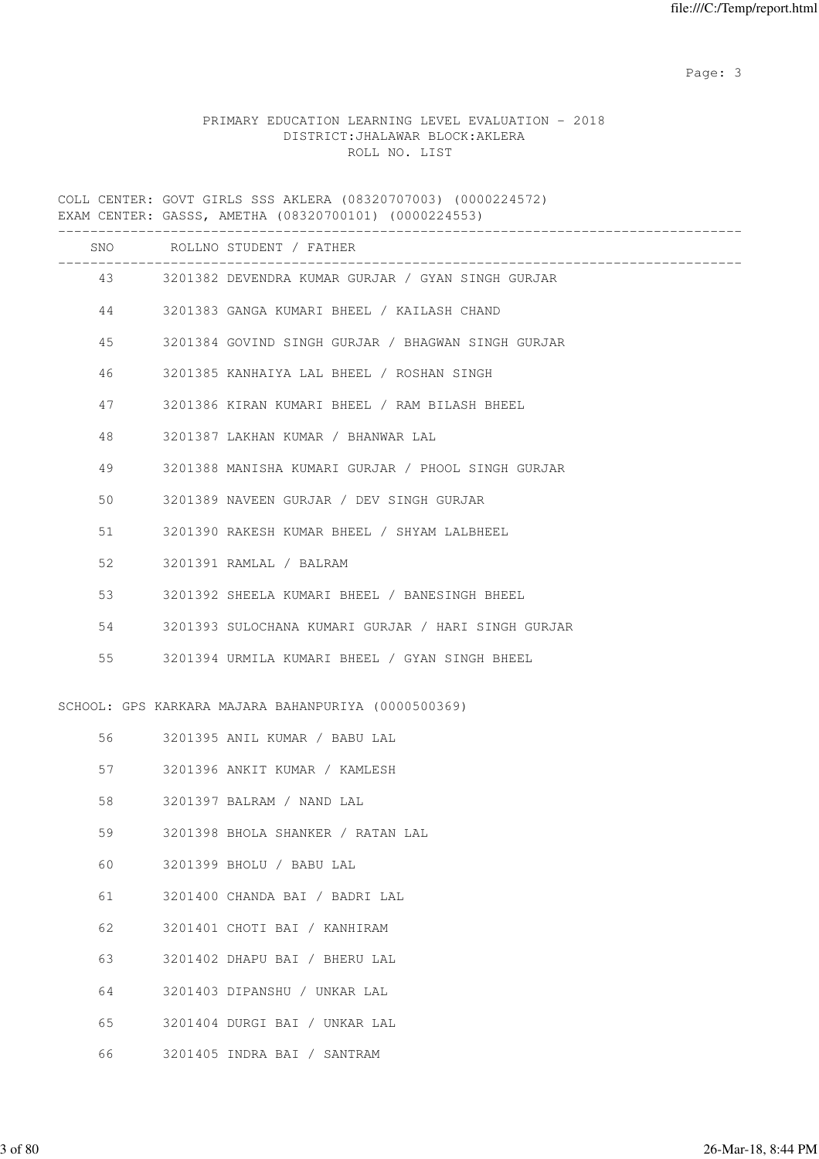## PRIMARY EDUCATION LEARNING LEVEL EVALUATION - 2018 DISTRICT:JHALAWAR BLOCK:AKLERA ROLL NO. LIST

COLL CENTER: GOVT GIRLS SSS AKLERA (08320707003) (0000224572) EXAM CENTER: GASSS, AMETHA (08320700101) (0000224553)

|    |         | SNO ROLLNO STUDENT / FATHER                          |
|----|---------|------------------------------------------------------|
|    |         | 43 3201382 DEVENDRA KUMAR GURJAR / GYAN SINGH GURJAR |
|    |         | 44 3201383 GANGA KUMARI BHEEL / KAILASH CHAND        |
|    | 45 — 10 | 3201384 GOVIND SINGH GURJAR / BHAGWAN SINGH GURJAR   |
| 46 |         | 3201385 KANHAIYA LAL BHEEL / ROSHAN SINGH            |
|    | 47      | 3201386 KIRAN KUMARI BHEEL / RAM BILASH BHEEL        |
| 48 |         | 3201387 LAKHAN KUMAR / BHANWAR LAL                   |
| 49 |         | 3201388 MANISHA KUMARI GURJAR / PHOOL SINGH GURJAR   |
| 50 |         | 3201389 NAVEEN GURJAR / DEV SINGH GURJAR             |
| 51 |         | 3201390 RAKESH KUMAR BHEEL / SHYAM LALBHEEL          |
| 52 |         | 3201391 RAMLAL / BALRAM                              |
| 53 |         | 3201392 SHEELA KUMARI BHEEL / BANESINGH BHEEL        |
| 54 |         | 3201393 SULOCHANA KUMARI GURJAR / HARI SINGH GURJAR  |
| 55 |         | 3201394 URMILA KUMARI BHEEL / GYAN SINGH BHEEL       |
|    |         | SCHOOL: GPS KARKARA MAJARA BAHANPURIYA (0000500369)  |
|    | 56 — 1  | 3201395 ANIL KUMAR / BABU LAL                        |
|    |         | 3201396 ANKIT KUMAR / KAMLESH                        |
| 58 |         | 3201397 BALRAM / NAND LAL                            |
| 59 |         | 3201398 BHOLA SHANKER / RATAN LAL                    |
| 60 |         | 3201399 BHOLU / BABU LAL                             |
| 61 |         | 3201400 CHANDA BAI / BADRI LAL                       |
| 62 |         | 3201401 CHOTI BAI / KANHIRAM                         |
| 63 |         | 3201402 DHAPU BAI / BHERU LAL                        |
| 64 |         | 3201403 DIPANSHU / UNKAR LAL                         |
| 65 |         | 3201404 DURGI BAI / UNKAR LAL                        |
| 66 |         | 3201405 INDRA BAI / SANTRAM                          |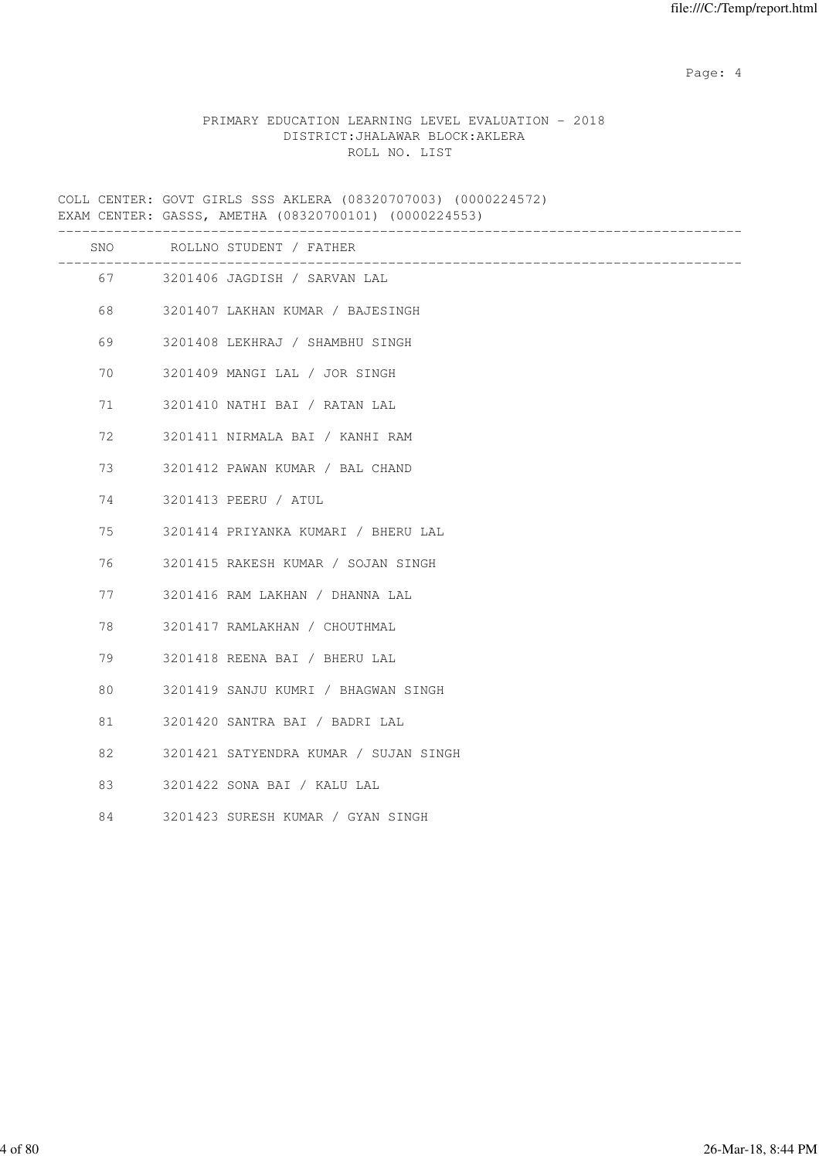Page: 4  $P$ 

### PRIMARY EDUCATION LEARNING LEVEL EVALUATION - 2018 DISTRICT:JHALAWAR BLOCK:AKLERA ROLL NO. LIST

COLL CENTER: GOVT GIRLS SSS AKLERA (08320707003) (0000224572) EXAM CENTER: GASSS, AMETHA (08320700101) (0000224553)

|    | SNO ROLLNO STUDENT / FATHER           |
|----|---------------------------------------|
|    | 67 3201406 JAGDISH / SARVAN LAL       |
| 68 | 3201407 LAKHAN KUMAR / BAJESINGH      |
| 69 | 3201408 LEKHRAJ / SHAMBHU SINGH       |
| 70 | 3201409 MANGI LAL / JOR SINGH         |
| 71 | 3201410 NATHI BAI / RATAN LAL         |
| 72 | 3201411 NIRMALA BAI / KANHI RAM       |
| 73 | 3201412 PAWAN KUMAR / BAL CHAND       |
| 74 | 3201413 PEERU / ATUL                  |
| 75 | 3201414 PRIYANKA KUMARI / BHERU LAL   |
| 76 | 3201415 RAKESH KUMAR / SOJAN SINGH    |
| 77 | 3201416 RAM LAKHAN / DHANNA LAL       |
| 78 | 3201417 RAMLAKHAN / CHOUTHMAL         |
| 79 | 3201418 REENA BAI / BHERU LAL         |
| 80 | 3201419 SANJU KUMRI / BHAGWAN SINGH   |
| 81 | 3201420 SANTRA BAI / BADRI LAL        |
| 82 | 3201421 SATYENDRA KUMAR / SUJAN SINGH |
| 83 | 3201422 SONA BAI / KALU LAL           |
| 84 | 3201423 SURESH KUMAR / GYAN SINGH     |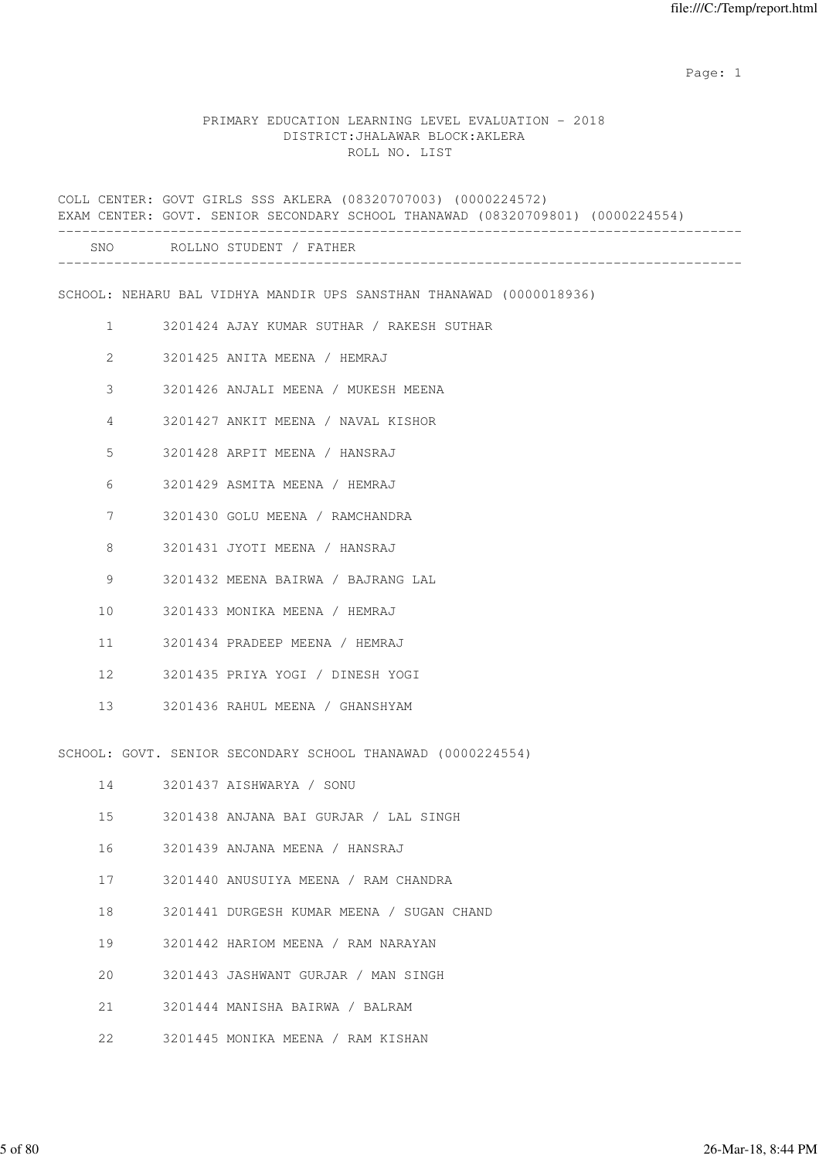#### PRIMARY EDUCATION LEARNING LEVEL EVALUATION - 2018 DISTRICT:JHALAWAR BLOCK:AKLERA ROLL NO. LIST

COLL CENTER: GOVT GIRLS SSS AKLERA (08320707003) (0000224572) EXAM CENTER: GOVT. SENIOR SECONDARY SCHOOL THANAWAD (08320709801) (0000224554) ------------------------------------------------------------------------------------- SNO ROLLNO STUDENT / FATHER ------------------------------------------------------------------------------------- SCHOOL: NEHARU BAL VIDHYA MANDIR UPS SANSTHAN THANAWAD (0000018936) 1 3201424 AJAY KUMAR SUTHAR / RAKESH SUTHAR 2 3201425 ANITA MEENA / HEMRAJ 3 3201426 ANJALI MEENA / MUKESH MEENA 4 3201427 ANKIT MEENA / NAVAL KISHOR 5 3201428 ARPIT MEENA / HANSRAJ 6 3201429 ASMITA MEENA / HEMRAJ 7 3201430 GOLU MEENA / RAMCHANDRA 8 3201431 JYOTI MEENA / HANSRAJ 9 3201432 MEENA BAIRWA / BAJRANG LAL 10 3201433 MONIKA MEENA / HEMRAJ 11 3201434 PRADEEP MEENA / HEMRAJ 12 3201435 PRIYA YOGI / DINESH YOGI 13 3201436 RAHUL MEENA / GHANSHYAM SCHOOL: GOVT. SENIOR SECONDARY SCHOOL THANAWAD (0000224554) 14 3201437 AISHWARYA / SONU 15 3201438 ANJANA BAI GURJAR / LAL SINGH 16 3201439 ANJANA MEENA / HANSRAJ 17 3201440 ANUSUIYA MEENA / RAM CHANDRA 18 3201441 DURGESH KUMAR MEENA / SUGAN CHAND 19 3201442 HARIOM MEENA / RAM NARAYAN 20 3201443 JASHWANT GURJAR / MAN SINGH 21 3201444 MANISHA BAIRWA / BALRAM

22 3201445 MONIKA MEENA / RAM KISHAN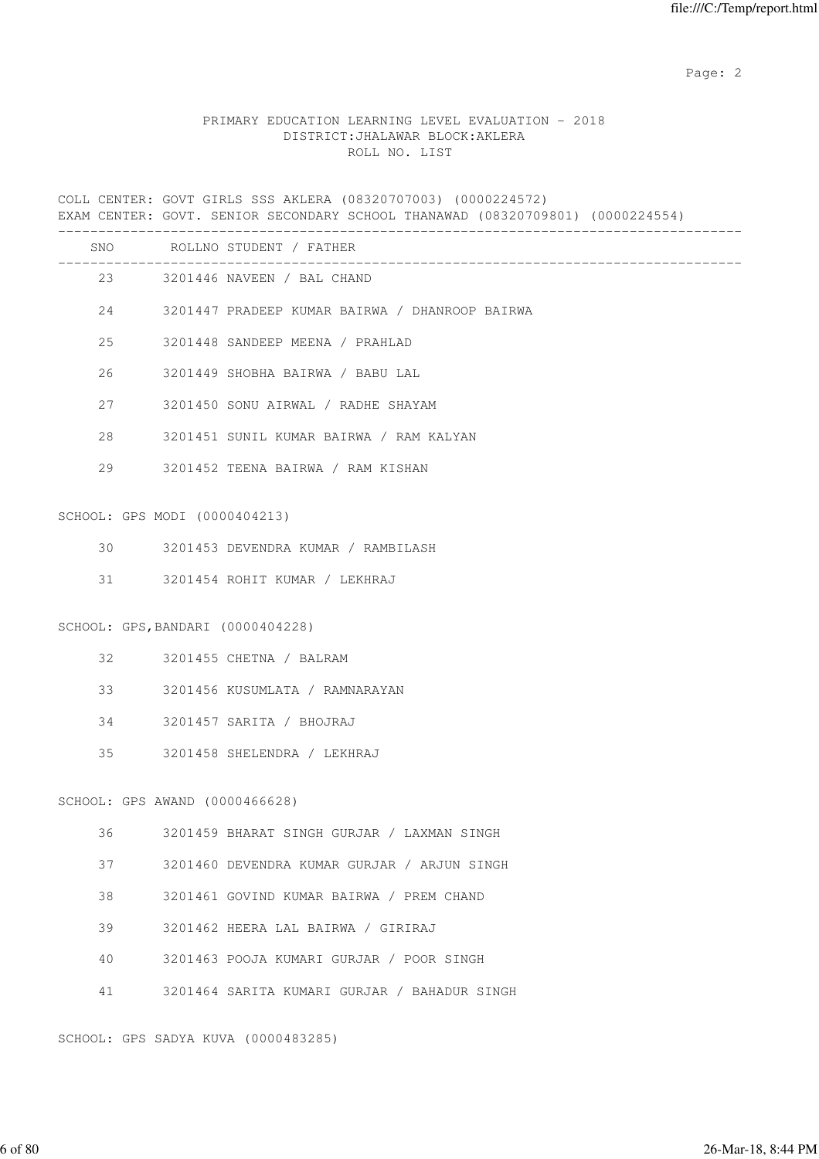### PRIMARY EDUCATION LEARNING LEVEL EVALUATION - 2018 DISTRICT:JHALAWAR BLOCK:AKLERA ROLL NO. LIST

COLL CENTER: GOVT GIRLS SSS AKLERA (08320707003) (0000224572) EXAM CENTER: GOVT. SENIOR SECONDARY SCHOOL THANAWAD (08320709801) (0000224554) ------------------------------------------------------------------------------------- SNO ROLLNO STUDENT / FATHER ------------------------------------------------------------------------------------- 23 3201446 NAVEEN / BAL CHAND 24 3201447 PRADEEP KUMAR BAIRWA / DHANROOP BAIRWA 25 3201448 SANDEEP MEENA / PRAHLAD 26 3201449 SHOBHA BAIRWA / BABU LAL 27 3201450 SONU AIRWAL / RADHE SHAYAM 28 3201451 SUNIL KUMAR BAIRWA / RAM KALYAN 29 3201452 TEENA BAIRWA / RAM KISHAN SCHOOL: GPS MODI (0000404213) 30 3201453 DEVENDRA KUMAR / RAMBILASH 31 3201454 ROHIT KUMAR / LEKHRAJ SCHOOL: GPS,BANDARI (0000404228) 32 3201455 CHETNA / BALRAM 33 3201456 KUSUMLATA / RAMNARAYAN 34 3201457 SARITA / BHOJRAJ 35 3201458 SHELENDRA / LEKHRAJ SCHOOL: GPS AWAND (0000466628) 36 3201459 BHARAT SINGH GURJAR / LAXMAN SINGH 37 3201460 DEVENDRA KUMAR GURJAR / ARJUN SINGH 38 3201461 GOVIND KUMAR BAIRWA / PREM CHAND 39 3201462 HEERA LAL BAIRWA / GIRIRAJ 40 3201463 POOJA KUMARI GURJAR / POOR SINGH 41 3201464 SARITA KUMARI GURJAR / BAHADUR SINGH

SCHOOL: GPS SADYA KUVA (0000483285)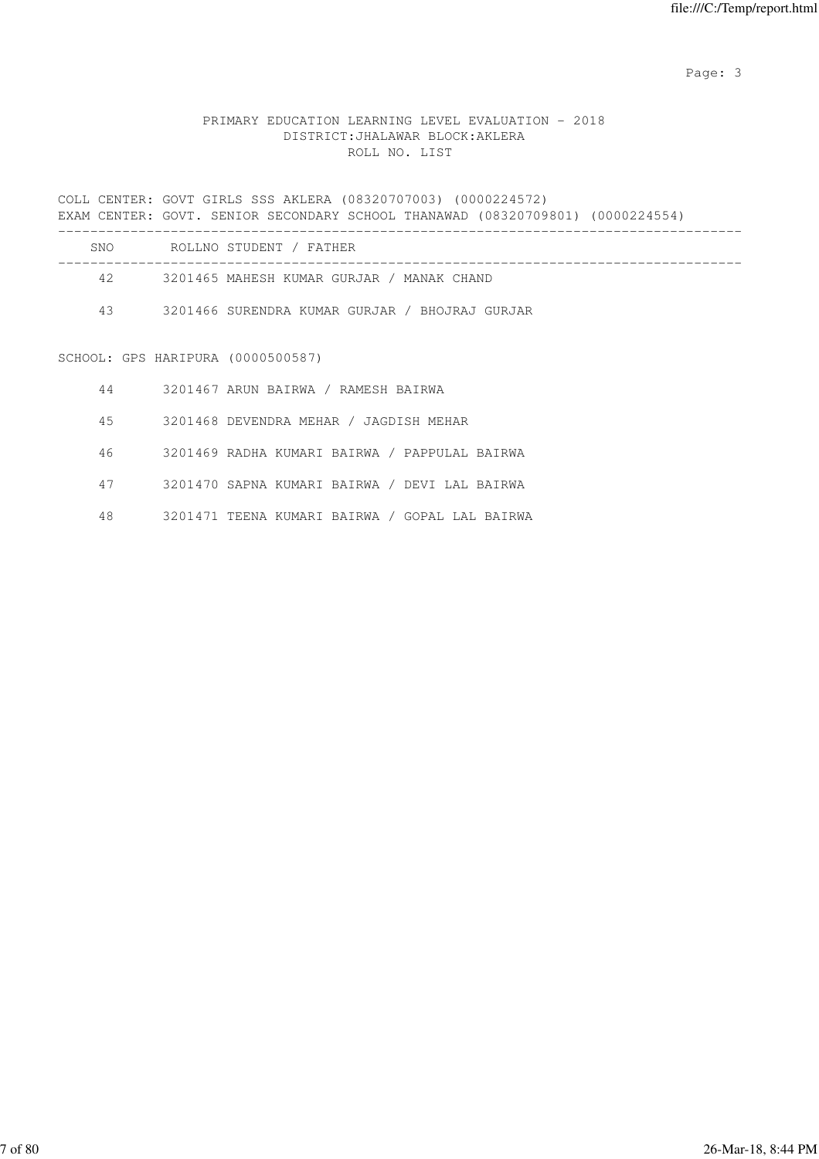## PRIMARY EDUCATION LEARNING LEVEL EVALUATION - 2018 DISTRICT:JHALAWAR BLOCK:AKLERA ROLL NO. LIST

COLL CENTER: GOVT GIRLS SSS AKLERA (08320707003) (0000224572) EXAM CENTER: GOVT. SENIOR SECONDARY SCHOOL THANAWAD (08320709801) (0000224554) ------------------------------------------------------------------------------------- SNO ROLLNO STUDENT / FATHER ------------------------------------------------------------------------------------- 42 3201465 MAHESH KUMAR GURJAR / MANAK CHAND 43 3201466 SURENDRA KUMAR GURJAR / BHOJRAJ GURJAR SCHOOL: GPS HARIPURA (0000500587) 44 3201467 ARUN BAIRWA / RAMESH BAIRWA 45 3201468 DEVENDRA MEHAR / JAGDISH MEHAR

46 3201469 RADHA KUMARI BAIRWA / PAPPULAL BAIRWA

47 3201470 SAPNA KUMARI BAIRWA / DEVI LAL BAIRWA

48 3201471 TEENA KUMARI BAIRWA / GOPAL LAL BAIRWA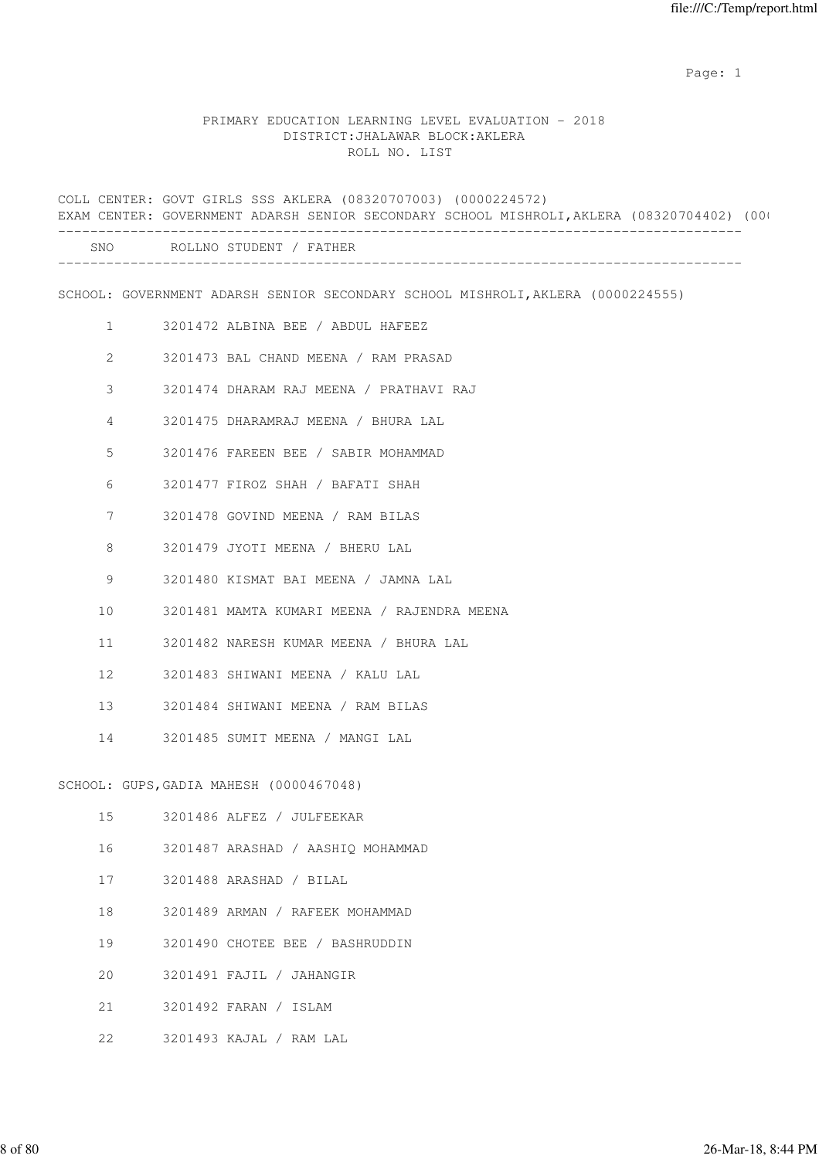#### PRIMARY EDUCATION LEARNING LEVEL EVALUATION - 2018 DISTRICT:JHALAWAR BLOCK:AKLERA ROLL NO. LIST

COLL CENTER: GOVT GIRLS SSS AKLERA (08320707003) (0000224572) EXAM CENTER: GOVERNMENT ADARSH SENIOR SECONDARY SCHOOL MISHROLI, AKLERA (08320704402) (00 ------------------------------------------------------------------------------------- SNO ROLLNO STUDENT / FATHER ------------------------------------------------------------------------------------- SCHOOL: GOVERNMENT ADARSH SENIOR SECONDARY SCHOOL MISHROLI,AKLERA (0000224555) 1 3201472 ALBINA BEE / ABDUL HAFEEZ 2 3201473 BAL CHAND MEENA / RAM PRASAD 3 3201474 DHARAM RAJ MEENA / PRATHAVI RAJ 4 3201475 DHARAMRAJ MEENA / BHURA LAL 5 3201476 FAREEN BEE / SABIR MOHAMMAD 6 3201477 FIROZ SHAH / BAFATI SHAH 7 3201478 GOVIND MEENA / RAM BILAS 8 3201479 JYOTI MEENA / BHERU LAL 9 3201480 KISMAT BAI MEENA / JAMNA LAL 10 3201481 MAMTA KUMARI MEENA / RAJENDRA MEENA 11 3201482 NARESH KUMAR MEENA / BHURA LAL 12 3201483 SHIWANI MEENA / KALU LAL 13 3201484 SHIWANI MEENA / RAM BILAS 14 3201485 SUMIT MEENA / MANGI LAL SCHOOL: GUPS,GADIA MAHESH (0000467048) 15 3201486 ALFEZ / JULFEEKAR 16 3201487 ARASHAD / AASHIQ MOHAMMAD 17 3201488 ARASHAD / BILAL 18 3201489 ARMAN / RAFEEK MOHAMMAD 19 3201490 CHOTEE BEE / BASHRUDDIN 20 3201491 FAJIL / JAHANGIR 21 3201492 FARAN / ISLAM

22 3201493 KAJAL / RAM LAL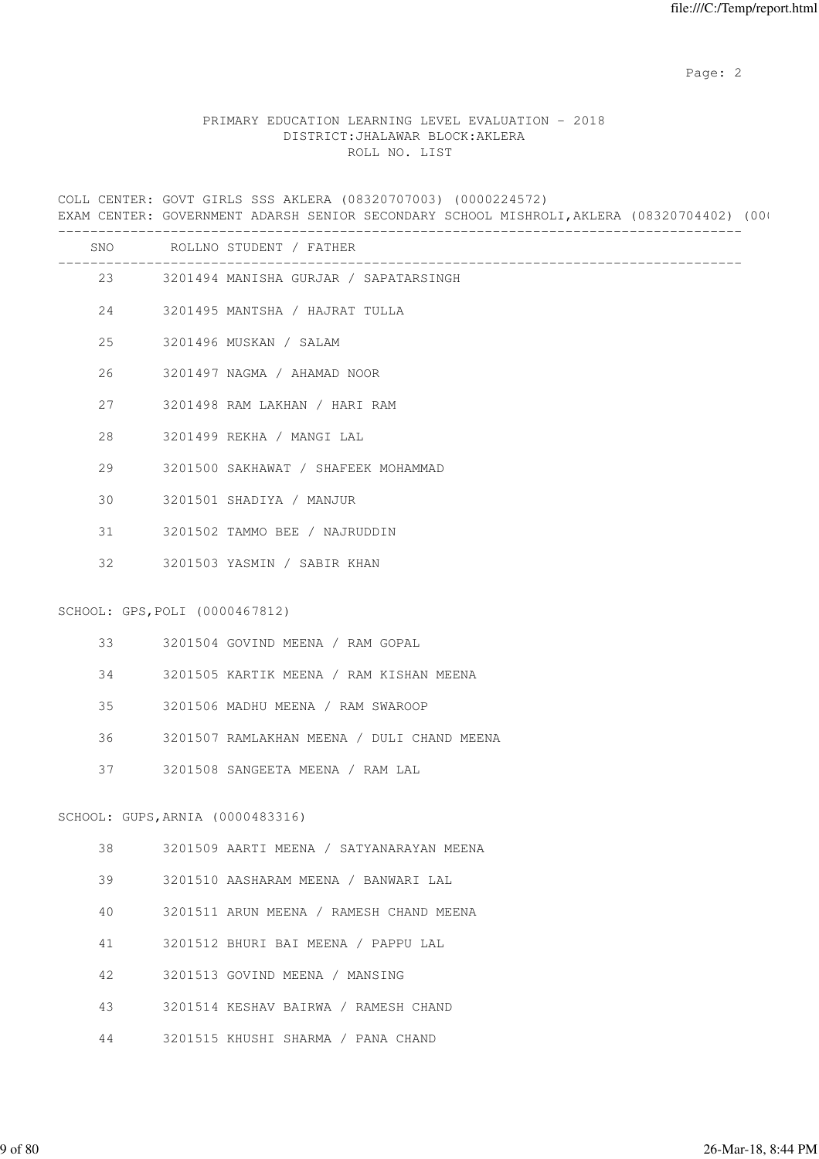### PRIMARY EDUCATION LEARNING LEVEL EVALUATION - 2018 DISTRICT:JHALAWAR BLOCK:AKLERA ROLL NO. LIST

COLL CENTER: GOVT GIRLS SSS AKLERA (08320707003) (0000224572) EXAM CENTER: GOVERNMENT ADARSH SENIOR SECONDARY SCHOOL MISHROLI, AKLERA (08320704402) (00 -------------------------------------------------------------------------------------

| SNO |                                  | ROLLNO STUDENT / FATHER                    |
|-----|----------------------------------|--------------------------------------------|
|     | 23                               | 3201494 MANISHA GURJAR / SAPATARSINGH      |
| 24  |                                  | 3201495 MANTSHA / HAJRAT TULLA             |
| 25  |                                  | 3201496 MUSKAN / SALAM                     |
| 26  |                                  | 3201497 NAGMA / AHAMAD NOOR                |
| 27  |                                  | 3201498 RAM LAKHAN / HARI RAM              |
| 28  |                                  | 3201499 REKHA / MANGI LAL                  |
| 29  |                                  | 3201500 SAKHAWAT / SHAFEEK MOHAMMAD        |
| 30  |                                  | 3201501 SHADIYA / MANJUR                   |
| 31  |                                  | 3201502 TAMMO BEE / NAJRUDDIN              |
| 32  |                                  | 3201503 YASMIN / SABIR KHAN                |
|     | SCHOOL: GPS, POLI (0000467812)   |                                            |
|     |                                  |                                            |
| 33  |                                  | 3201504 GOVIND MEENA / RAM GOPAL           |
| 34  |                                  | 3201505 KARTIK MEENA / RAM KISHAN MEENA    |
| 35  |                                  | 3201506 MADHU MEENA / RAM SWAROOP          |
| 36  |                                  | 3201507 RAMLAKHAN MEENA / DULI CHAND MEENA |
| 37  |                                  | 3201508 SANGEETA MEENA / RAM LAL           |
|     | SCHOOL: GUPS, ARNIA (0000483316) |                                            |
| 38  |                                  | 3201509 AARTI MEENA / SATYANARAYAN MEENA   |
| 39  |                                  | 3201510 AASHARAM MEENA / BANWARI LAL       |
| 40  |                                  | 3201511 ARUN MEENA / RAMESH CHAND MEENA    |
| 41  |                                  | 3201512 BHURI BAI MEENA / PAPPU LAL        |
| 42  |                                  | 3201513 GOVIND MEENA / MANSING             |
| 43  |                                  | 3201514 KESHAV BAIRWA / RAMESH CHAND       |
| 44  |                                  | 3201515 KHUSHI SHARMA / PANA CHAND         |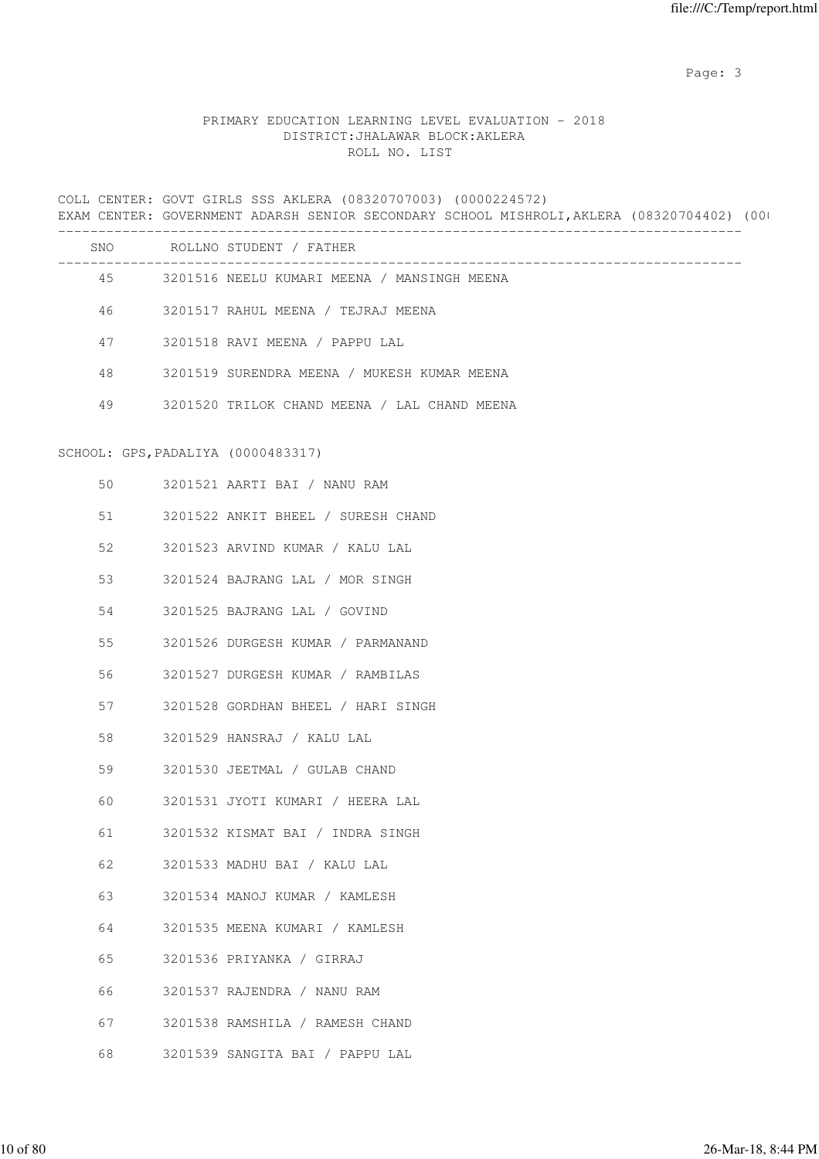## PRIMARY EDUCATION LEARNING LEVEL EVALUATION - 2018 DISTRICT:JHALAWAR BLOCK:AKLERA ROLL NO. LIST

COLL CENTER: GOVT GIRLS SSS AKLERA (08320707003) (0000224572) EXAM CENTER: GOVERNMENT ADARSH SENIOR SECONDARY SCHOOL MISHROLI, AKLERA (08320704402) (00 ------------------------------------------------------------------------------------- SNO ROLLNO STUDENT / FATHER ------------------------------------------------------------------------------------- 45 3201516 NEELU KUMARI MEENA / MANSINGH MEENA 46 3201517 RAHUL MEENA / TEJRAJ MEENA 47 3201518 RAVI MEENA / PAPPU LAL 48 3201519 SURENDRA MEENA / MUKESH KUMAR MEENA 49 3201520 TRILOK CHAND MEENA / LAL CHAND MEENA SCHOOL: GPS,PADALIYA (0000483317) 50 3201521 AARTI BAI / NANU RAM 51 3201522 ANKIT BHEEL / SURESH CHAND 52 3201523 ARVIND KUMAR / KALU LAL 53 3201524 BAJRANG LAL / MOR SINGH 54 3201525 BAJRANG LAL / GOVIND 55 3201526 DURGESH KUMAR / PARMANAND 56 3201527 DURGESH KUMAR / RAMBILAS 57 3201528 GORDHAN BHEEL / HARI SINGH 58 3201529 HANSRAJ / KALU LAL 59 3201530 JEETMAL / GULAB CHAND 60 3201531 JYOTI KUMARI / HEERA LAL 61 3201532 KISMAT BAI / INDRA SINGH 62 3201533 MADHU BAI / KALU LAL 63 3201534 MANOJ KUMAR / KAMLESH 64 3201535 MEENA KUMARI / KAMLESH 65 3201536 PRIYANKA / GIRRAJ 66 3201537 RAJENDRA / NANU RAM 67 3201538 RAMSHILA / RAMESH CHAND 68 3201539 SANGITA BAI / PAPPU LAL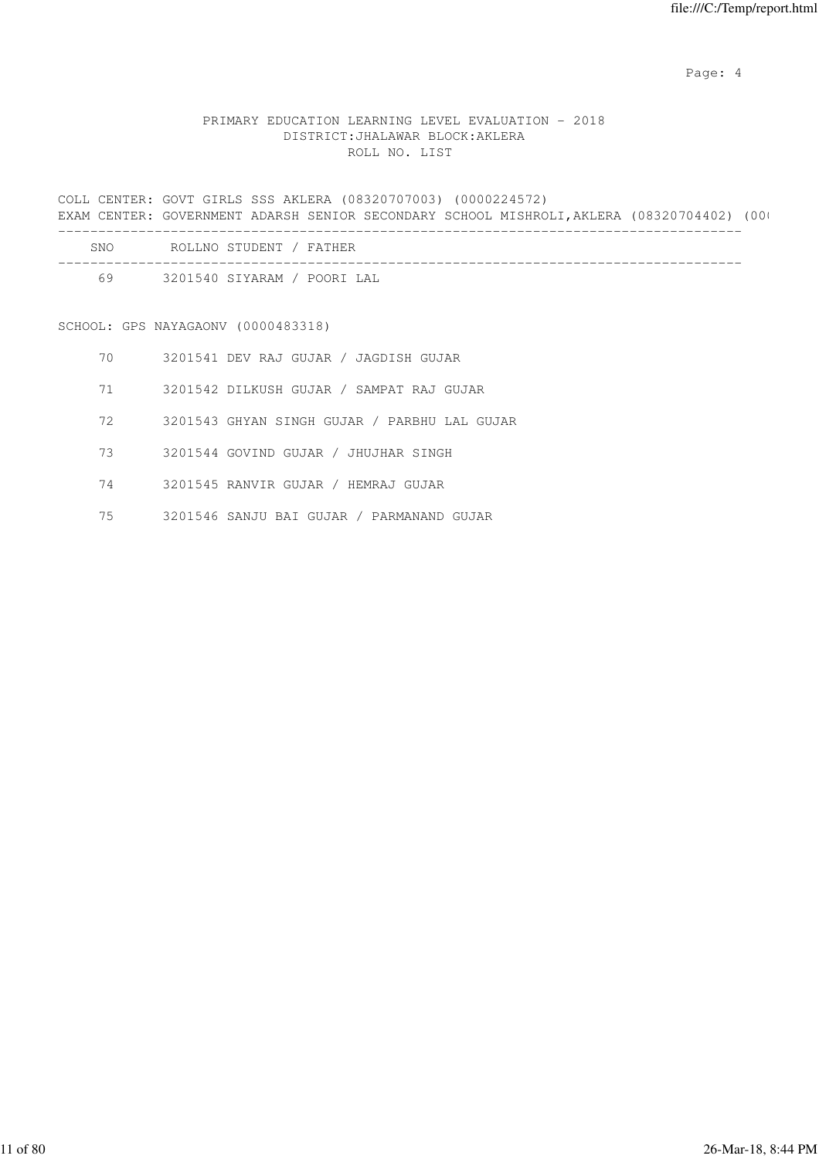Page: 4  $P$ 

## PRIMARY EDUCATION LEARNING LEVEL EVALUATION - 2018 DISTRICT:JHALAWAR BLOCK:AKLERA ROLL NO. LIST

COLL CENTER: GOVT GIRLS SSS AKLERA (08320707003) (0000224572) EXAM CENTER: GOVERNMENT ADARSH SENIOR SECONDARY SCHOOL MISHROLI, AKLERA (08320704402) (000 -------------------------------------------------------------------------------------

| SNC | STIIDENT<br>- FA<br>ROLLMO<br>"HF.R     |
|-----|-----------------------------------------|
| Fς  | / POORI LAL<br>I YARAM.<br>320154<br>СT |

SCHOOL: GPS NAYAGAONV (0000483318)

- 70 3201541 DEV RAJ GUJAR / JAGDISH GUJAR
- 71 3201542 DILKUSH GUJAR / SAMPAT RAJ GUJAR
- 72 3201543 GHYAN SINGH GUJAR / PARBHU LAL GUJAR
- 73 3201544 GOVIND GUJAR / JHUJHAR SINGH
- 74 3201545 RANVIR GUJAR / HEMRAJ GUJAR
- 75 3201546 SANJU BAI GUJAR / PARMANAND GUJAR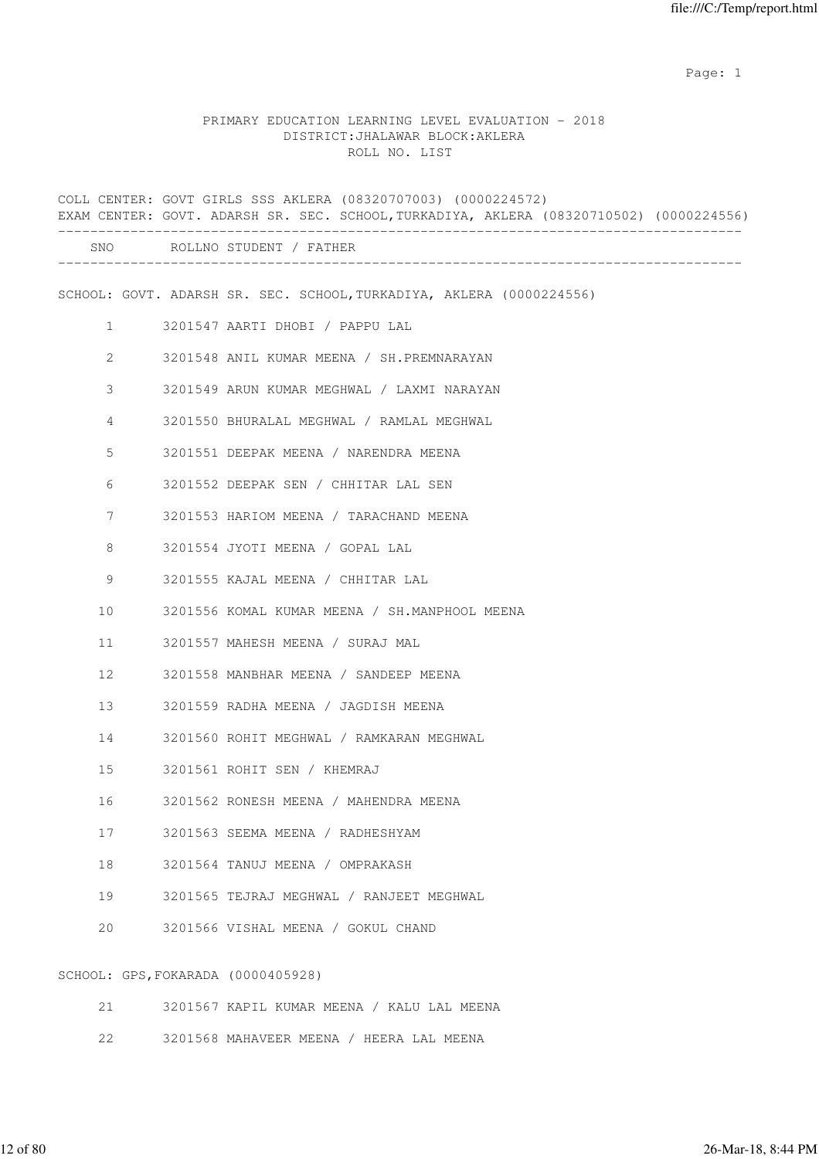#### PRIMARY EDUCATION LEARNING LEVEL EVALUATION - 2018 DISTRICT:JHALAWAR BLOCK:AKLERA ROLL NO. LIST

COLL CENTER: GOVT GIRLS SSS AKLERA (08320707003) (0000224572) EXAM CENTER: GOVT. ADARSH SR. SEC. SCHOOL,TURKADIYA, AKLERA (08320710502) (0000224556) ------------------------------------------------------------------------------------- SNO ROLLNO STUDENT / FATHER ------------------------------------------------------------------------------------- SCHOOL: GOVT. ADARSH SR. SEC. SCHOOL,TURKADIYA, AKLERA (0000224556) 1 3201547 AARTI DHOBI / PAPPU LAL 2 3201548 ANIL KUMAR MEENA / SH.PREMNARAYAN 3 3201549 ARUN KUMAR MEGHWAL / LAXMI NARAYAN 4 3201550 BHURALAL MEGHWAL / RAMLAL MEGHWAL 5 3201551 DEEPAK MEENA / NARENDRA MEENA 6 3201552 DEEPAK SEN / CHHITAR LAL SEN 7 3201553 HARIOM MEENA / TARACHAND MEENA 8 3201554 JYOTI MEENA / GOPAL LAL 9 3201555 KAJAL MEENA / CHHITAR LAL 10 3201556 KOMAL KUMAR MEENA / SH.MANPHOOL MEENA 11 3201557 MAHESH MEENA / SURAJ MAL 12 3201558 MANBHAR MEENA / SANDEEP MEENA 13 3201559 RADHA MEENA / JAGDISH MEENA 14 3201560 ROHIT MEGHWAL / RAMKARAN MEGHWAL 15 3201561 ROHIT SEN / KHEMRAJ 16 3201562 RONESH MEENA / MAHENDRA MEENA 17 3201563 SEEMA MEENA / RADHESHYAM 18 3201564 TANUJ MEENA / OMPRAKASH 19 3201565 TEJRAJ MEGHWAL / RANJEET MEGHWAL 20 3201566 VISHAL MEENA / GOKUL CHAND SCHOOL: GPS,FOKARADA (0000405928)

- 21 3201567 KAPIL KUMAR MEENA / KALU LAL MEENA
- 22 3201568 MAHAVEER MEENA / HEERA LAL MEENA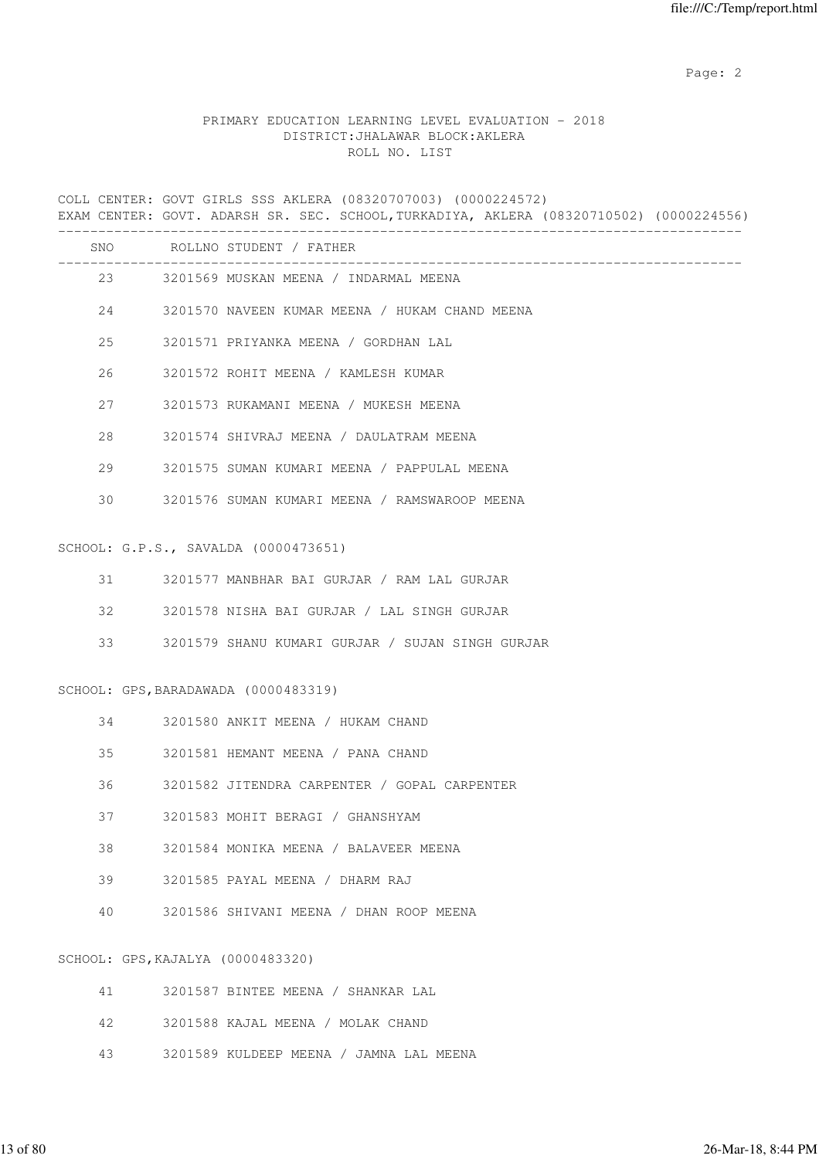### PRIMARY EDUCATION LEARNING LEVEL EVALUATION - 2018 DISTRICT:JHALAWAR BLOCK:AKLERA ROLL NO. LIST

COLL CENTER: GOVT GIRLS SSS AKLERA (08320707003) (0000224572) EXAM CENTER: GOVT. ADARSH SR. SEC. SCHOOL,TURKADIYA, AKLERA (08320710502) (0000224556) -------------------------------------------------------------------------------------

| <b>SNO</b> | ROLLNO STUDENT / FATHER                        |
|------------|------------------------------------------------|
| 23         | 3201569 MUSKAN MEENA / INDARMAL MEENA          |
| 2.4        | 3201570 NAVEEN KUMAR MEENA / HUKAM CHAND MEENA |
| $25 -$     | 3201571 PRIYANKA MEENA / GORDHAN LAL           |
| 26         | 3201572 ROHIT MEENA / KAMLESH KUMAR            |
| 2.7        | 3201573 RUKAMANI MEENA / MUKESH MEENA          |
| 2.8        | 3201574 SHIVRAJ MEENA / DAULATRAM MEENA        |
| 29         | 3201575 SUMAN KUMARI MEENA / PAPPULAL MEENA    |
| 30         | 3201576 SUMAN KUMARI MEENA / RAMSWAROOP MEENA  |
|            |                                                |

#### SCHOOL: G.P.S., SAVALDA (0000473651)

|  | 3201577 MANBHAR BAI GURJAR / RAM LAL GURJAR |  |  |  |  |  |  |  |  |
|--|---------------------------------------------|--|--|--|--|--|--|--|--|
|--|---------------------------------------------|--|--|--|--|--|--|--|--|

- 32 3201578 NISHA BAI GURJAR / LAL SINGH GURJAR
- 33 3201579 SHANU KUMARI GURJAR / SUJAN SINGH GURJAR

#### SCHOOL: GPS,BARADAWADA (0000483319)

- 34 3201580 ANKIT MEENA / HUKAM CHAND
- 35 3201581 HEMANT MEENA / PANA CHAND
- 36 3201582 JITENDRA CARPENTER / GOPAL CARPENTER
- 37 3201583 MOHIT BERAGI / GHANSHYAM
- 38 3201584 MONIKA MEENA / BALAVEER MEENA
- 39 3201585 PAYAL MEENA / DHARM RAJ
- 40 3201586 SHIVANI MEENA / DHAN ROOP MEENA

#### SCHOOL: GPS,KAJALYA (0000483320)

| 41 —   | 3201587 BINTEE MEENA / SHANKAR LAL      |
|--------|-----------------------------------------|
|        | 42 3201588 KAJAL MEENA / MOLAK CHAND    |
| $43 -$ | 3201589 KULDEEP MEENA / JAMNA LAL MEENA |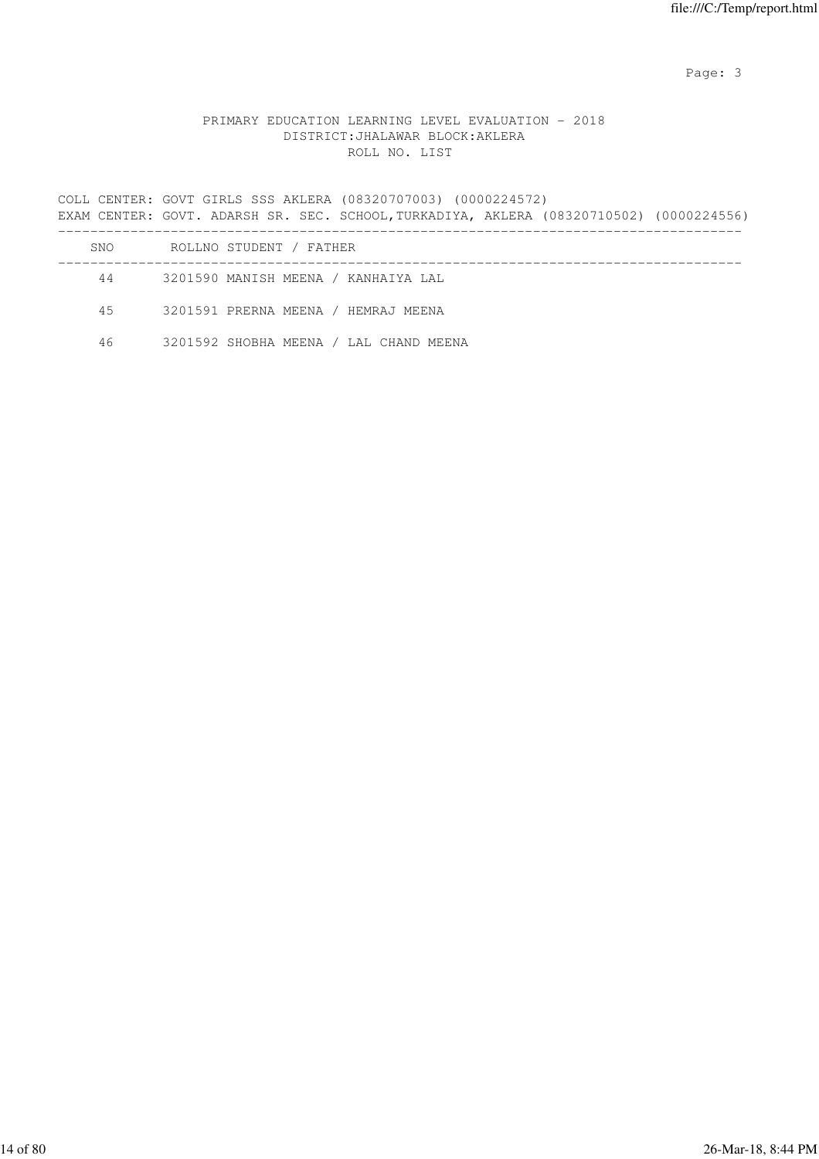## PRIMARY EDUCATION LEARNING LEVEL EVALUATION - 2018 DISTRICT:JHALAWAR BLOCK:AKLERA ROLL NO. LIST

COLL CENTER: GOVT GIRLS SSS AKLERA (08320707003) (0000224572) EXAM CENTER: GOVT. ADARSH SR. SEC. SCHOOL,TURKADIYA, AKLERA (08320710502) (0000224556) ------------------------------------------------------------------------------------- SNO ROLLNO STUDENT / FATHER ------------------------------------------------------------------------------------- 44 3201590 MANISH MEENA / KANHAIYA LAL 45 3201591 PRERNA MEENA / HEMRAJ MEENA

46 3201592 SHOBHA MEENA / LAL CHAND MEENA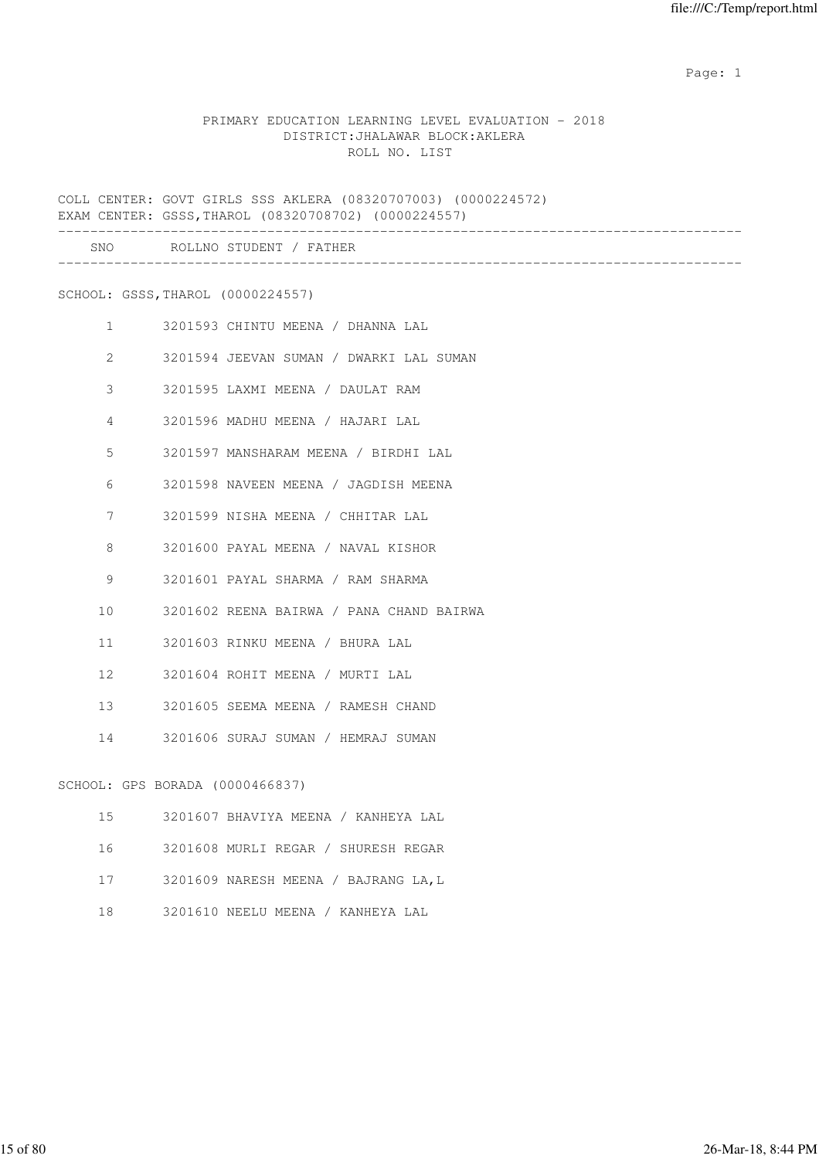### PRIMARY EDUCATION LEARNING LEVEL EVALUATION - 2018 DISTRICT:JHALAWAR BLOCK:AKLERA ROLL NO. LIST

COLL CENTER: GOVT GIRLS SSS AKLERA (08320707003) (0000224572) EXAM CENTER: GSSS,THAROL (08320708702) (0000224557)

|              |                                   | SNO ROLLNO STUDENT / FATHER              |
|--------------|-----------------------------------|------------------------------------------|
|              | SCHOOL: GSSS, THAROL (0000224557) |                                          |
| $\mathbf{1}$ |                                   | 3201593 CHINTU MEENA / DHANNA LAL        |
| $\mathbf{2}$ |                                   | 3201594 JEEVAN SUMAN / DWARKI LAL SUMAN  |
| 3            |                                   | 3201595 LAXMI MEENA / DAULAT RAM         |
| 4            |                                   | 3201596 MADHU MEENA / HAJARI LAL         |
| 5            |                                   | 3201597 MANSHARAM MEENA / BIRDHI LAL     |
| 6            |                                   | 3201598 NAVEEN MEENA / JAGDISH MEENA     |
| 7            |                                   | 3201599 NISHA MEENA / CHHITAR LAL        |
| 8            |                                   | 3201600 PAYAL MEENA / NAVAL KISHOR       |
| 9            |                                   | 3201601 PAYAL SHARMA / RAM SHARMA        |
| 10           |                                   | 3201602 REENA BAIRWA / PANA CHAND BAIRWA |
| 11           |                                   | 3201603 RINKU MEENA / BHURA LAL          |
| 12           |                                   | 3201604 ROHIT MEENA / MURTI LAL          |
| 13           |                                   | 3201605 SEEMA MEENA / RAMESH CHAND       |
| 14           |                                   | 3201606 SURAJ SUMAN / HEMRAJ SUMAN       |
|              | SCHOOL: GPS BORADA (0000466837)   |                                          |
| 15           |                                   | 3201607 BHAVIYA MEENA / KANHEYA LAL      |

- 16 3201608 MURLI REGAR / SHURESH REGAR
- 17 3201609 NARESH MEENA / BAJRANG LA,L
- 18 3201610 NEELU MEENA / KANHEYA LAL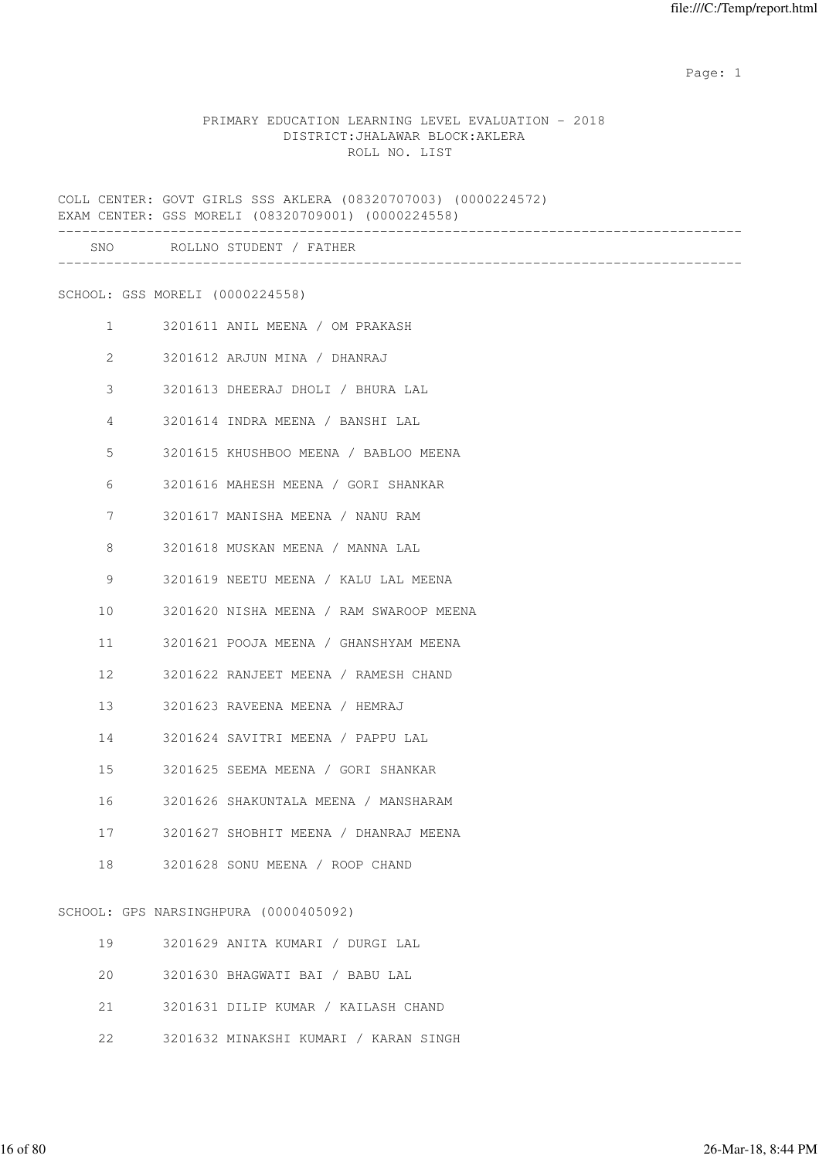#### PRIMARY EDUCATION LEARNING LEVEL EVALUATION - 2018 DISTRICT:JHALAWAR BLOCK:AKLERA ROLL NO. LIST

COLL CENTER: GOVT GIRLS SSS AKLERA (08320707003) (0000224572) EXAM CENTER: GSS MORELI (08320709001) (0000224558) ------------------------------------------------------------------------------------- SNO ROLLNO STUDENT / FATHER

-------------------------------------------------------------------------------------

SCHOOL: GSS MORELI (0000224558)

| $\mathbf{1}$    | 3201611 ANIL MEENA / OM PRAKASH          |
|-----------------|------------------------------------------|
| $\overline{2}$  | 3201612 ARJUN MINA / DHANRAJ             |
| 3               | 3201613 DHEERAJ DHOLI / BHURA LAL        |
| 4               | 3201614 INDRA MEENA / BANSHI LAL         |
| 5               | 3201615 KHUSHBOO MEENA / BABLOO MEENA    |
| 6               | 3201616 MAHESH MEENA / GORI SHANKAR      |
| 7               | 3201617 MANISHA MEENA / NANU RAM         |
| 8               | 3201618 MUSKAN MEENA / MANNA LAL         |
| 9               | 3201619 NEETU MEENA / KALU LAL MEENA     |
| 10 <sup>°</sup> | 3201620 NISHA MEENA / RAM SWAROOP MEENA  |
| 11              | 3201621 POOJA MEENA / GHANSHYAM MEENA    |
| 12              | 3201622 RANJEET MEENA / RAMESH CHAND     |
| 13              | 3201623 RAVEENA MEENA / HEMRAJ           |
|                 | 14 3201624 SAVITRI MEENA / PAPPU LAL     |
| 15              | 3201625 SEEMA MEENA / GORI SHANKAR       |
| 16              | 3201626 SHAKUNTALA MEENA / MANSHARAM     |
|                 | 17 3201627 SHOBHIT MEENA / DHANRAJ MEENA |
|                 | 18 3201628 SONU MEENA / ROOP CHAND       |

SCHOOL: GPS NARSINGHPURA (0000405092)

| 19  | 3201629 ANITA KUMARI / DURGI LAL       |
|-----|----------------------------------------|
|     | 20 3201630 BHAGWATI BAI / BABU LAL     |
|     | 21 3201631 DILIP KUMAR / KAILASH CHAND |
| 22. | 3201632 MINAKSHI KUMARI / KARAN SINGH  |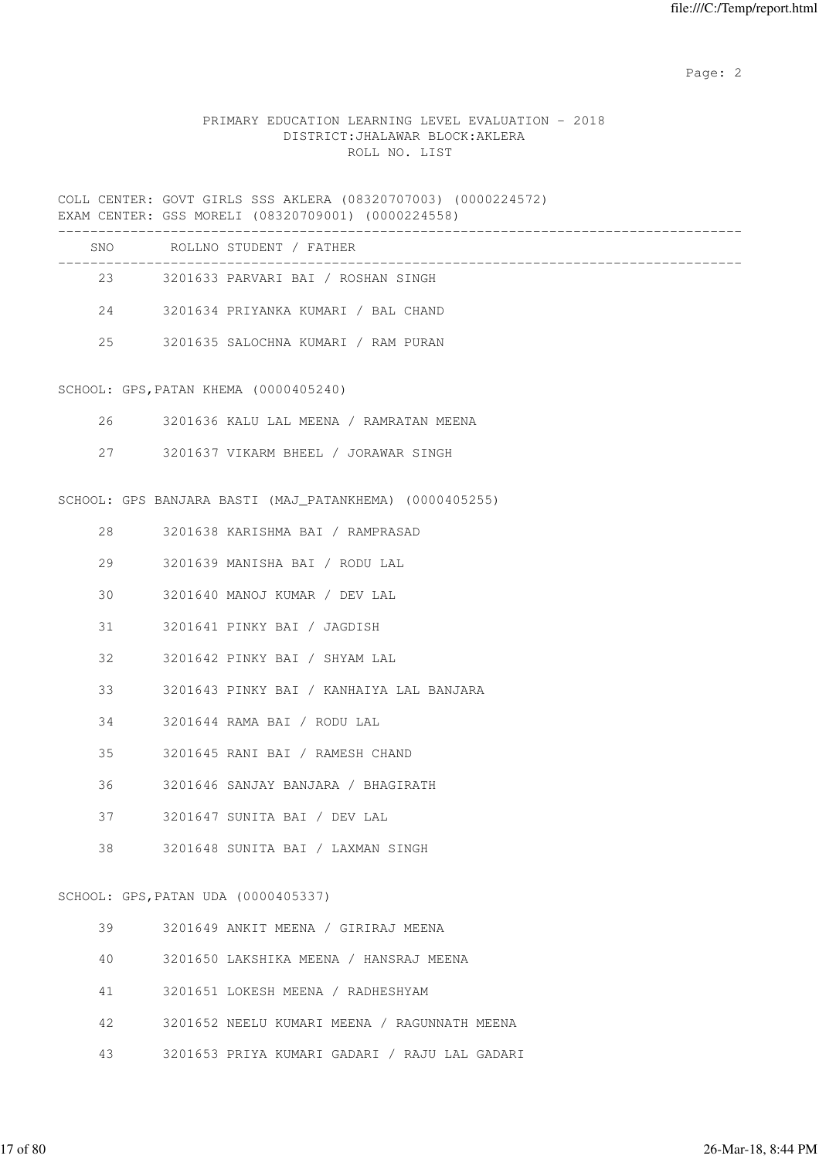### PRIMARY EDUCATION LEARNING LEVEL EVALUATION - 2018 DISTRICT:JHALAWAR BLOCK:AKLERA ROLL NO. LIST

COLL CENTER: GOVT GIRLS SSS AKLERA (08320707003) (0000224572) EXAM CENTER: GSS MORELI (08320709001) (0000224558)

| SNO | ROLLNO STUDENT / FATHER             |  |
|-----|-------------------------------------|--|
| 23  | 3201633 PARVARI BAI / ROSHAN SINGH  |  |
| 2.4 | 3201634 PRIYANKA KUMARI / BAL CHAND |  |
| 25  | 3201635 SALOCHNA KUMARI / RAM PURAN |  |

SCHOOL: GPS,PATAN KHEMA (0000405240)

- 26 3201636 KALU LAL MEENA / RAMRATAN MEENA
- 27 3201637 VIKARM BHEEL / JORAWAR SINGH

SCHOOL: GPS BANJARA BASTI (MAJ\_PATANKHEMA) (0000405255)

- 28 3201638 KARISHMA BAI / RAMPRASAD
- 29 3201639 MANISHA BAI / RODU LAL
- 30 3201640 MANOJ KUMAR / DEV LAL
- 31 3201641 PINKY BAI / JAGDISH
- 32 3201642 PINKY BAI / SHYAM LAL
- 33 3201643 PINKY BAI / KANHAIYA LAL BANJARA
- 34 3201644 RAMA BAI / RODU LAL
- 35 3201645 RANI BAI / RAMESH CHAND
- 36 3201646 SANJAY BANJARA / BHAGIRATH
- 37 3201647 SUNITA BAI / DEV LAL
- 38 3201648 SUNITA BAI / LAXMAN SINGH

SCHOOL: GPS,PATAN UDA (0000405337)

|  | 3201649 ANKIT MEENA |  |  |  | ' GIRIRAJ MEENA |  |
|--|---------------------|--|--|--|-----------------|--|
|--|---------------------|--|--|--|-----------------|--|

- 40 3201650 LAKSHIKA MEENA / HANSRAJ MEENA
- 41 3201651 LOKESH MEENA / RADHESHYAM
- 42 3201652 NEELU KUMARI MEENA / RAGUNNATH MEENA
- 43 3201653 PRIYA KUMARI GADARI / RAJU LAL GADARI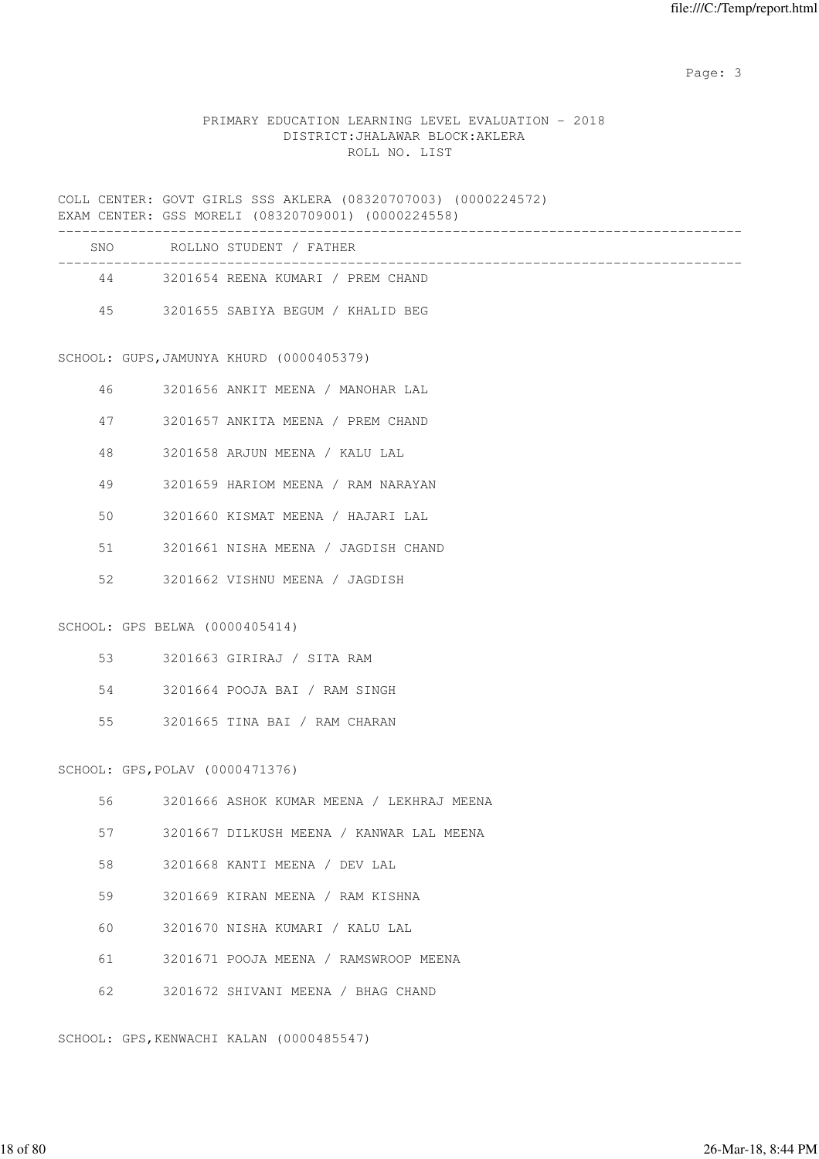### PRIMARY EDUCATION LEARNING LEVEL EVALUATION - 2018 DISTRICT:JHALAWAR BLOCK:AKLERA ROLL NO. LIST

COLL CENTER: GOVT GIRLS SSS AKLERA (08320707003) (0000224572) EXAM CENTER: GSS MORELI (08320709001) (0000224558)

|    |                                 | COMITTIN, GOO MORDILL (00020700001) (0000224000) |
|----|---------------------------------|--------------------------------------------------|
|    |                                 | SNO ROLLNO STUDENT / FATHER                      |
|    |                                 | 44 3201654 REENA KUMARI / PREM CHAND             |
|    |                                 | 45 3201655 SABIYA BEGUM / KHALID BEG             |
|    |                                 |                                                  |
|    |                                 | SCHOOL: GUPS, JAMUNYA KHURD (0000405379)         |
| 46 |                                 | 3201656 ANKIT MEENA / MANOHAR LAL                |
| 47 |                                 | 3201657 ANKITA MEENA / PREM CHAND                |
| 48 |                                 | 3201658 ARJUN MEENA / KALU LAL                   |
| 49 |                                 | 3201659 HARIOM MEENA / RAM NARAYAN               |
| 50 |                                 | 3201660 KISMAT MEENA / HAJARI LAL                |
| 51 |                                 | 3201661 NISHA MEENA / JAGDISH CHAND              |
| 52 |                                 | 3201662 VISHNU MEENA / JAGDISH                   |
|    | SCHOOL: GPS BELWA (0000405414)  |                                                  |
| 53 |                                 | 3201663 GIRIRAJ / SITA RAM                       |
| 54 |                                 | 3201664 POOJA BAI / RAM SINGH                    |
| 55 |                                 | 3201665 TINA BAI / RAM CHARAN                    |
|    | SCHOOL: GPS, POLAV (0000471376) |                                                  |
| 56 |                                 | 3201666 ASHOK KUMAR MEENA / LEKHRAJ MEENA        |
| 57 |                                 | 3201667 DILKUSH MEENA / KANWAR LAL MEENA         |
| 58 |                                 | 3201668 KANTI MEENA / DEV LAL                    |
| 59 |                                 | 3201669 KIRAN MEENA / RAM KISHNA                 |
| 60 |                                 | 3201670 NISHA KUMARI / KALU LAL                  |
| 61 |                                 | 3201671 POOJA MEENA / RAMSWROOP MEENA            |
| 62 |                                 | 3201672 SHIVANI MEENA / BHAG CHAND               |

SCHOOL: GPS,KENWACHI KALAN (0000485547)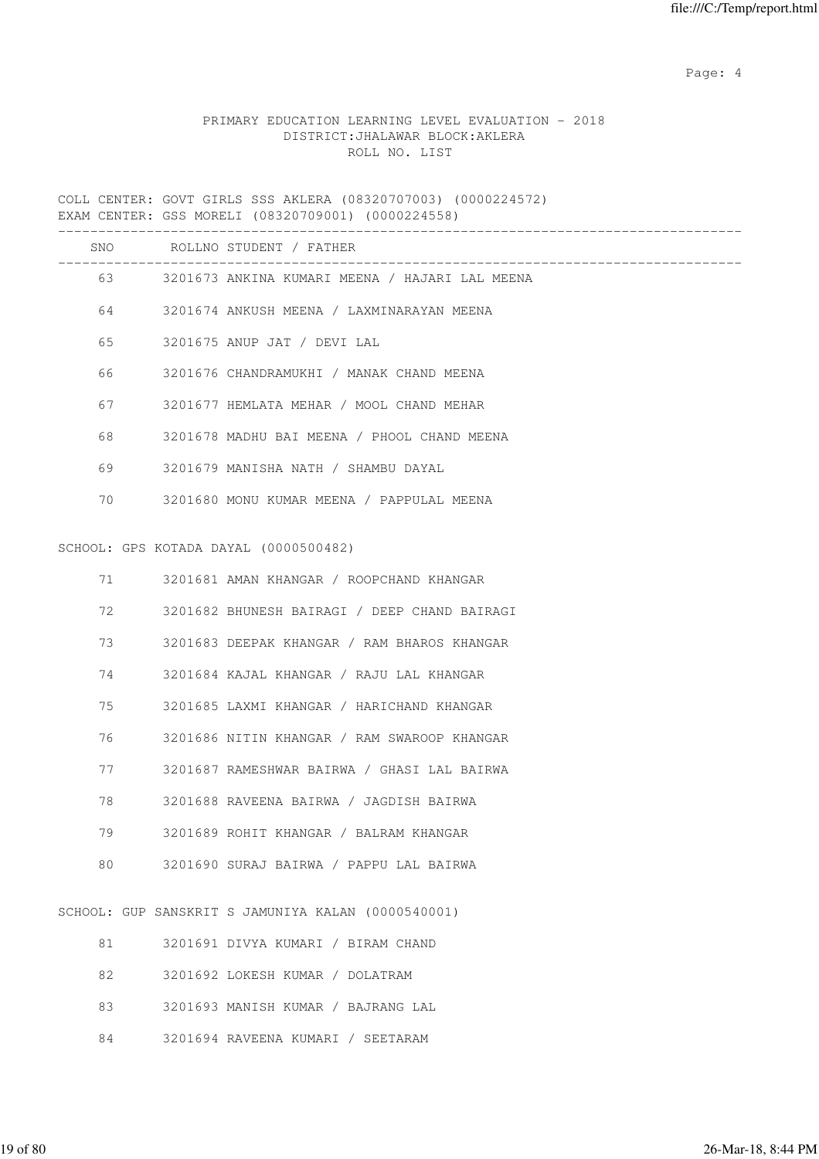Page: 4  $P$ 

## PRIMARY EDUCATION LEARNING LEVEL EVALUATION - 2018 DISTRICT:JHALAWAR BLOCK:AKLERA ROLL NO. LIST

COLL CENTER: GOVT GIRLS SSS AKLERA (08320707003) (0000224572) EXAM CENTER: GSS MORELI (08320709001) (0000224558)

|    | SNO ROLLNO STUDENT / FATHER                       |
|----|---------------------------------------------------|
|    | 63 3201673 ANKINA KUMARI MEENA / HAJARI LAL MEENA |
|    | 64 3201674 ANKUSH MEENA / LAXMINARAYAN MEENA      |
| 65 | 3201675 ANUP JAT / DEVI LAL                       |
| 66 | 3201676 CHANDRAMUKHI / MANAK CHAND MEENA          |
| 67 | 3201677 HEMLATA MEHAR / MOOL CHAND MEHAR          |
| 68 | 3201678 MADHU BAI MEENA / PHOOL CHAND MEENA       |
| 69 | 3201679 MANISHA NATH / SHAMBU DAYAL               |
| 70 | 3201680 MONU KUMAR MEENA / PAPPULAL MEENA         |
|    |                                                   |
|    | SCHOOL: GPS KOTADA DAYAL (0000500482)             |
|    | 71 3201681 AMAN KHANGAR / ROOPCHAND KHANGAR       |
| 72 | 3201682 BHUNESH BAIRAGI / DEEP CHAND BAIRAGI      |
| 73 | 3201683 DEEPAK KHANGAR / RAM BHAROS KHANGAR       |
| 74 | 3201684 KAJAL KHANGAR / RAJU LAL KHANGAR          |
|    |                                                   |

75 3201685 LAXMI KHANGAR / HARICHAND KHANGAR

76 3201686 NITIN KHANGAR / RAM SWAROOP KHANGAR

77 3201687 RAMESHWAR BAIRWA / GHASI LAL BAIRWA

78 3201688 RAVEENA BAIRWA / JAGDISH BAIRWA

79 3201689 ROHIT KHANGAR / BALRAM KHANGAR

80 3201690 SURAJ BAIRWA / PAPPU LAL BAIRWA

SCHOOL: GUP SANSKRIT S JAMUNIYA KALAN (0000540001)

| 81 | 3201691 DIVYA KUMARI / BIRAM CHAND |
|----|------------------------------------|
| 82 | 3201692 LOKESH KUMAR / DOLATRAM    |
| 83 | 3201693 MANISH KUMAR / BAJRANG LAL |
| 84 | 3201694 RAVEENA KUMARI / SEETARAM  |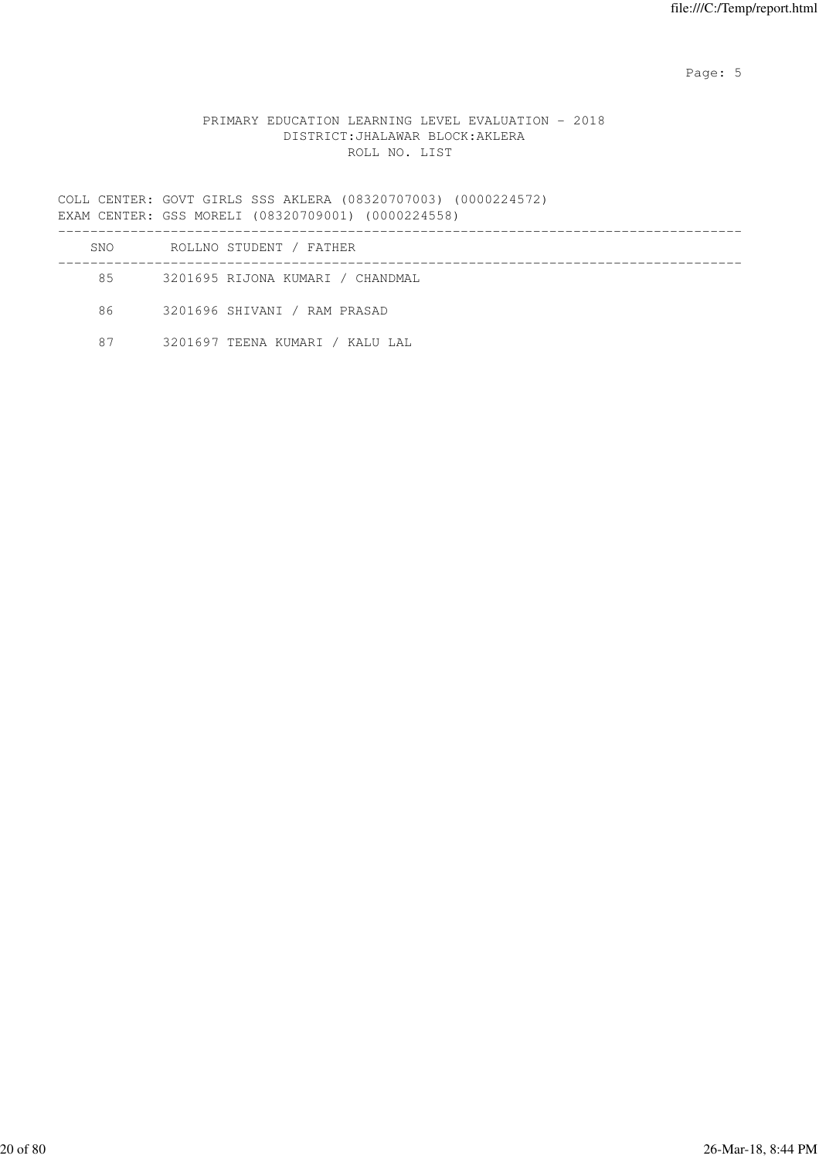Page: 5  $P$  and  $P$  and  $P$  and  $P$  and  $P$  and  $P$  and  $P$  and  $P$  and  $P$  and  $P$  and  $P$  and  $P$  and  $P$  and  $P$  and  $P$  and  $P$  and  $P$  and  $P$  and  $P$  and  $P$  and  $P$  and  $P$  and  $P$  and  $P$  and  $P$  and  $P$  and  $P$  an

### PRIMARY EDUCATION LEARNING LEVEL EVALUATION - 2018 DISTRICT:JHALAWAR BLOCK:AKLERA ROLL NO. LIST

COLL CENTER: GOVT GIRLS SSS AKLERA (08320707003) (0000224572) EXAM CENTER: GSS MORELI (08320709001) (0000224558)

| SNO | ROLLNO STUDENT / FATHER          |  |
|-----|----------------------------------|--|
| 85  | 3201695 RIJONA KUMARI / CHANDMAL |  |
| 86  | 3201696 SHIVANI / RAM PRASAD     |  |
| 87  | 3201697 TEENA KUMARI / KALU LAL  |  |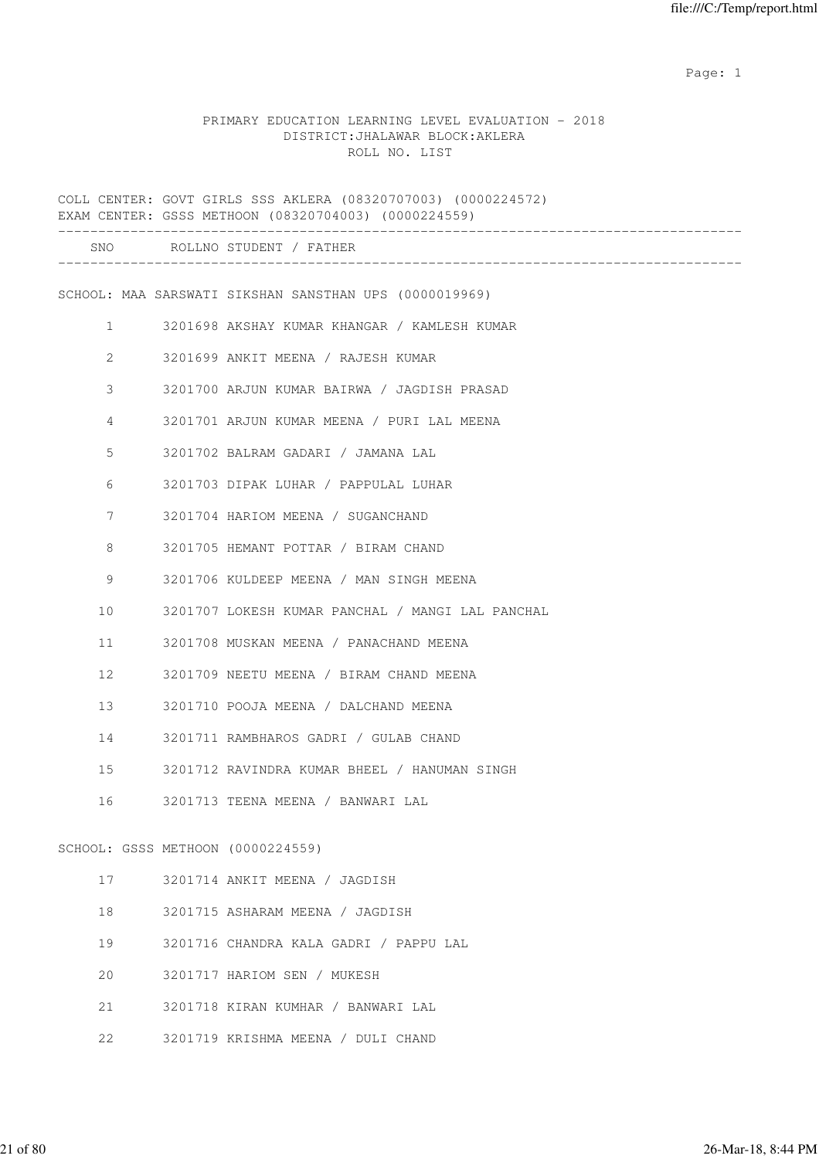#### PRIMARY EDUCATION LEARNING LEVEL EVALUATION - 2018 DISTRICT:JHALAWAR BLOCK:AKLERA ROLL NO. LIST

COLL CENTER: GOVT GIRLS SSS AKLERA (08320707003) (0000224572) EXAM CENTER: GSSS METHOON (08320704003) (0000224559) ------------------------------------------------------------------------------------- SNO ROLLNO STUDENT / FATHER ------------------------------------------------------------------------------------- SCHOOL: MAA SARSWATI SIKSHAN SANSTHAN UPS (0000019969) 1 3201698 AKSHAY KUMAR KHANGAR / KAMLESH KUMAR 2 3201699 ANKIT MEENA / RAJESH KUMAR 3 3201700 ARJUN KUMAR BAIRWA / JAGDISH PRASAD 4 3201701 ARJUN KUMAR MEENA / PURI LAL MEENA 5 3201702 BALRAM GADARI / JAMANA LAL 6 3201703 DIPAK LUHAR / PAPPULAL LUHAR 7 3201704 HARIOM MEENA / SUGANCHAND 8 3201705 HEMANT POTTAR / BIRAM CHAND 9 3201706 KULDEEP MEENA / MAN SINGH MEENA 10 3201707 LOKESH KUMAR PANCHAL / MANGI LAL PANCHAL 11 3201708 MUSKAN MEENA / PANACHAND MEENA 12 3201709 NEETU MEENA / BIRAM CHAND MEENA 13 3201710 POOJA MEENA / DALCHAND MEENA 14 3201711 RAMBHAROS GADRI / GULAB CHAND 15 3201712 RAVINDRA KUMAR BHEEL / HANUMAN SINGH 16 3201713 TEENA MEENA / BANWARI LAL SCHOOL: GSSS METHOON (0000224559) 17 3201714 ANKIT MEENA / JAGDISH 18 3201715 ASHARAM MEENA / JAGDISH 19 3201716 CHANDRA KALA GADRI / PAPPU LAL 20 3201717 HARIOM SEN / MUKESH 21 3201718 KIRAN KUMHAR / BANWARI LAL 22 3201719 KRISHMA MEENA / DULI CHAND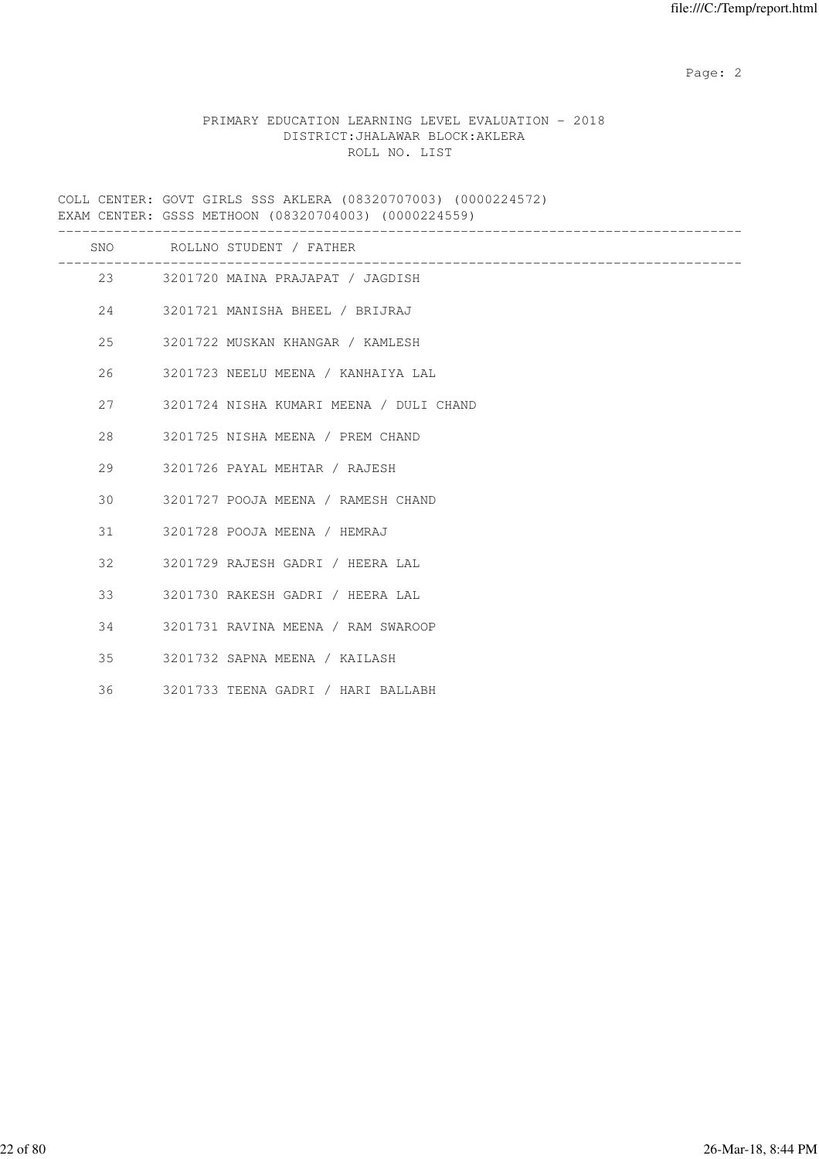### PRIMARY EDUCATION LEARNING LEVEL EVALUATION - 2018 DISTRICT:JHALAWAR BLOCK:AKLERA ROLL NO. LIST

COLL CENTER: GOVT GIRLS SSS AKLERA (08320707003) (0000224572) EXAM CENTER: GSSS METHOON (08320704003) (0000224559)

|    |          | SNO ROLLNO STUDENT / FATHER<br>_____________________________ |
|----|----------|--------------------------------------------------------------|
|    |          | 23 3201720 MAINA PRAJAPAT / JAGDISH                          |
|    |          | 24 3201721 MANISHA BHEEL / BRIJRAJ                           |
| 25 |          | 3201722 MUSKAN KHANGAR / KAMLESH                             |
| 26 |          | 3201723 NEELU MEENA / KANHAIYA LAL                           |
| 27 |          | 3201724 NISHA KUMARI MEENA / DULI CHAND                      |
| 28 |          | 3201725 NISHA MEENA / PREM CHAND                             |
| 29 |          | 3201726 PAYAL MEHTAR / RAJESH                                |
| 30 |          | 3201727 POOJA MEENA / RAMESH CHAND                           |
| 31 |          | 3201728 POOJA MEENA / HEMRAJ                                 |
| 32 |          | 3201729 RAJESH GADRI / HEERA LAL                             |
|    | $33 - 1$ | 3201730 RAKESH GADRI / HEERA LAL                             |
| 34 |          | 3201731 RAVINA MEENA / RAM SWAROOP                           |
| 35 |          | 3201732 SAPNA MEENA / KAILASH                                |
| 36 |          | 3201733 TEENA GADRI / HARI BALLABH                           |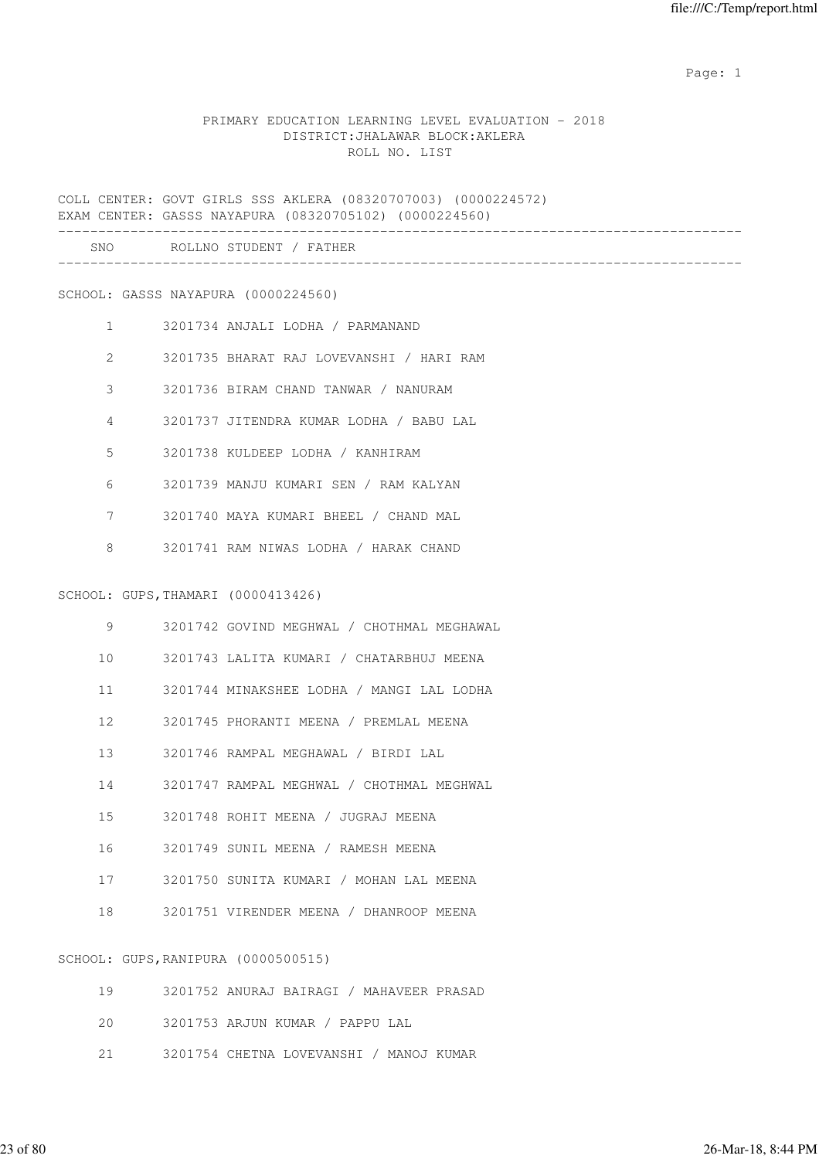### PRIMARY EDUCATION LEARNING LEVEL EVALUATION - 2018 DISTRICT:JHALAWAR BLOCK:AKLERA ROLL NO. LIST

COLL CENTER: GOVT GIRLS SSS AKLERA (08320707003) (0000224572) EXAM CENTER: GASSS NAYAPURA (08320705102) (0000224560)

| SNC | D∩T<br>-NO<br>דורדיה<br>and the control<br>. |  |
|-----|----------------------------------------------|--|
|     |                                              |  |

SCHOOL: GASSS NAYAPURA (0000224560)

- 1 3201734 ANJALI LODHA / PARMANAND 2 3201735 BHARAT RAJ LOVEVANSHI / HARI RAM 3 3201736 BIRAM CHAND TANWAR / NANURAM 4 3201737 JITENDRA KUMAR LODHA / BABU LAL 5 3201738 KULDEEP LODHA / KANHIRAM
- 6 3201739 MANJU KUMARI SEN / RAM KALYAN
- 7 3201740 MAYA KUMARI BHEEL / CHAND MAL
- 8 3201741 RAM NIWAS LODHA / HARAK CHAND

#### SCHOOL: GUPS,THAMARI (0000413426)

| 9               | 3201742 GOVIND MEGHWAL / CHOTHMAL MEGHAWAL |
|-----------------|--------------------------------------------|
| 10 <sup>1</sup> | 3201743 LALITA KUMARI / CHATARBHUJ MEENA   |
| 11              | 3201744 MINAKSHEE LODHA / MANGI LAL LODHA  |
| 12 <sup>7</sup> | 3201745 PHORANTI MEENA / PREMLAL MEENA     |
| 13 <sup>7</sup> | 3201746 RAMPAL MEGHAWAL / BIRDI LAL        |
| 14              | 3201747 RAMPAL MEGHWAL / CHOTHMAL MEGHWAL  |
| $15 -$          | 3201748 ROHIT MEENA / JUGRAJ MEENA         |
| 16              | 3201749 SUNIL MEENA / RAMESH MEENA         |
| 17              | 3201750 SUNITA KUMARI / MOHAN LAL MEENA    |
| 18              | 3201751 VIRENDER MEENA / DHANROOP MEENA    |
|                 |                                            |

# SCHOOL: GUPS,RANIPURA (0000500515)

| 19 | 3201752 ANURAJ BAIRAGI / MAHAVEER PRASAD |
|----|------------------------------------------|
|    |                                          |
| 21 | 3201754 CHETNA LOVEVANSHI / MANOJ KUMAR  |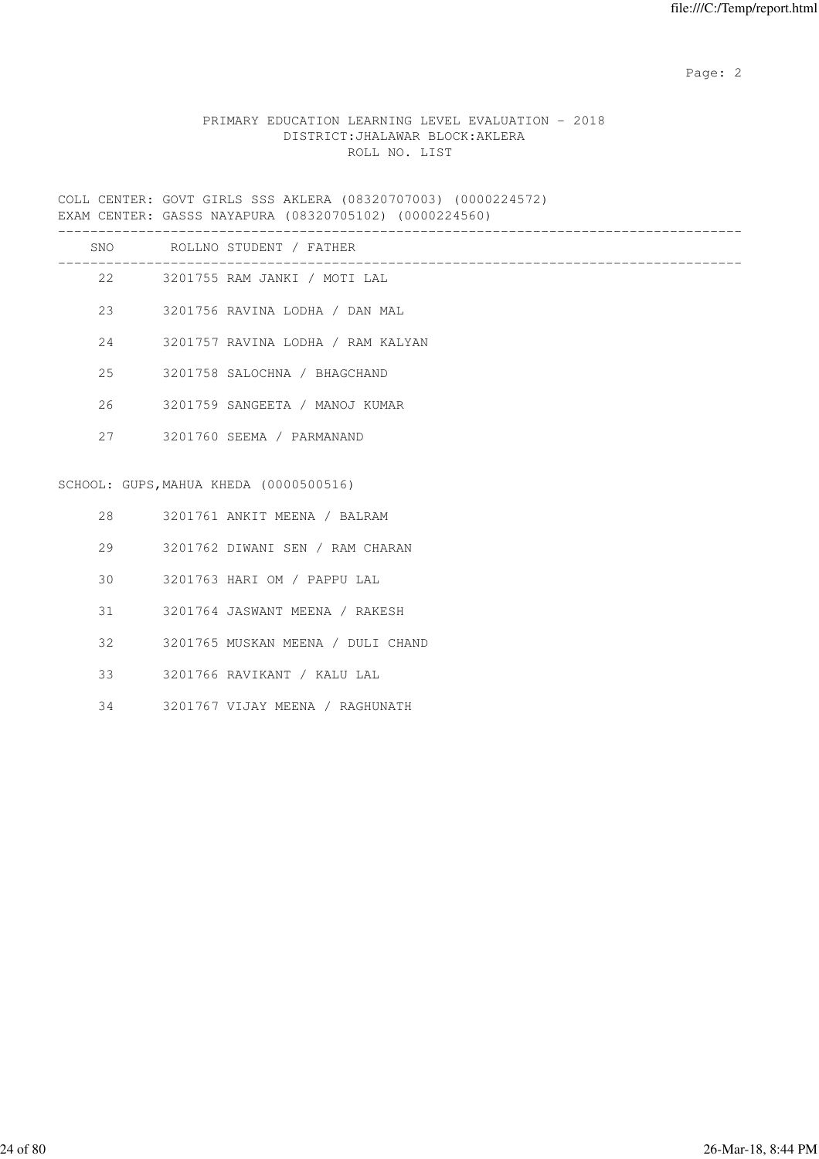## PRIMARY EDUCATION LEARNING LEVEL EVALUATION - 2018 DISTRICT:JHALAWAR BLOCK:AKLERA ROLL NO. LIST

COLL CENTER: GOVT GIRLS SSS AKLERA (08320707003) (0000224572) EXAM CENTER: GASSS NAYAPURA (08320705102) (0000224560)

|    | SNO ROLLNO STUDENT / FATHER            |
|----|----------------------------------------|
|    | 22 3201755 RAM JANKI / MOTI LAL        |
|    | 23 3201756 RAVINA LODHA / DAN MAL      |
| 24 | 3201757 RAVINA LODHA / RAM KALYAN      |
|    | 25 3201758 SALOCHNA / BHAGCHAND        |
|    | 26 3201759 SANGEETA / MANOJ KUMAR      |
|    | 27 3201760 SEEMA / PARMANAND           |
|    | SCHOOL: GUPS, MAHUA KHEDA (0000500516) |
|    | 28 3201761 ANKIT MEENA / BALRAM        |
|    | 29 3201762 DIWANI SEN / RAM CHARAN     |
| 30 | 3201763 HARI OM / PAPPU LAL            |
| 31 | 3201764 JASWANT MEENA / RAKESH         |
| 32 | 3201765 MUSKAN MEENA / DULI CHAND      |

- 33 3201766 RAVIKANT / KALU LAL
- 34 3201767 VIJAY MEENA / RAGHUNATH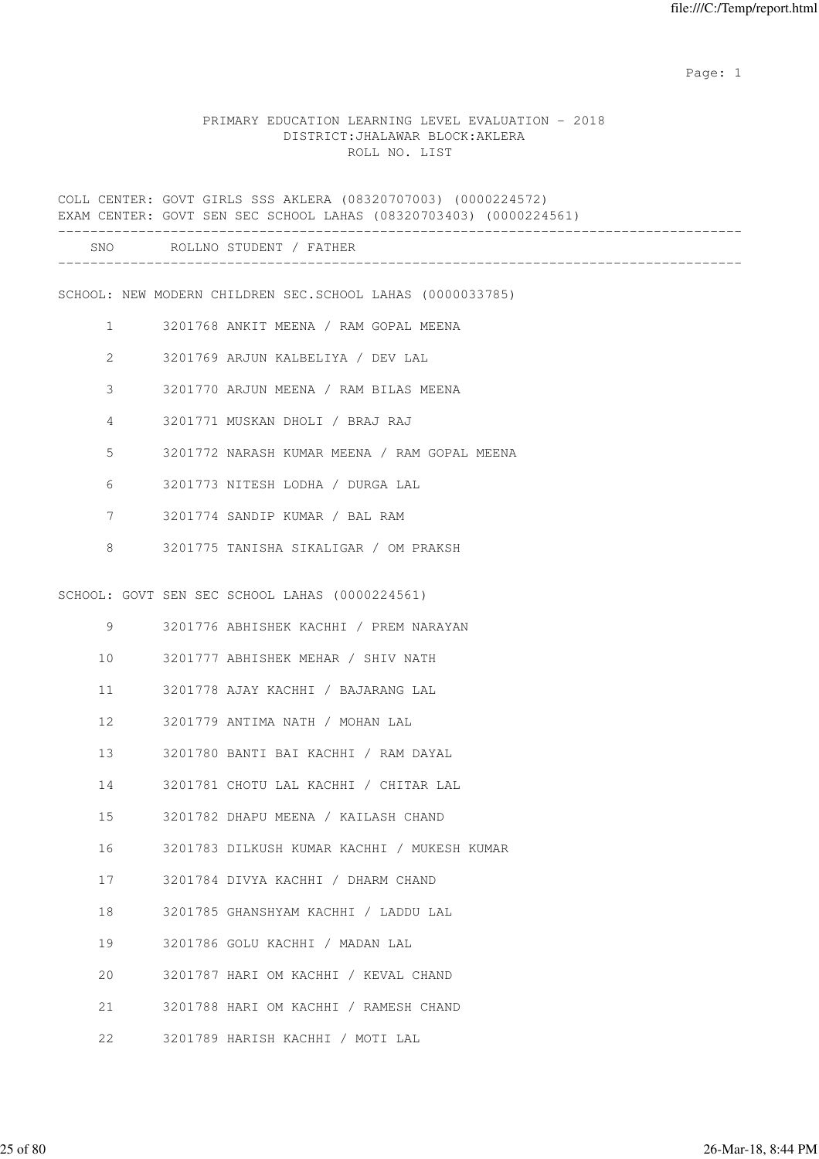#### PRIMARY EDUCATION LEARNING LEVEL EVALUATION - 2018 DISTRICT:JHALAWAR BLOCK:AKLERA ROLL NO. LIST

COLL CENTER: GOVT GIRLS SSS AKLERA (08320707003) (0000224572) EXAM CENTER: GOVT SEN SEC SCHOOL LAHAS (08320703403) (0000224561) ------------------------------------------------------------------------------------- SNO ROLLNO STUDENT / FATHER ------------------------------------------------------------------------------------- SCHOOL: NEW MODERN CHILDREN SEC.SCHOOL LAHAS (0000033785) 1 3201768 ANKIT MEENA / RAM GOPAL MEENA 2 3201769 ARJUN KALBELIYA / DEV LAL 3 3201770 ARJUN MEENA / RAM BILAS MEENA 4 3201771 MUSKAN DHOLI / BRAJ RAJ 5 3201772 NARASH KUMAR MEENA / RAM GOPAL MEENA 6 3201773 NITESH LODHA / DURGA LAL 7 3201774 SANDIP KUMAR / BAL RAM 8 3201775 TANISHA SIKALIGAR / OM PRAKSH SCHOOL: GOVT SEN SEC SCHOOL LAHAS (0000224561) 9 3201776 ABHISHEK KACHHI / PREM NARAYAN 10 3201777 ABHISHEK MEHAR / SHIV NATH 11 3201778 AJAY KACHHI / BAJARANG LAL 12 3201779 ANTIMA NATH / MOHAN LAL 13 3201780 BANTI BAI KACHHI / RAM DAYAL 14 3201781 CHOTU LAL KACHHI / CHITAR LAL 15 3201782 DHAPU MEENA / KAILASH CHAND 16 3201783 DILKUSH KUMAR KACHHI / MUKESH KUMAR 17 3201784 DIVYA KACHHI / DHARM CHAND 18 3201785 GHANSHYAM KACHHI / LADDU LAL 19 3201786 GOLU KACHHI / MADAN LAL 20 3201787 HARI OM KACHHI / KEVAL CHAND 21 3201788 HARI OM KACHHI / RAMESH CHAND 22 3201789 HARISH KACHHI / MOTI LAL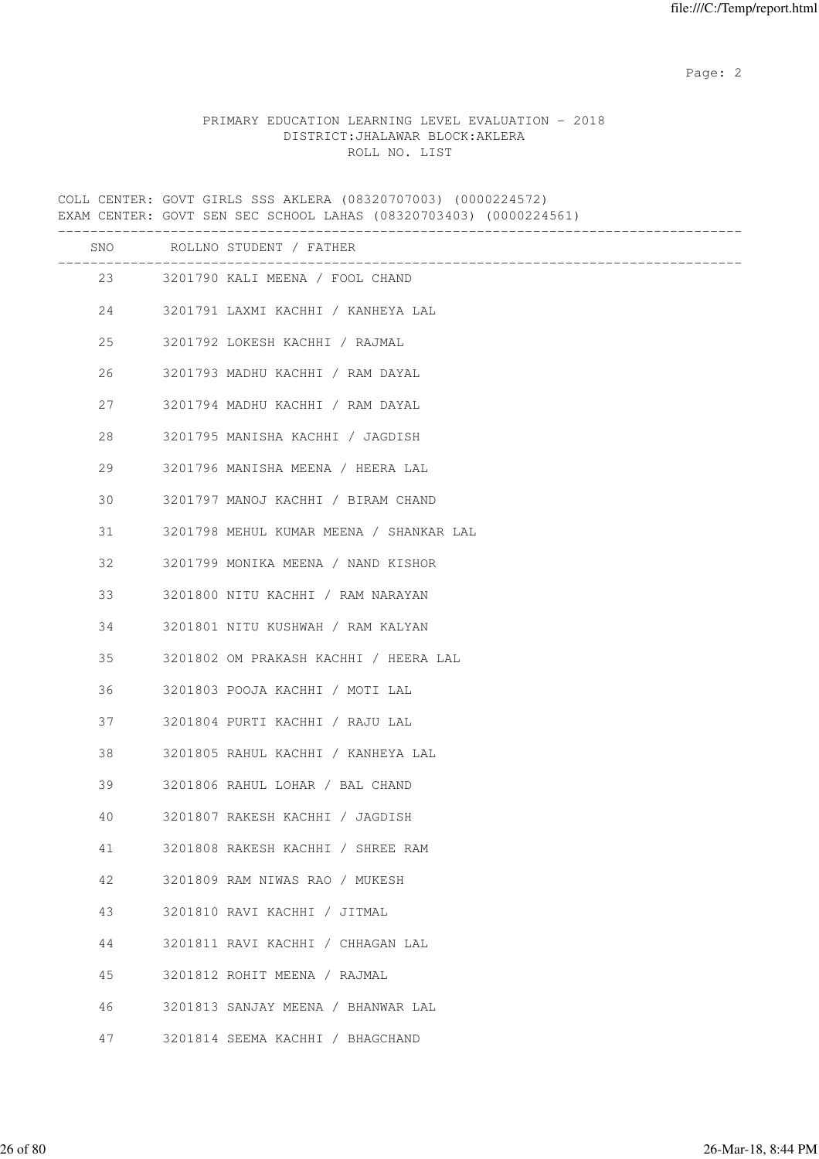### PRIMARY EDUCATION LEARNING LEVEL EVALUATION - 2018 DISTRICT:JHALAWAR BLOCK:AKLERA ROLL NO. LIST

COLL CENTER: GOVT GIRLS SSS AKLERA (08320707003) (0000224572) EXAM CENTER: GOVT SEN SEC SCHOOL LAHAS (08320703403) (0000224561) ------------------------------------------------------------------------------------- SNO ROLLNO STUDENT / FATHER ------------------------------------------------------------------------------------- 23 3201790 KALI MEENA / FOOL CHAND 24 3201791 LAXMI KACHHI / KANHEYA LAL 25 3201792 LOKESH KACHHI / RAJMAL 26 3201793 MADHU KACHHI / RAM DAYAL 27 3201794 MADHU KACHHI / RAM DAYAL 28 3201795 MANISHA KACHHI / JAGDISH 29 3201796 MANISHA MEENA / HEERA LAL 30 3201797 MANOJ KACHHI / BIRAM CHAND 31 3201798 MEHUL KUMAR MEENA / SHANKAR LAL 32 3201799 MONIKA MEENA / NAND KISHOR 33 3201800 NITU KACHHI / RAM NARAYAN 34 3201801 NITU KUSHWAH / RAM KALYAN 35 3201802 OM PRAKASH KACHHI / HEERA LAL 36 3201803 POOJA KACHHI / MOTI LAL 37 3201804 PURTI KACHHI / RAJU LAL 38 3201805 RAHUL KACHHI / KANHEYA LAL 39 3201806 RAHUL LOHAR / BAL CHAND 40 3201807 RAKESH KACHHI / JAGDISH 41 3201808 RAKESH KACHHI / SHREE RAM 42 3201809 RAM NIWAS RAO / MUKESH 43 3201810 RAVI KACHHI / JITMAL 44 3201811 RAVI KACHHI / CHHAGAN LAL 45 3201812 ROHIT MEENA / RAJMAL 46 3201813 SANJAY MEENA / BHANWAR LAL 47 3201814 SEEMA KACHHI / BHAGCHAND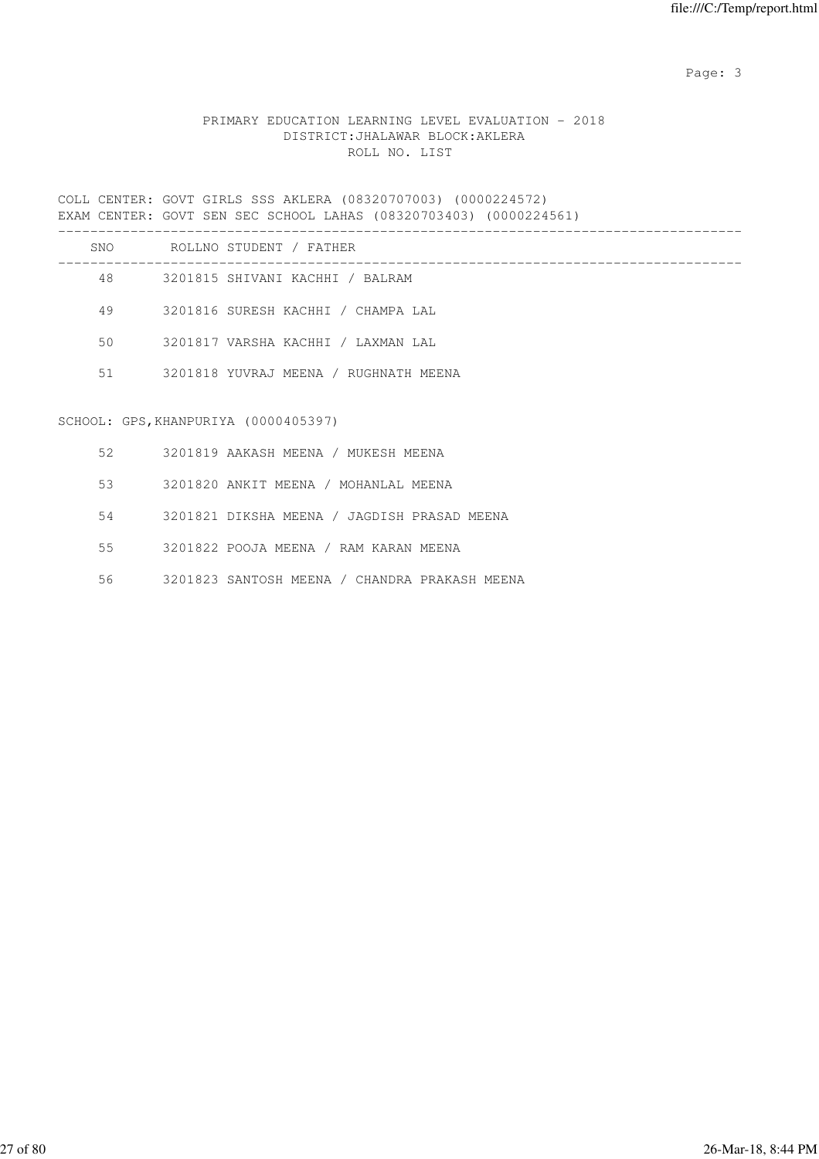## PRIMARY EDUCATION LEARNING LEVEL EVALUATION - 2018 DISTRICT:JHALAWAR BLOCK:AKLERA ROLL NO. LIST

COLL CENTER: GOVT GIRLS SSS AKLERA (08320707003) (0000224572) EXAM CENTER: GOVT SEN SEC SCHOOL LAHAS (08320703403) (0000224561) -------------------------------------------------------------------------------------

| SNO | ROLLNO STUDENT / FATHER               |
|-----|---------------------------------------|
| 48  | 3201815 SHIVANI KACHHI / BALRAM       |
| 49  | 3201816 SURESH KACHHI / CHAMPA LAL    |
| 50  | 3201817 VARSHA KACHHI / LAXMAN LAL    |
| 51  | 3201818 YUVRAJ MEENA / RUGHNATH MEENA |
|     |                                       |

#### SCHOOL: GPS,KHANPURIYA (0000405397)

| 52. | 3201819 AAKASH MEENA / MUKESH MEENA           |
|-----|-----------------------------------------------|
| 53  | 3201820 ANKIT MEENA / MOHANLAL MEENA          |
| 54  | 3201821 DIKSHA MEENA / JAGDISH PRASAD MEENA   |
| 55  | 3201822 POOJA MEENA / RAM KARAN MEENA         |
| 56  | 3201823 SANTOSH MEENA / CHANDRA PRAKASH MEENA |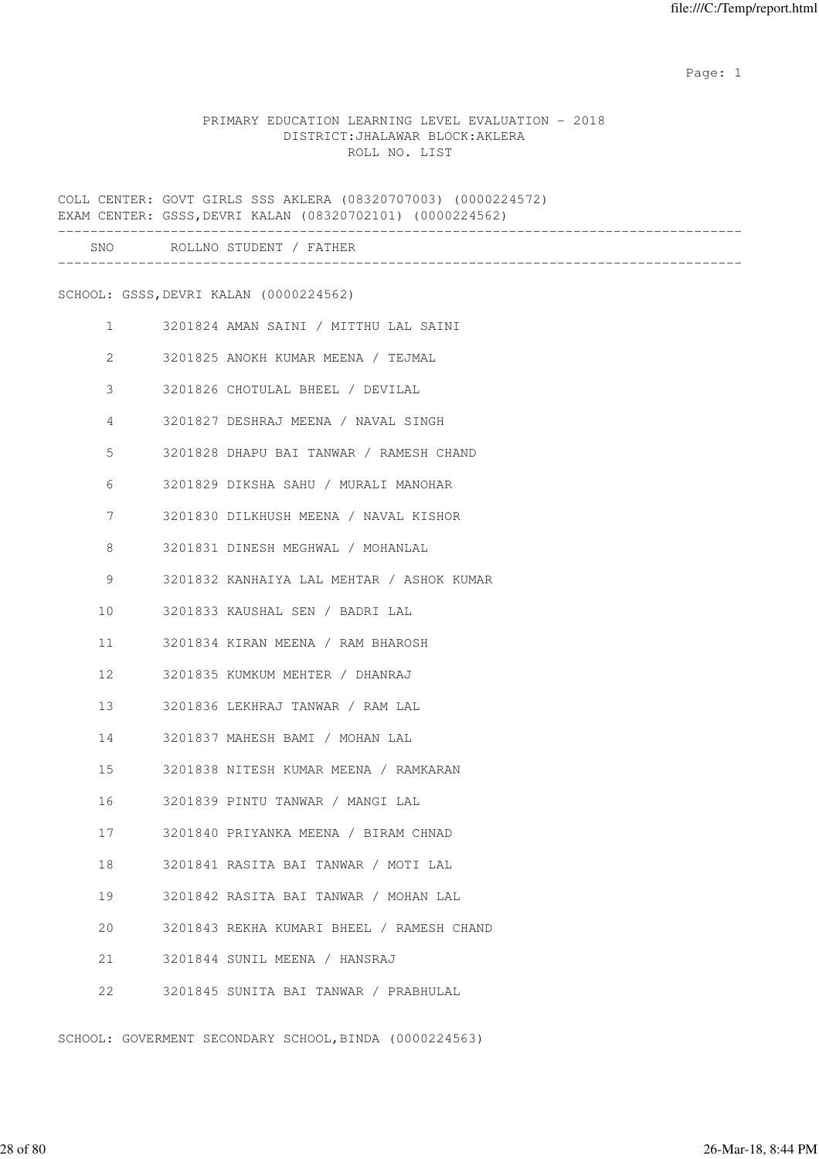#### PRIMARY EDUCATION LEARNING LEVEL EVALUATION - 2018 DISTRICT:JHALAWAR BLOCK:AKLERA ROLL NO. LIST

COLL CENTER: GOVT GIRLS SSS AKLERA (08320707003) (0000224572) EXAM CENTER: GSSS,DEVRI KALAN (08320702101) (0000224562) ------------------------------------------------------------------------------------- SNO ROLLNO STUDENT / FATHER ------------------------------------------------------------------------------------- SCHOOL: GSSS,DEVRI KALAN (0000224562) 1 3201824 AMAN SAINI / MITTHU LAL SAINI 2 3201825 ANOKH KUMAR MEENA / TEJMAL 3 3201826 CHOTULAL BHEEL / DEVILAL 4 3201827 DESHRAJ MEENA / NAVAL SINGH 5 3201828 DHAPU BAI TANWAR / RAMESH CHAND 6 3201829 DIKSHA SAHU / MURALI MANOHAR 7 3201830 DILKHUSH MEENA / NAVAL KISHOR 8 3201831 DINESH MEGHWAL / MOHANLAL 9 3201832 KANHAIYA LAL MEHTAR / ASHOK KUMAR 10 3201833 KAUSHAL SEN / BADRI LAL 11 3201834 KIRAN MEENA / RAM BHAROSH 12 3201835 KUMKUM MEHTER / DHANRAJ 13 3201836 LEKHRAJ TANWAR / RAM LAL 14 3201837 MAHESH BAMI / MOHAN LAL 15 3201838 NITESH KUMAR MEENA / RAMKARAN 16 3201839 PINTU TANWAR / MANGI LAL 17 3201840 PRIYANKA MEENA / BIRAM CHNAD 18 3201841 RASITA BAI TANWAR / MOTI LAL 19 3201842 RASITA BAI TANWAR / MOHAN LAL 20 3201843 REKHA KUMARI BHEEL / RAMESH CHAND 21 3201844 SUNIL MEENA / HANSRAJ 22 3201845 SUNITA BAI TANWAR / PRABHULAL

SCHOOL: GOVERMENT SECONDARY SCHOOL,BINDA (0000224563)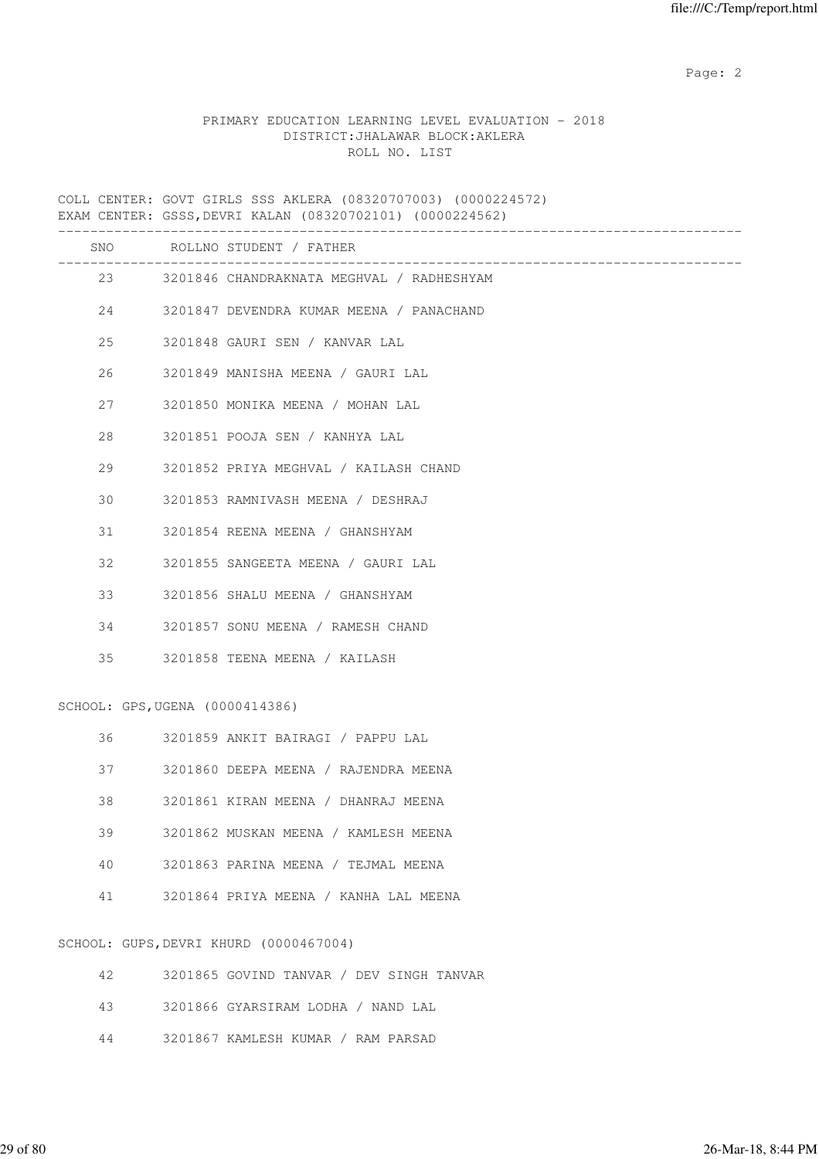### PRIMARY EDUCATION LEARNING LEVEL EVALUATION - 2018 DISTRICT:JHALAWAR BLOCK:AKLERA ROLL NO. LIST

COLL CENTER: GOVT GIRLS SSS AKLERA (08320707003) (0000224572) EXAM CENTER: GSSS,DEVRI KALAN (08320702101) (0000224562)

|                                 |  | ___________________________________          |  |  |
|---------------------------------|--|----------------------------------------------|--|--|
|                                 |  | SNO ROLLNO STUDENT / FATHER                  |  |  |
|                                 |  | 23 3201846 CHANDRAKNATA MEGHVAL / RADHESHYAM |  |  |
| 24                              |  | 3201847 DEVENDRA KUMAR MEENA / PANACHAND     |  |  |
| 25                              |  | 3201848 GAURI SEN / KANVAR LAL               |  |  |
| 26                              |  | 3201849 MANISHA MEENA / GAURI LAL            |  |  |
| 27                              |  | 3201850 MONIKA MEENA / MOHAN LAL             |  |  |
| 28                              |  | 3201851 POOJA SEN / KANHYA LAL               |  |  |
| 29                              |  | 3201852 PRIYA MEGHVAL / KAILASH CHAND        |  |  |
| 30                              |  | 3201853 RAMNIVASH MEENA / DESHRAJ            |  |  |
| 31                              |  | 3201854 REENA MEENA / GHANSHYAM              |  |  |
| 32                              |  | 3201855 SANGEETA MEENA / GAURI LAL           |  |  |
| 33                              |  | 3201856 SHALU MEENA / GHANSHYAM              |  |  |
| 34                              |  | 3201857 SONU MEENA / RAMESH CHAND            |  |  |
| 35                              |  | 3201858 TEENA MEENA / KAILASH                |  |  |
| SCHOOL: GPS, UGENA (0000414386) |  |                                              |  |  |
| 36                              |  | 3201859 ANKIT BAIRAGI / PAPPU LAL            |  |  |
| 37                              |  | 3201860 DEEPA MEENA / RAJENDRA MEENA         |  |  |
| 38                              |  | 3201861 KIRAN MEENA / DHANRAJ MEENA          |  |  |
| 39                              |  | 3201862 MUSKAN MEENA / KAMLESH MEENA         |  |  |
| 40                              |  | 3201863 PARINA MEENA / TEJMAL MEENA          |  |  |
| 41                              |  | 3201864 PRIYA MEENA / KANHA LAL MEENA        |  |  |
|                                 |  | SCHOOL: GUPS, DEVRI KHURD (0000467004)       |  |  |
| 42                              |  | 3201865 GOVIND TANVAR / DEV SINGH TANVAR     |  |  |

- 43 3201866 GYARSIRAM LODHA / NAND LAL
- 44 3201867 KAMLESH KUMAR / RAM PARSAD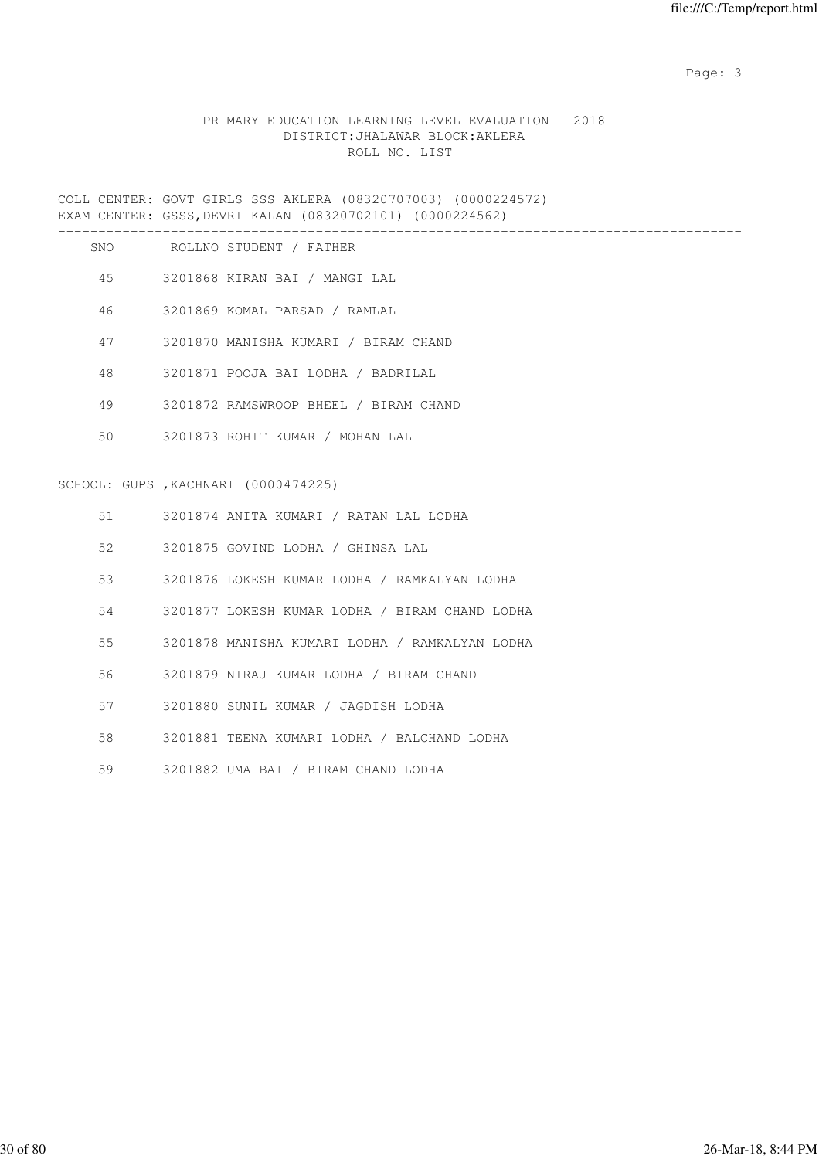## PRIMARY EDUCATION LEARNING LEVEL EVALUATION - 2018 DISTRICT:JHALAWAR BLOCK:AKLERA ROLL NO. LIST

COLL CENTER: GOVT GIRLS SSS AKLERA (08320707003) (0000224572) EXAM CENTER: GSSS,DEVRI KALAN (08320702101) (0000224562)

|    | SNO ROLLNO STUDENT / FATHER                    |
|----|------------------------------------------------|
|    | 45 3201868 KIRAN BAI / MANGI LAL               |
| 46 | 3201869 KOMAL PARSAD / RAMLAL                  |
| 47 | 3201870 MANISHA KUMARI / BIRAM CHAND           |
| 48 | 3201871 POOJA BAI LODHA / BADRILAL             |
| 49 | 3201872 RAMSWROOP BHEEL / BIRAM CHAND          |
| 50 | 3201873 ROHIT KUMAR / MOHAN LAL                |
|    | SCHOOL: GUPS, KACHNARI (0000474225)            |
| 51 | 3201874 ANITA KUMARI / RATAN LAL LODHA         |
| 52 | 3201875 GOVIND LODHA / GHINSA LAL              |
| 53 | 3201876 LOKESH KUMAR LODHA / RAMKALYAN LODHA   |
| 54 | 3201877 LOKESH KUMAR LODHA / BIRAM CHAND LODHA |
| 55 | 3201878 MANISHA KUMARI LODHA / RAMKALYAN LODHA |
| 56 | 3201879 NIRAJ KUMAR LODHA / BIRAM CHAND        |
| 57 | 3201880 SUNIL KUMAR / JAGDISH LODHA            |
| 58 | 3201881 TEENA KUMARI LODHA / BALCHAND LODHA    |
| 59 | 3201882 UMA BAI / BIRAM CHAND LODHA            |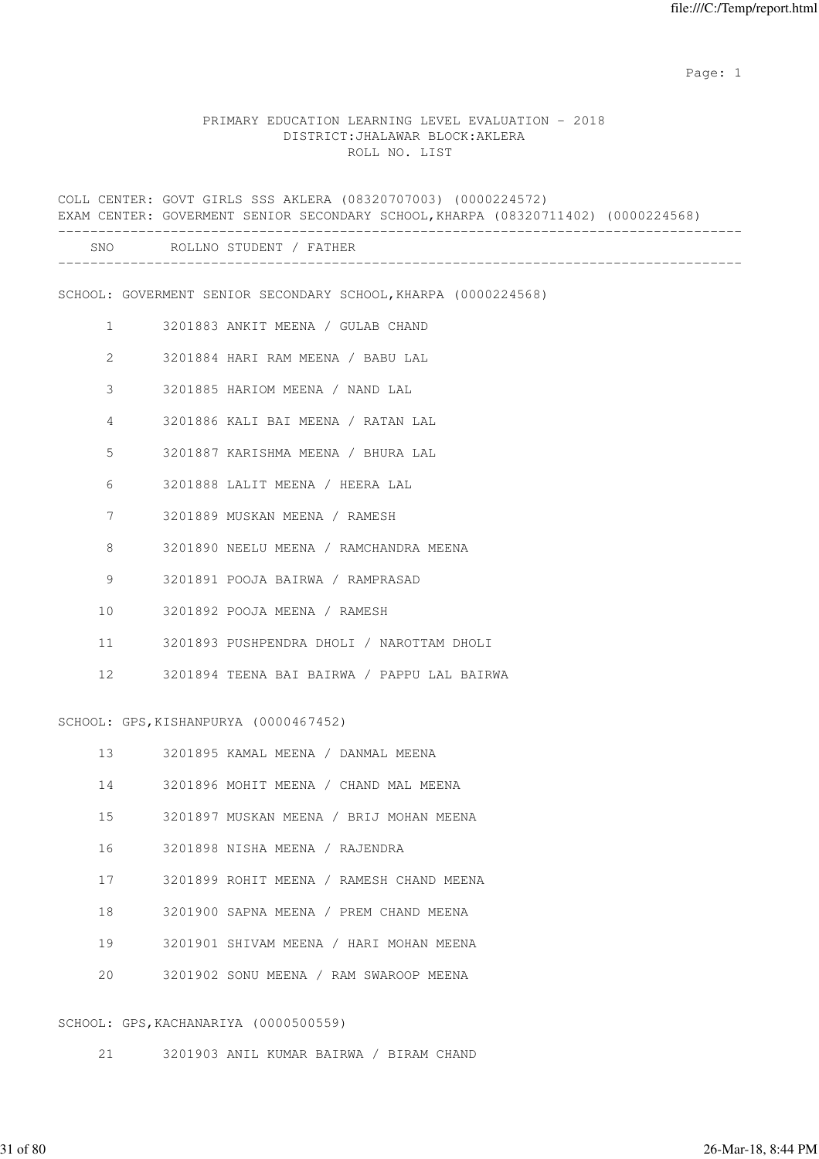#### PRIMARY EDUCATION LEARNING LEVEL EVALUATION - 2018 DISTRICT:JHALAWAR BLOCK:AKLERA ROLL NO. LIST

COLL CENTER: GOVT GIRLS SSS AKLERA (08320707003) (0000224572) EXAM CENTER: GOVERMENT SENIOR SECONDARY SCHOOL,KHARPA (08320711402) (0000224568) ------------------------------------------------------------------------------------- SNO ROLLNO STUDENT / FATHER ------------------------------------------------------------------------------------- SCHOOL: GOVERMENT SENIOR SECONDARY SCHOOL,KHARPA (0000224568) 1 3201883 ANKIT MEENA / GULAB CHAND 2 3201884 HARI RAM MEENA / BABU LAL 3 3201885 HARIOM MEENA / NAND LAL 4 3201886 KALI BAI MEENA / RATAN LAL 5 3201887 KARISHMA MEENA / BHURA LAL 6 3201888 LALIT MEENA / HEERA LAL 7 3201889 MUSKAN MEENA / RAMESH 8 3201890 NEELU MEENA / RAMCHANDRA MEENA 9 3201891 POOJA BAIRWA / RAMPRASAD 10 3201892 POOJA MEENA / RAMESH 11 3201893 PUSHPENDRA DHOLI / NAROTTAM DHOLI 12 3201894 TEENA BAI BAIRWA / PAPPU LAL BAIRWA SCHOOL: GPS, KISHANPURYA (0000467452) 13 3201895 KAMAL MEENA / DANMAL MEENA 14 3201896 MOHIT MEENA / CHAND MAL MEENA 15 3201897 MUSKAN MEENA / BRIJ MOHAN MEENA 16 3201898 NISHA MEENA / RAJENDRA 17 3201899 ROHIT MEENA / RAMESH CHAND MEENA 18 3201900 SAPNA MEENA / PREM CHAND MEENA 19 3201901 SHIVAM MEENA / HARI MOHAN MEENA 20 3201902 SONU MEENA / RAM SWAROOP MEENA

#### SCHOOL: GPS,KACHANARIYA (0000500559)

21 3201903 ANIL KUMAR BAIRWA / BIRAM CHAND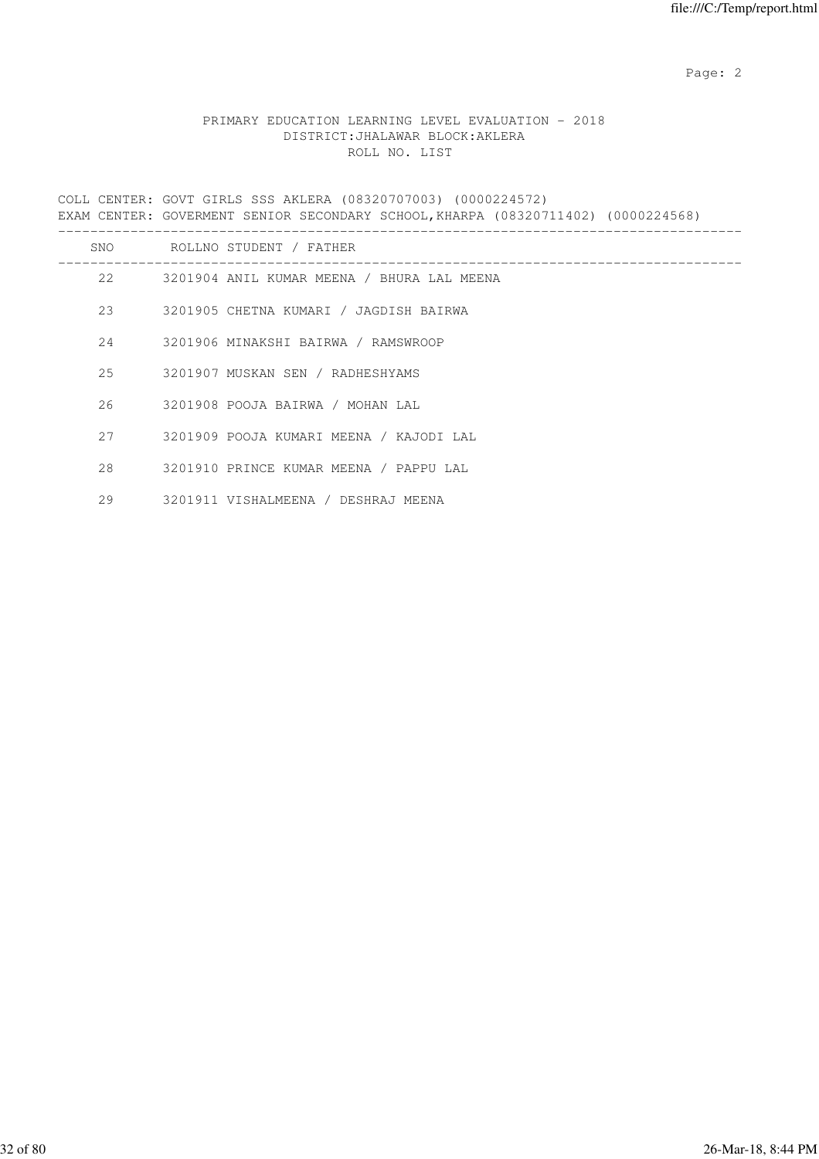## PRIMARY EDUCATION LEARNING LEVEL EVALUATION - 2018 DISTRICT:JHALAWAR BLOCK:AKLERA ROLL NO. LIST

COLL CENTER: GOVT GIRLS SSS AKLERA (08320707003) (0000224572) EXAM CENTER: GOVERMENT SENIOR SECONDARY SCHOOL,KHARPA (08320711402) (0000224568) ------------------------------------------------------------------------------------- SNO ROLLNO STUDENT / FATHER -------------------------------------------------------------------------------------

- 22 3201904 ANIL KUMAR MEENA / BHURA LAL MEENA 23 3201905 CHETNA KUMARI / JAGDISH BAIRWA 24 3201906 MINAKSHI BAIRWA / RAMSWROOP 25 3201907 MUSKAN SEN / RADHESHYAMS 26 3201908 POOJA BAIRWA / MOHAN LAL 27 3201909 POOJA KUMARI MEENA / KAJODI LAL 28 3201910 PRINCE KUMAR MEENA / PAPPU LAL
	- 29 3201911 VISHALMEENA / DESHRAJ MEENA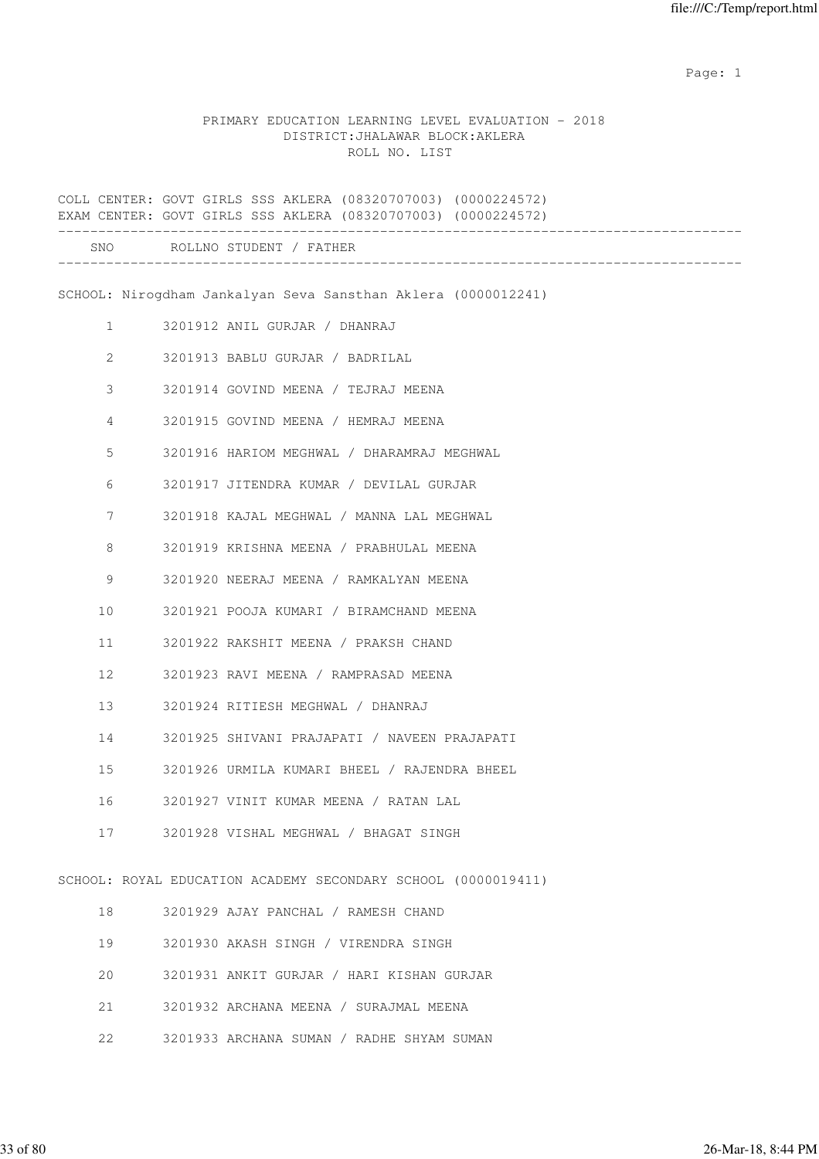#### PRIMARY EDUCATION LEARNING LEVEL EVALUATION - 2018 DISTRICT:JHALAWAR BLOCK:AKLERA ROLL NO. LIST

COLL CENTER: GOVT GIRLS SSS AKLERA (08320707003) (0000224572) EXAM CENTER: GOVT GIRLS SSS AKLERA (08320707003) (0000224572) ------------------------------------------------------------------------------------- SNO ROLLNO STUDENT / FATHER ------------------------------------------------------------------------------------- SCHOOL: Nirogdham Jankalyan Seva Sansthan Aklera (0000012241) 1 3201912 ANIL GURJAR / DHANRAJ 2 3201913 BABLU GURJAR / BADRILAL 3 3201914 GOVIND MEENA / TEJRAJ MEENA 4 3201915 GOVIND MEENA / HEMRAJ MEENA 5 3201916 HARIOM MEGHWAL / DHARAMRAJ MEGHWAL 6 3201917 JITENDRA KUMAR / DEVILAL GURJAR 7 3201918 KAJAL MEGHWAL / MANNA LAL MEGHWAL 8 3201919 KRISHNA MEENA / PRABHULAL MEENA 9 3201920 NEERAJ MEENA / RAMKALYAN MEENA 10 3201921 POOJA KUMARI / BIRAMCHAND MEENA 11 3201922 RAKSHIT MEENA / PRAKSH CHAND 12 3201923 RAVI MEENA / RAMPRASAD MEENA 13 3201924 RITIESH MEGHWAL / DHANRAJ 14 3201925 SHIVANI PRAJAPATI / NAVEEN PRAJAPATI 15 3201926 URMILA KUMARI BHEEL / RAJENDRA BHEEL 16 3201927 VINIT KUMAR MEENA / RATAN LAL 17 3201928 VISHAL MEGHWAL / BHAGAT SINGH SCHOOL: ROYAL EDUCATION ACADEMY SECONDARY SCHOOL (0000019411) 18 3201929 AJAY PANCHAL / RAMESH CHAND 19 3201930 AKASH SINGH / VIRENDRA SINGH 20 3201931 ANKIT GURJAR / HARI KISHAN GURJAR 21 3201932 ARCHANA MEENA / SURAJMAL MEENA 22 3201933 ARCHANA SUMAN / RADHE SHYAM SUMAN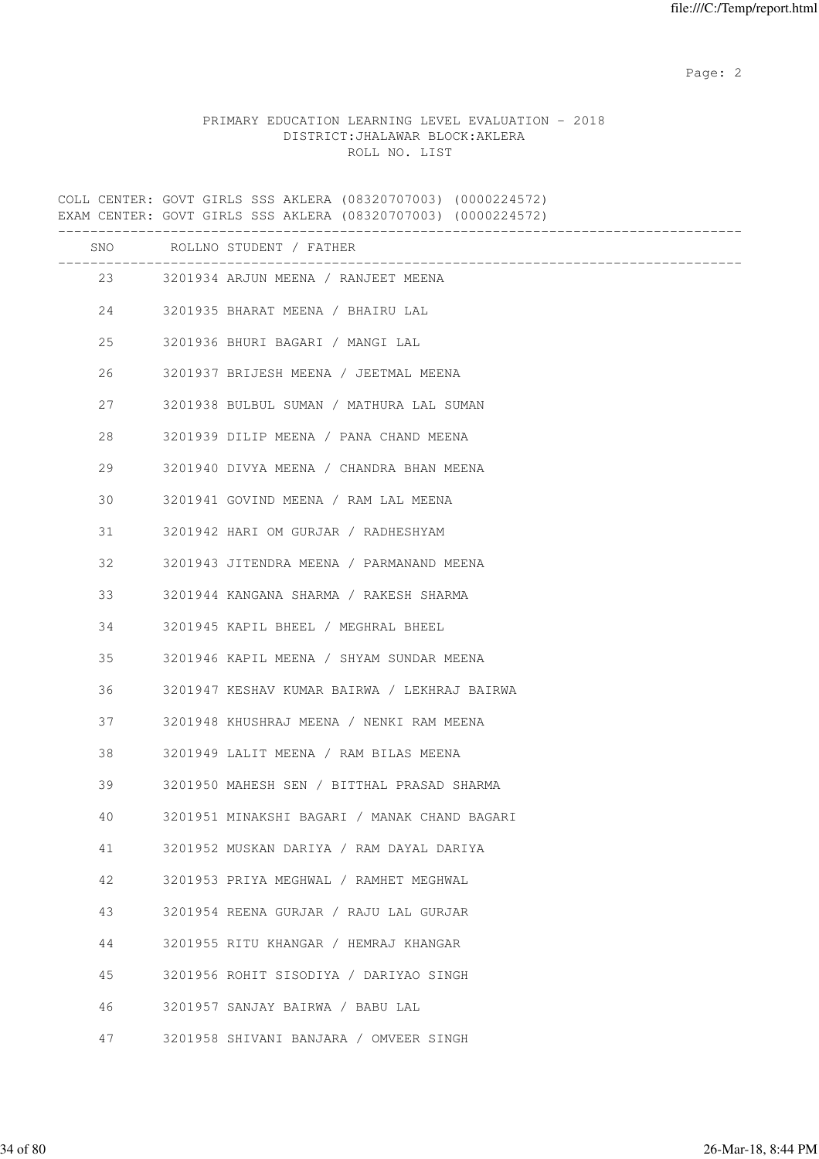### PRIMARY EDUCATION LEARNING LEVEL EVALUATION - 2018 DISTRICT:JHALAWAR BLOCK:AKLERA ROLL NO. LIST

COLL CENTER: GOVT GIRLS SSS AKLERA (08320707003) (0000224572) EXAM CENTER: GOVT GIRLS SSS AKLERA (08320707003) (0000224572) ------------------------------------------------------------------------------------- SNO ROLLNO STUDENT / FATHER ------------------------------------------------------------------------------------- 23 3201934 ARJUN MEENA / RANJEET MEENA 24 3201935 BHARAT MEENA / BHAIRU LAL 25 3201936 BHURI BAGARI / MANGI LAL 26 3201937 BRIJESH MEENA / JEETMAL MEENA 27 3201938 BULBUL SUMAN / MATHURA LAL SUMAN 28 3201939 DILIP MEENA / PANA CHAND MEENA 29 3201940 DIVYA MEENA / CHANDRA BHAN MEENA 30 3201941 GOVIND MEENA / RAM LAL MEENA 31 3201942 HARI OM GURJAR / RADHESHYAM 32 3201943 JITENDRA MEENA / PARMANAND MEENA 33 3201944 KANGANA SHARMA / RAKESH SHARMA 34 3201945 KAPIL BHEEL / MEGHRAL BHEEL 35 3201946 KAPIL MEENA / SHYAM SUNDAR MEENA 36 3201947 KESHAV KUMAR BAIRWA / LEKHRAJ BAIRWA 37 3201948 KHUSHRAJ MEENA / NENKI RAM MEENA 38 3201949 LALIT MEENA / RAM BILAS MEENA 39 3201950 MAHESH SEN / BITTHAL PRASAD SHARMA 40 3201951 MINAKSHI BAGARI / MANAK CHAND BAGARI 41 3201952 MUSKAN DARIYA / RAM DAYAL DARIYA 42 3201953 PRIYA MEGHWAL / RAMHET MEGHWAL 43 3201954 REENA GURJAR / RAJU LAL GURJAR 44 3201955 RITU KHANGAR / HEMRAJ KHANGAR 45 3201956 ROHIT SISODIYA / DARIYAO SINGH 46 3201957 SANJAY BAIRWA / BABU LAL 47 3201958 SHIVANI BANJARA / OMVEER SINGH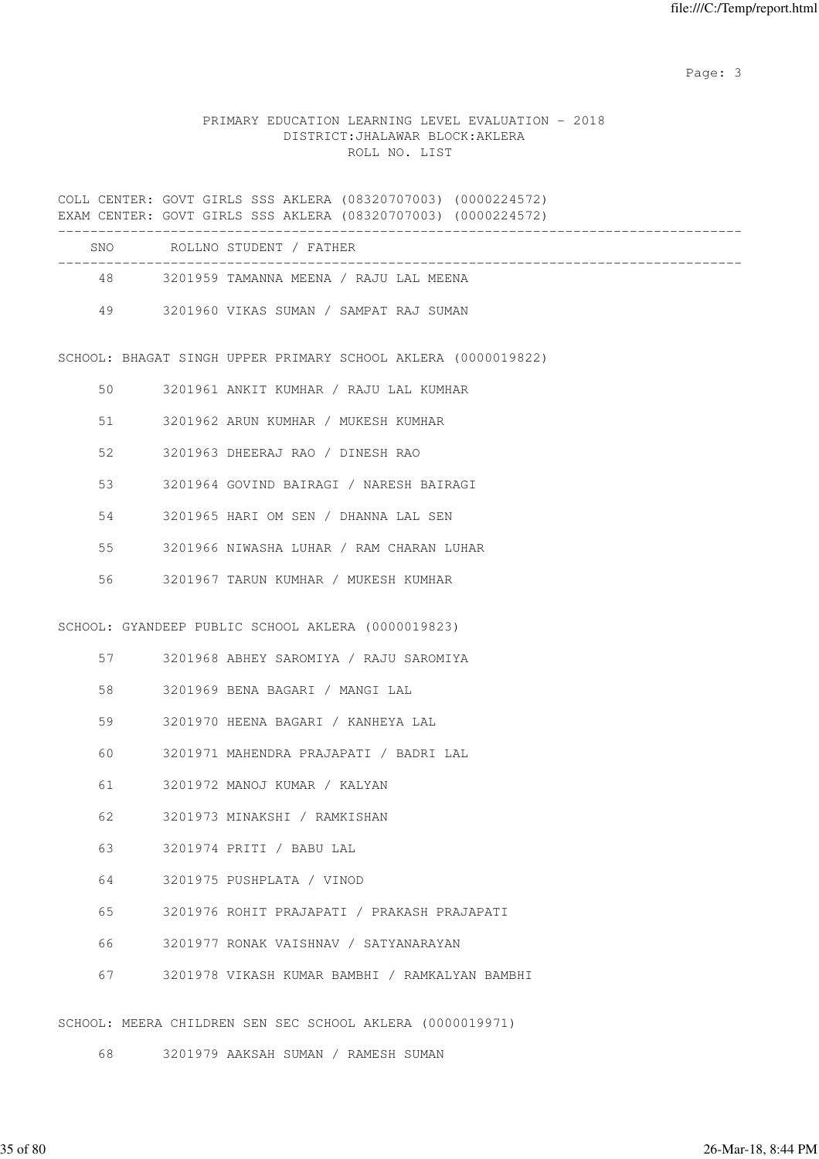### PRIMARY EDUCATION LEARNING LEVEL EVALUATION - 2018 DISTRICT:JHALAWAR BLOCK:AKLERA ROLL NO. LIST

COLL CENTER: GOVT GIRLS SSS AKLERA (08320707003) (0000224572) EXAM CENTER: GOVT GIRLS SSS AKLERA (08320707003) (0000224572) -------------------------------------------------------------------------------------

| SNO. | ROLLNO STUDENT / FATHER                |  |
|------|----------------------------------------|--|
| 48   | 3201959 TAMANNA MEENA / RAJU LAL MEENA |  |
| 49   | 3201960 VIKAS SUMAN / SAMPAT RAJ SUMAN |  |

SCHOOL: BHAGAT SINGH UPPER PRIMARY SCHOOL AKLERA (0000019822)

| 50 | 3201961 ANKIT KUMHAR / RAJU LAL KUMHAR   |
|----|------------------------------------------|
| 51 | 3201962 ARUN KUMHAR / MUKESH KUMHAR      |
| 52 | 3201963 DHEERAJ RAO / DINESH RAO         |
| 53 | 3201964 GOVIND BAIRAGI / NARESH BAIRAGI  |
| 54 | 3201965 HARI OM SEN / DHANNA LAL SEN     |
| 55 | 3201966 NIWASHA LUHAR / RAM CHARAN LUHAR |
| 56 | 3201967 TARUN KUMHAR / MUKESH KUMHAR     |
|    |                                          |

SCHOOL: GYANDEEP PUBLIC SCHOOL AKLERA (0000019823)

- 57 3201968 ABHEY SAROMIYA / RAJU SAROMIYA
- 58 3201969 BENA BAGARI / MANGI LAL
- 59 3201970 HEENA BAGARI / KANHEYA LAL
- 60 3201971 MAHENDRA PRAJAPATI / BADRI LAL
- 61 3201972 MANOJ KUMAR / KALYAN
- 62 3201973 MINAKSHI / RAMKISHAN
- 63 3201974 PRITI / BABU LAL
- 64 3201975 PUSHPLATA / VINOD
- 65 3201976 ROHIT PRAJAPATI / PRAKASH PRAJAPATI
- 66 3201977 RONAK VAISHNAV / SATYANARAYAN
- 67 3201978 VIKASH KUMAR BAMBHI / RAMKALYAN BAMBHI

SCHOOL: MEERA CHILDREN SEN SEC SCHOOL AKLERA (0000019971)

68 3201979 AAKSAH SUMAN / RAMESH SUMAN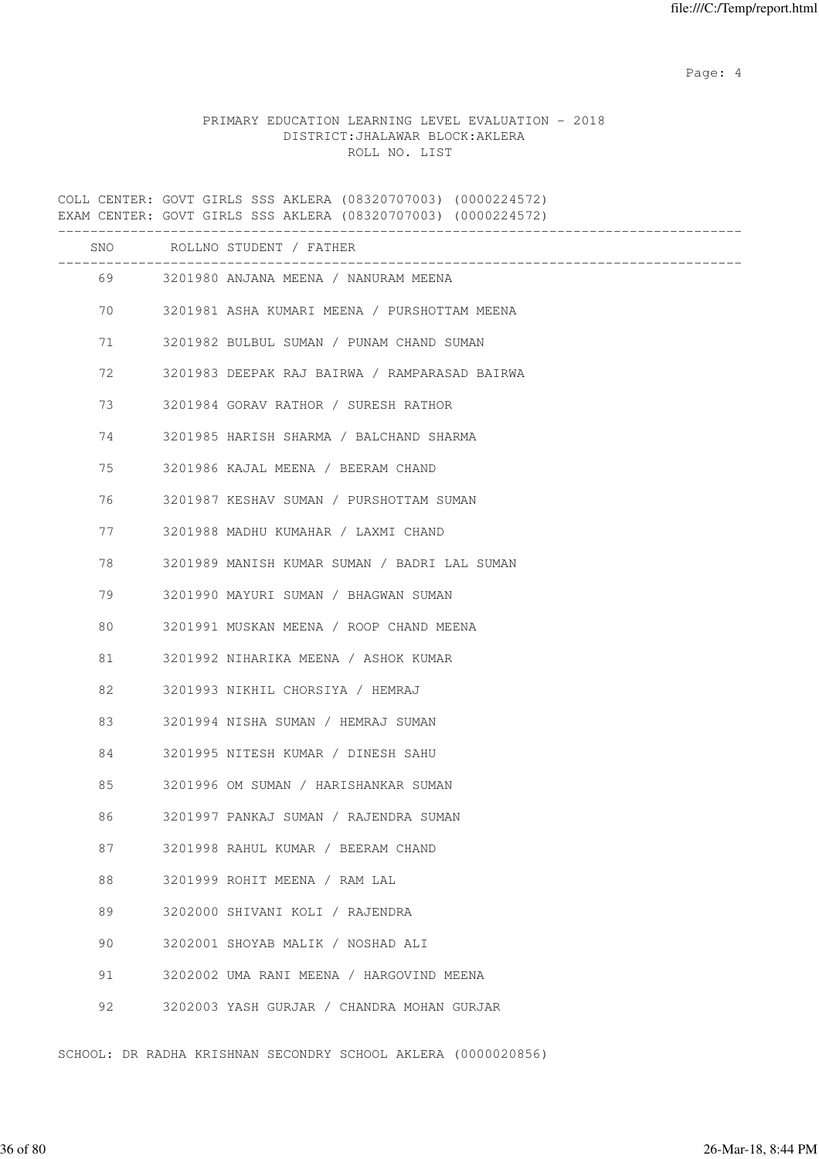Page: 4  $P$ 

### PRIMARY EDUCATION LEARNING LEVEL EVALUATION - 2018 DISTRICT:JHALAWAR BLOCK:AKLERA ROLL NO. LIST

COLL CENTER: GOVT GIRLS SSS AKLERA (08320707003) (0000224572) EXAM CENTER: GOVT GIRLS SSS AKLERA (08320707003) (0000224572) ------------------------------------------------------------------------------------- SNO ROLLNO STUDENT / FATHER ------------------------------------------------------------------------------------- 69 3201980 ANJANA MEENA / NANURAM MEENA 70 3201981 ASHA KUMARI MEENA / PURSHOTTAM MEENA 71 3201982 BULBUL SUMAN / PUNAM CHAND SUMAN 72 3201983 DEEPAK RAJ BAIRWA / RAMPARASAD BAIRWA 73 3201984 GORAV RATHOR / SURESH RATHOR 74 3201985 HARISH SHARMA / BALCHAND SHARMA 75 3201986 KAJAL MEENA / BEERAM CHAND 76 3201987 KESHAV SUMAN / PURSHOTTAM SUMAN 77 3201988 MADHU KUMAHAR / LAXMI CHAND 78 3201989 MANISH KUMAR SUMAN / BADRI LAL SUMAN 79 3201990 MAYURI SUMAN / BHAGWAN SUMAN 80 3201991 MUSKAN MEENA / ROOP CHAND MEENA 81 3201992 NIHARIKA MEENA / ASHOK KUMAR 82 3201993 NIKHIL CHORSIYA / HEMRAJ 83 3201994 NISHA SUMAN / HEMRAJ SUMAN 84 3201995 NITESH KUMAR / DINESH SAHU 85 3201996 OM SUMAN / HARISHANKAR SUMAN 86 3201997 PANKAJ SUMAN / RAJENDRA SUMAN 87 3201998 RAHUL KUMAR / BEERAM CHAND 88 3201999 ROHIT MEENA / RAM LAL 89 3202000 SHIVANI KOLI / RAJENDRA 90 3202001 SHOYAB MALIK / NOSHAD ALI 91 3202002 UMA RANI MEENA / HARGOVIND MEENA 92 3202003 YASH GURJAR / CHANDRA MOHAN GURJAR

SCHOOL: DR RADHA KRISHNAN SECONDRY SCHOOL AKLERA (0000020856)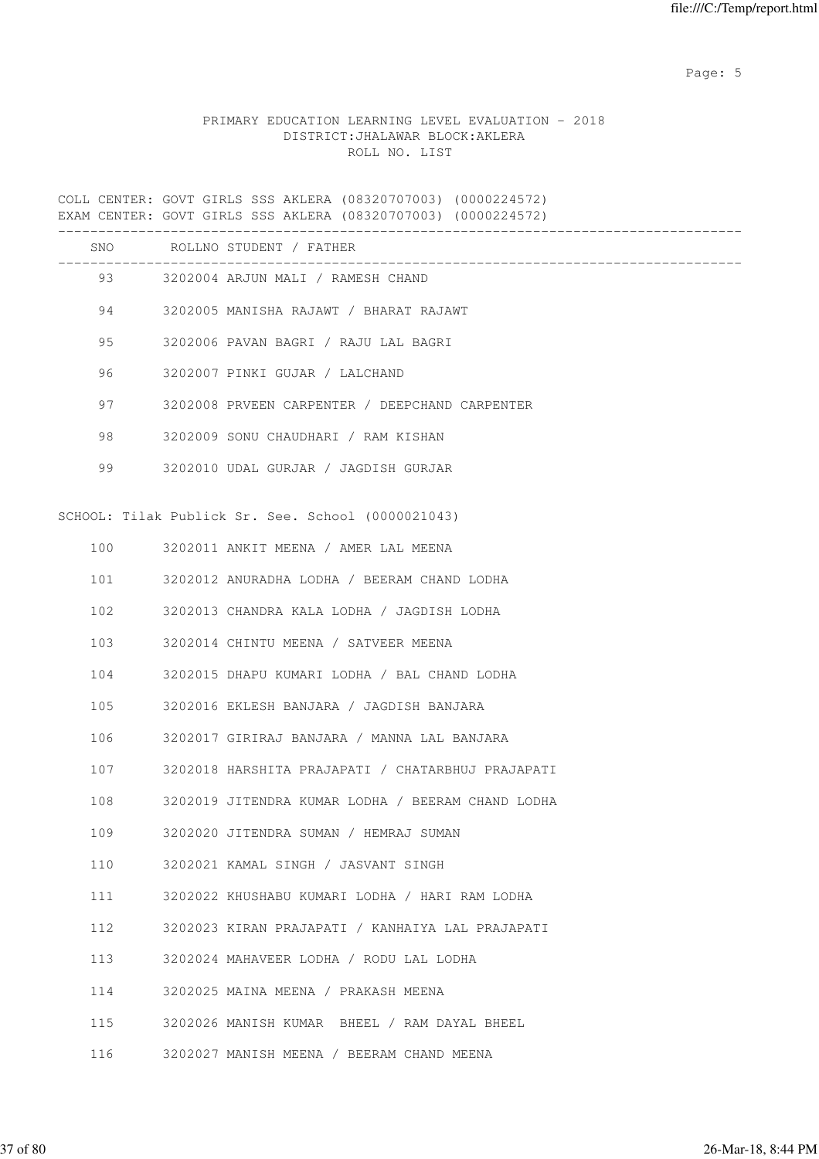Page: 5  $P$  and  $P$  and  $P$  and  $P$  and  $P$  and  $P$  and  $P$  and  $P$  and  $P$  and  $P$  and  $P$  and  $P$  and  $P$  and  $P$  and  $P$  and  $P$  and  $P$  and  $P$  and  $P$  and  $P$  and  $P$  and  $P$  and  $P$  and  $P$  and  $P$  and  $P$  and  $P$  an

# PRIMARY EDUCATION LEARNING LEVEL EVALUATION - 2018 DISTRICT:JHALAWAR BLOCK:AKLERA ROLL NO. LIST

COLL CENTER: GOVT GIRLS SSS AKLERA (08320707003) (0000224572) EXAM CENTER: GOVT GIRLS SSS AKLERA (08320707003) (0000224572) ------------------------------------------------------------------------------------- SNO ROLLNO STUDENT / FATHER ------------------------------------------------------------------------------------- 93 3202004 ARJUN MALI / RAMESH CHAND 94 3202005 MANISHA RAJAWT / BHARAT RAJAWT 95 3202006 PAVAN BAGRI / RAJU LAL BAGRI 96 3202007 PINKI GUJAR / LALCHAND 97 3202008 PRVEEN CARPENTER / DEEPCHAND CARPENTER 98 3202009 SONU CHAUDHARI / RAM KISHAN 99 3202010 UDAL GURJAR / JAGDISH GURJAR SCHOOL: Tilak Publick Sr. See. School (0000021043) 100 3202011 ANKIT MEENA / AMER LAL MEENA 101 3202012 ANURADHA LODHA / BEERAM CHAND LODHA 102 3202013 CHANDRA KALA LODHA / JAGDISH LODHA 103 3202014 CHINTU MEENA / SATVEER MEENA 104 3202015 DHAPU KUMARI LODHA / BAL CHAND LODHA 105 3202016 EKLESH BANJARA / JAGDISH BANJARA 106 3202017 GIRIRAJ BANJARA / MANNA LAL BANJARA 107 3202018 HARSHITA PRAJAPATI / CHATARBHUJ PRAJAPATI 108 3202019 JITENDRA KUMAR LODHA / BEERAM CHAND LODHA 109 3202020 JITENDRA SUMAN / HEMRAJ SUMAN 110 3202021 KAMAL SINGH / JASVANT SINGH 111 3202022 KHUSHABU KUMARI LODHA / HARI RAM LODHA 112 3202023 KIRAN PRAJAPATI / KANHAIYA LAL PRAJAPATI 113 3202024 MAHAVEER LODHA / RODU LAL LODHA 114 3202025 MAINA MEENA / PRAKASH MEENA 115 3202026 MANISH KUMAR BHEEL / RAM DAYAL BHEEL 116 3202027 MANISH MEENA / BEERAM CHAND MEENA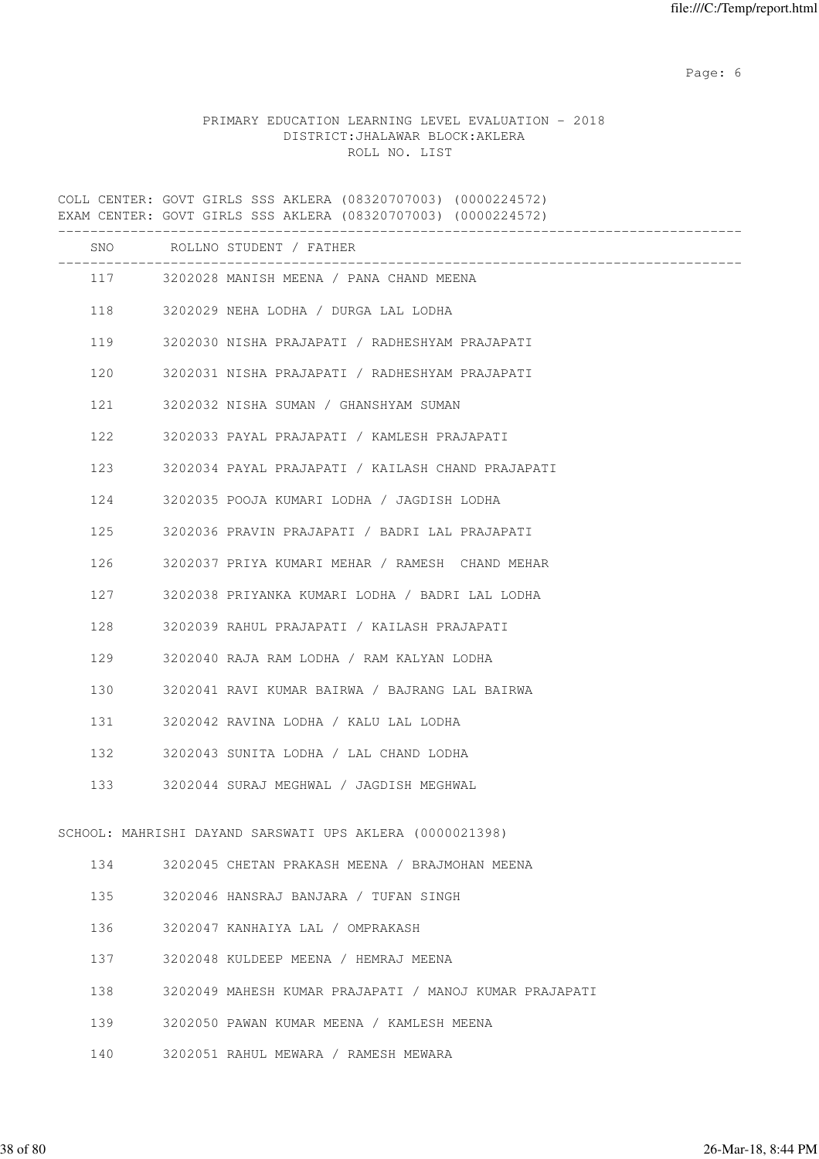Page: 6  $P$  and  $P$  and  $P$  and  $P$  and  $P$  and  $P$  and  $P$  and  $P$  and  $P$  and  $P$  and  $P$  and  $P$  and  $P$  and  $P$  and  $P$  and  $P$  and  $P$  and  $P$  and  $P$  and  $P$  and  $P$  and  $P$  and  $P$  and  $P$  and  $P$  and  $P$  and  $P$  an

# PRIMARY EDUCATION LEARNING LEVEL EVALUATION - 2018 DISTRICT:JHALAWAR BLOCK:AKLERA ROLL NO. LIST

COLL CENTER: GOVT GIRLS SSS AKLERA (08320707003) (0000224572) EXAM CENTER: GOVT GIRLS SSS AKLERA (08320707003) (0000224572) ------------------------------------------------------------------------------------- SNO ROLLNO STUDENT / FATHER ------------------------------------------------------------------------------------- 117 3202028 MANISH MEENA / PANA CHAND MEENA 118 3202029 NEHA LODHA / DURGA LAL LODHA 119 3202030 NISHA PRAJAPATI / RADHESHYAM PRAJAPATI 120 3202031 NISHA PRAJAPATI / RADHESHYAM PRAJAPATI 121 3202032 NISHA SUMAN / GHANSHYAM SUMAN 122 3202033 PAYAL PRAJAPATI / KAMLESH PRAJAPATI 123 3202034 PAYAL PRAJAPATI / KAILASH CHAND PRAJAPATI 124 3202035 POOJA KUMARI LODHA / JAGDISH LODHA 125 3202036 PRAVIN PRAJAPATI / BADRI LAL PRAJAPATI 126 3202037 PRIYA KUMARI MEHAR / RAMESH CHAND MEHAR 127 3202038 PRIYANKA KUMARI LODHA / BADRI LAL LODHA 128 3202039 RAHUL PRAJAPATI / KAILASH PRAJAPATI 129 3202040 RAJA RAM LODHA / RAM KALYAN LODHA 130 3202041 RAVI KUMAR BAIRWA / BAJRANG LAL BAIRWA 131 3202042 RAVINA LODHA / KALU LAL LODHA 132 3202043 SUNITA LODHA / LAL CHAND LODHA 133 3202044 SURAJ MEGHWAL / JAGDISH MEGHWAL SCHOOL: MAHRISHI DAYAND SARSWATI UPS AKLERA (0000021398) 134 3202045 CHETAN PRAKASH MEENA / BRAJMOHAN MEENA 135 3202046 HANSRAJ BANJARA / TUFAN SINGH 136 3202047 KANHAIYA LAL / OMPRAKASH 137 3202048 KULDEEP MEENA / HEMRAJ MEENA 138 3202049 MAHESH KUMAR PRAJAPATI / MANOJ KUMAR PRAJAPATI 139 3202050 PAWAN KUMAR MEENA / KAMLESH MEENA 140 3202051 RAHUL MEWARA / RAMESH MEWARA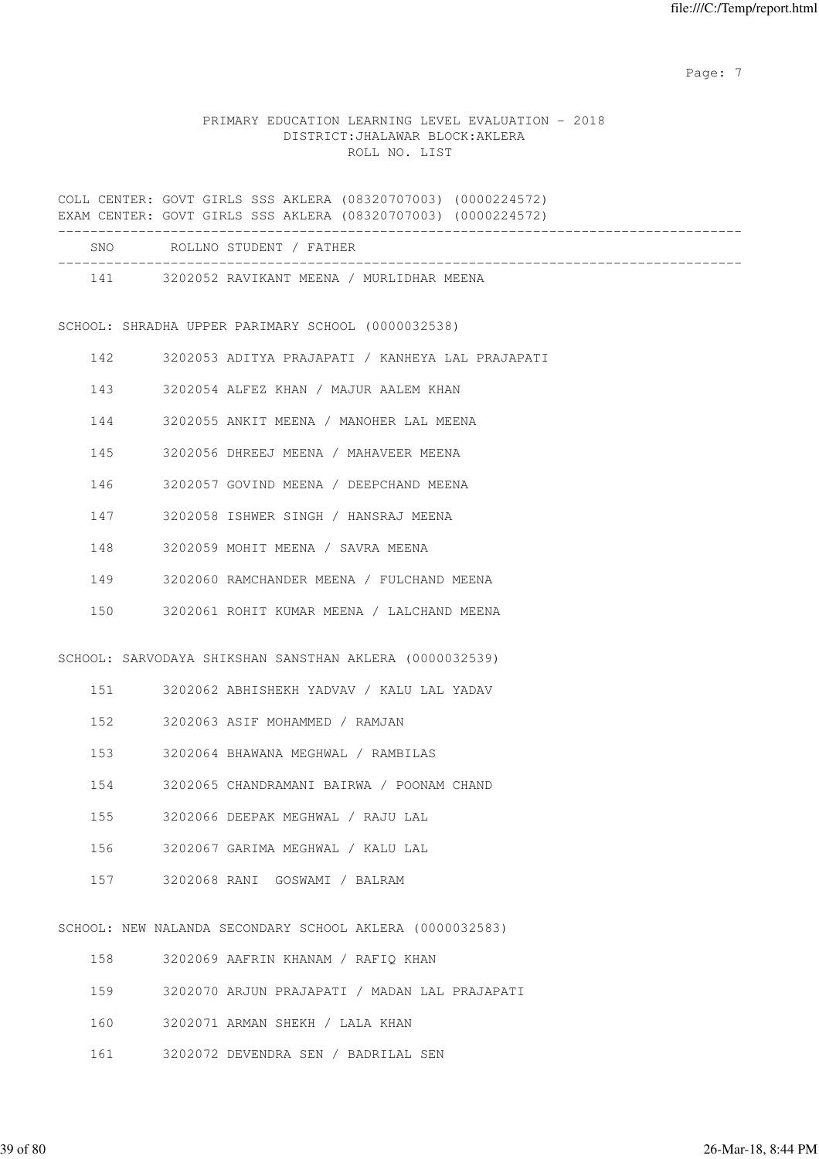Page: 7  $P$  and  $P$  and  $P$  and  $P$  and  $P$  and  $P$  and  $P$  and  $P$  and  $P$  and  $P$  and  $P$  and  $P$  and  $P$  and  $P$  and  $P$  and  $P$  and  $P$  and  $P$  and  $P$  and  $P$  and  $P$  and  $P$  and  $P$  and  $P$  and  $P$  and  $P$  and  $P$  an

# PRIMARY EDUCATION LEARNING LEVEL EVALUATION - 2018 DISTRICT:JHALAWAR BLOCK:AKLERA ROLL NO. LIST

COLL CENTER: GOVT GIRLS SSS AKLERA (08320707003) (0000224572) EXAM CENTER: GOVT GIRLS SSS AKLERA (08320707003) (0000224572) ------------------------------------------------------------------------------------- SNO ROLLNO STUDENT / FATHER ------------------------------------------------------------------------------------- 141 3202052 RAVIKANT MEENA / MURLIDHAR MEENA SCHOOL: SHRADHA UPPER PARIMARY SCHOOL (0000032538) 142 3202053 ADITYA PRAJAPATI / KANHEYA LAL PRAJAPATI 143 3202054 ALFEZ KHAN / MAJUR AALEM KHAN 144 3202055 ANKIT MEENA / MANOHER LAL MEENA 145 3202056 DHREEJ MEENA / MAHAVEER MEENA 146 3202057 GOVIND MEENA / DEEPCHAND MEENA 147 3202058 ISHWER SINGH / HANSRAJ MEENA 148 3202059 MOHIT MEENA / SAVRA MEENA 149 3202060 RAMCHANDER MEENA / FULCHAND MEENA 150 3202061 ROHIT KUMAR MEENA / LALCHAND MEENA SCHOOL: SARVODAYA SHIKSHAN SANSTHAN AKLERA (0000032539) 151 3202062 ABHISHEKH YADVAV / KALU LAL YADAV 152 3202063 ASIF MOHAMMED / RAMJAN 153 3202064 BHAWANA MEGHWAL / RAMBILAS 154 3202065 CHANDRAMANI BAIRWA / POONAM CHAND 155 3202066 DEEPAK MEGHWAL / RAJU LAL 156 3202067 GARIMA MEGHWAL / KALU LAL 157 3202068 RANI GOSWAMI / BALRAM SCHOOL: NEW NALANDA SECONDARY SCHOOL AKLERA (0000032583) 158 3202069 AAFRIN KHANAM / RAFIQ KHAN 159 3202070 ARJUN PRAJAPATI / MADAN LAL PRAJAPATI 160 3202071 ARMAN SHEKH / LALA KHAN

161 3202072 DEVENDRA SEN / BADRILAL SEN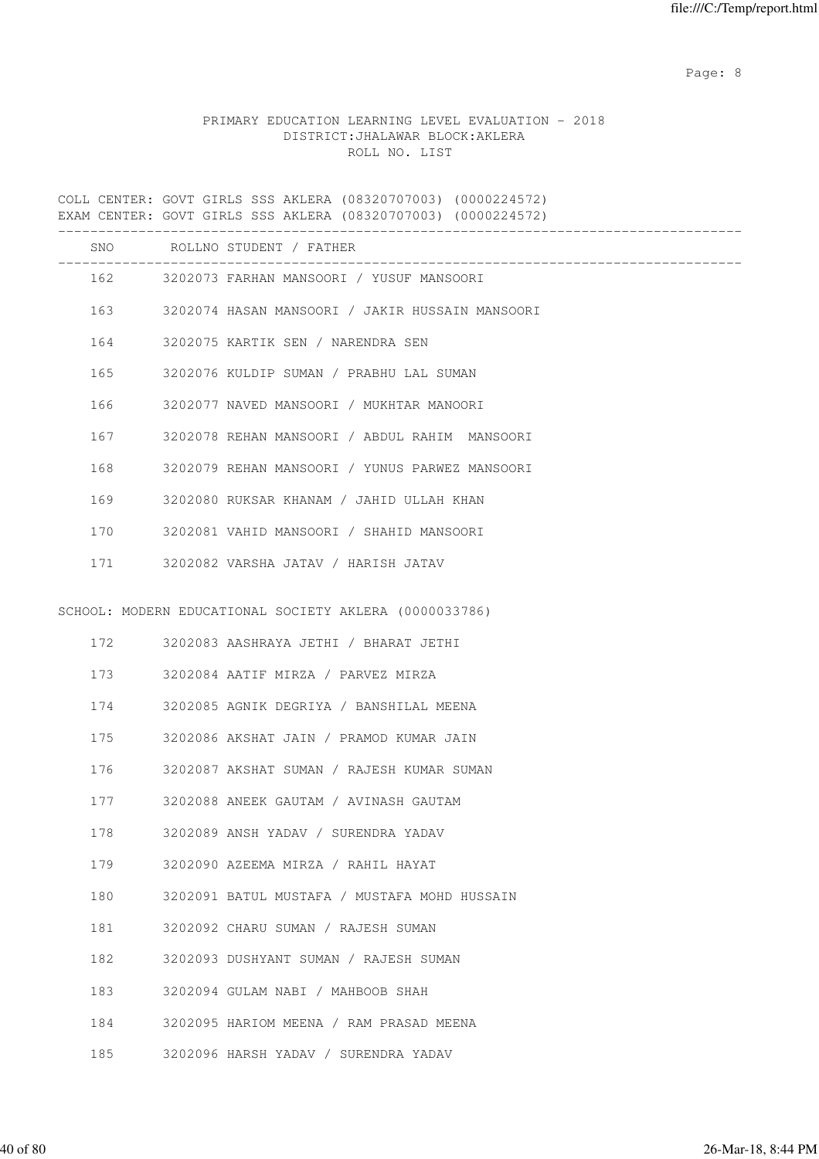en de la provincia de la provincia de la provincia de la provincia de la provincia de la provincia de la provi

# PRIMARY EDUCATION LEARNING LEVEL EVALUATION - 2018 DISTRICT:JHALAWAR BLOCK:AKLERA ROLL NO. LIST

COLL CENTER: GOVT GIRLS SSS AKLERA (08320707003) (0000224572) EXAM CENTER: GOVT GIRLS SSS AKLERA (08320707003) (0000224572) ------------------------------------------------------------------------------------- SNO ROLLNO STUDENT / FATHER ------------------------------------------------------------------------------------- 162 3202073 FARHAN MANSOORI / YUSUF MANSOORI 163 3202074 HASAN MANSOORI / JAKIR HUSSAIN MANSOORI 164 3202075 KARTIK SEN / NARENDRA SEN 165 3202076 KULDIP SUMAN / PRABHU LAL SUMAN 166 3202077 NAVED MANSOORI / MUKHTAR MANOORI 167 3202078 REHAN MANSOORI / ABDUL RAHIM MANSOORI 168 3202079 REHAN MANSOORI / YUNUS PARWEZ MANSOORI 169 3202080 RUKSAR KHANAM / JAHID ULLAH KHAN 170 3202081 VAHID MANSOORI / SHAHID MANSOORI 171 3202082 VARSHA JATAV / HARISH JATAV SCHOOL: MODERN EDUCATIONAL SOCIETY AKLERA (0000033786) 172 3202083 AASHRAYA JETHI / BHARAT JETHI 173 3202084 AATIF MIRZA / PARVEZ MIRZA 174 3202085 AGNIK DEGRIYA / BANSHILAL MEENA 175 3202086 AKSHAT JAIN / PRAMOD KUMAR JAIN 176 3202087 AKSHAT SUMAN / RAJESH KUMAR SUMAN 177 3202088 ANEEK GAUTAM / AVINASH GAUTAM 178 3202089 ANSH YADAV / SURENDRA YADAV 179 3202090 AZEEMA MIRZA / RAHIL HAYAT 180 3202091 BATUL MUSTAFA / MUSTAFA MOHD HUSSAIN 181 3202092 CHARU SUMAN / RAJESH SUMAN 182 3202093 DUSHYANT SUMAN / RAJESH SUMAN 183 3202094 GULAM NABI / MAHBOOB SHAH 184 3202095 HARIOM MEENA / RAM PRASAD MEENA 185 3202096 HARSH YADAV / SURENDRA YADAV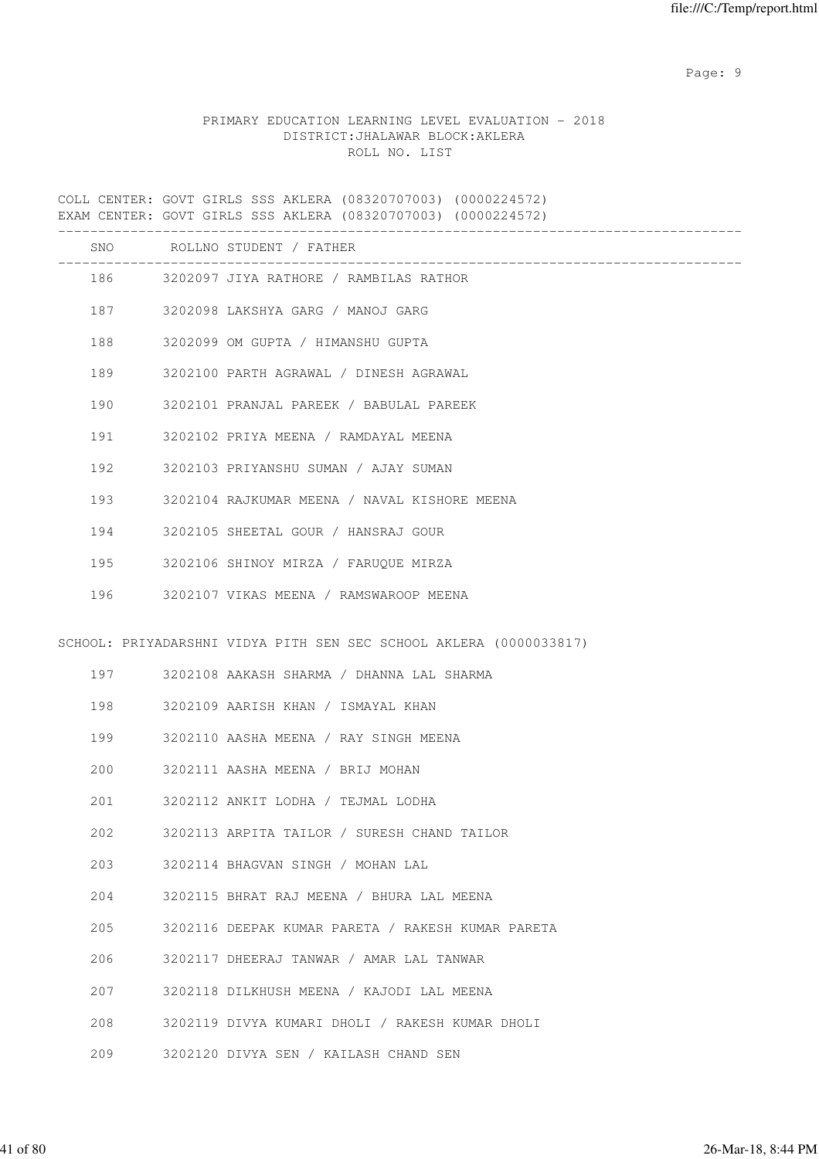en de la provincia de la provincia de la provincia de la provincia de la provincia de la provincia de la provi

# PRIMARY EDUCATION LEARNING LEVEL EVALUATION - 2018 DISTRICT:JHALAWAR BLOCK:AKLERA ROLL NO. LIST

COLL CENTER: GOVT GIRLS SSS AKLERA (08320707003) (0000224572) EXAM CENTER: GOVT GIRLS SSS AKLERA (08320707003) (0000224572) ------------------------------------------------------------------------------------- SNO ROLLNO STUDENT / FATHER ------------------------------------------------------------------------------------- 186 3202097 JIYA RATHORE / RAMBILAS RATHOR 187 3202098 LAKSHYA GARG / MANOJ GARG 188 3202099 OM GUPTA / HIMANSHU GUPTA 189 3202100 PARTH AGRAWAL / DINESH AGRAWAL 190 3202101 PRANJAL PAREEK / BABULAL PAREEK 191 3202102 PRIYA MEENA / RAMDAYAL MEENA 192 3202103 PRIYANSHU SUMAN / AJAY SUMAN 193 3202104 RAJKUMAR MEENA / NAVAL KISHORE MEENA 194 3202105 SHEETAL GOUR / HANSRAJ GOUR 195 3202106 SHINOY MIRZA / FARUQUE MIRZA 196 3202107 VIKAS MEENA / RAMSWAROOP MEENA SCHOOL: PRIYADARSHNI VIDYA PITH SEN SEC SCHOOL AKLERA (0000033817) 197 3202108 AAKASH SHARMA / DHANNA LAL SHARMA 198 3202109 AARISH KHAN / ISMAYAL KHAN 199 3202110 AASHA MEENA / RAY SINGH MEENA 200 3202111 AASHA MEENA / BRIJ MOHAN 201 3202112 ANKIT LODHA / TEJMAL LODHA 202 3202113 ARPITA TAILOR / SURESH CHAND TAILOR 203 3202114 BHAGVAN SINGH / MOHAN LAL 204 3202115 BHRAT RAJ MEENA / BHURA LAL MEENA 205 3202116 DEEPAK KUMAR PARETA / RAKESH KUMAR PARETA 206 3202117 DHEERAJ TANWAR / AMAR LAL TANWAR 207 3202118 DILKHUSH MEENA / KAJODI LAL MEENA 208 3202119 DIVYA KUMARI DHOLI / RAKESH KUMAR DHOLI 209 3202120 DIVYA SEN / KAILASH CHAND SEN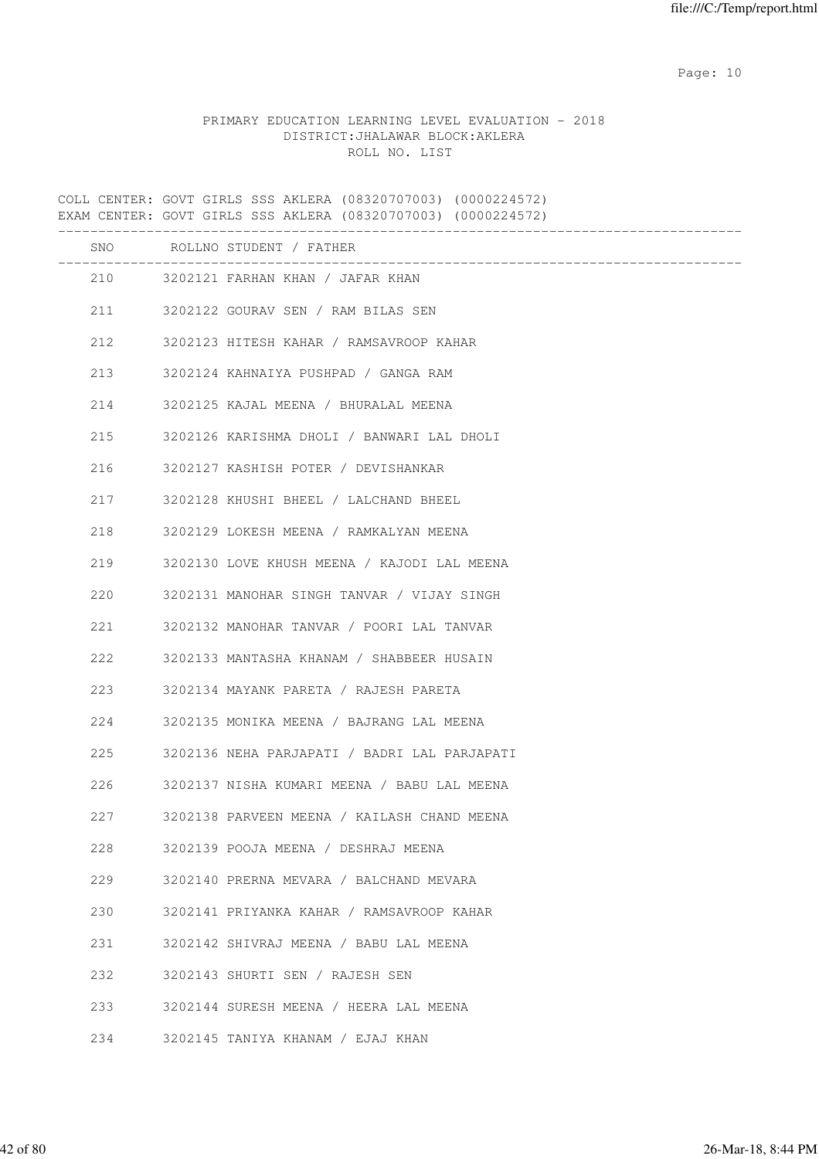# PRIMARY EDUCATION LEARNING LEVEL EVALUATION - 2018 DISTRICT:JHALAWAR BLOCK:AKLERA ROLL NO. LIST

COLL CENTER: GOVT GIRLS SSS AKLERA (08320707003) (0000224572) EXAM CENTER: GOVT GIRLS SSS AKLERA (08320707003) (0000224572) ------------------------------------------------------------------------------------- SNO ROLLNO STUDENT / FATHER ------------------------------------------------------------------------------------- 210 3202121 FARHAN KHAN / JAFAR KHAN 211 3202122 GOURAV SEN / RAM BILAS SEN 212 3202123 HITESH KAHAR / RAMSAVROOP KAHAR 213 3202124 KAHNAIYA PUSHPAD / GANGA RAM 214 3202125 KAJAL MEENA / BHURALAL MEENA 215 3202126 KARISHMA DHOLI / BANWARI LAL DHOLI 216 3202127 KASHISH POTER / DEVISHANKAR 217 3202128 KHUSHI BHEEL / LALCHAND BHEEL 218 3202129 LOKESH MEENA / RAMKALYAN MEENA 219 3202130 LOVE KHUSH MEENA / KAJODI LAL MEENA 220 3202131 MANOHAR SINGH TANVAR / VIJAY SINGH 221 3202132 MANOHAR TANVAR / POORI LAL TANVAR 222 3202133 MANTASHA KHANAM / SHABBEER HUSAIN 223 3202134 MAYANK PARETA / RAJESH PARETA 224 3202135 MONIKA MEENA / BAJRANG LAL MEENA 225 3202136 NEHA PARJAPATI / BADRI LAL PARJAPATI 226 3202137 NISHA KUMARI MEENA / BABU LAL MEENA 227 3202138 PARVEEN MEENA / KAILASH CHAND MEENA 228 3202139 POOJA MEENA / DESHRAJ MEENA 229 3202140 PRERNA MEVARA / BALCHAND MEVARA 230 3202141 PRIYANKA KAHAR / RAMSAVROOP KAHAR 231 3202142 SHIVRAJ MEENA / BABU LAL MEENA 232 3202143 SHURTI SEN / RAJESH SEN 233 3202144 SURESH MEENA / HEERA LAL MEENA 234 3202145 TANIYA KHANAM / EJAJ KHAN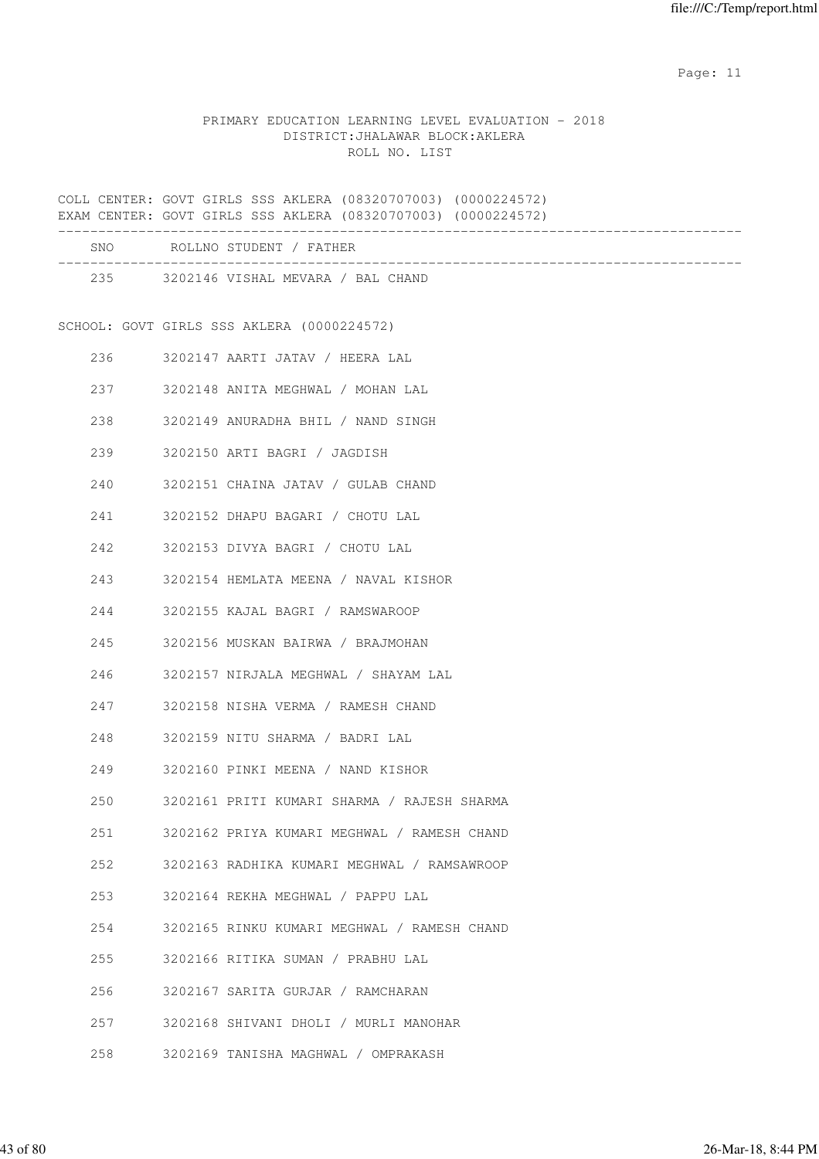# PRIMARY EDUCATION LEARNING LEVEL EVALUATION - 2018 DISTRICT:JHALAWAR BLOCK:AKLERA ROLL NO. LIST

COLL CENTER: GOVT GIRLS SSS AKLERA (08320707003) (0000224572) EXAM CENTER: GOVT GIRLS SSS AKLERA (08320707003) (0000224572) ------------------------------------------------------------------------------------- SNO ROLLNO STUDENT / FATHER ------------------------------------------------------------------------------------- 235 3202146 VISHAL MEVARA / BAL CHAND SCHOOL: GOVT GIRLS SSS AKLERA (0000224572) 236 3202147 AARTI JATAV / HEERA LAL 237 3202148 ANITA MEGHWAL / MOHAN LAL 238 3202149 ANURADHA BHIL / NAND SINGH 239 3202150 ARTI BAGRI / JAGDISH 240 3202151 CHAINA JATAV / GULAB CHAND 241 3202152 DHAPU BAGARI / CHOTU LAL 242 3202153 DIVYA BAGRI / CHOTU LAL 243 3202154 HEMLATA MEENA / NAVAL KISHOR 244 3202155 KAJAL BAGRI / RAMSWAROOP 245 3202156 MUSKAN BAIRWA / BRAJMOHAN 246 3202157 NIRJALA MEGHWAL / SHAYAM LAL 247 3202158 NISHA VERMA / RAMESH CHAND 248 3202159 NITU SHARMA / BADRI LAL 249 3202160 PINKI MEENA / NAND KISHOR 250 3202161 PRITI KUMARI SHARMA / RAJESH SHARMA 251 3202162 PRIYA KUMARI MEGHWAL / RAMESH CHAND 252 3202163 RADHIKA KUMARI MEGHWAL / RAMSAWROOP 253 3202164 REKHA MEGHWAL / PAPPU LAL 254 3202165 RINKU KUMARI MEGHWAL / RAMESH CHAND 255 3202166 RITIKA SUMAN / PRABHU LAL 256 3202167 SARITA GURJAR / RAMCHARAN 257 3202168 SHIVANI DHOLI / MURLI MANOHAR 258 3202169 TANISHA MAGHWAL / OMPRAKASH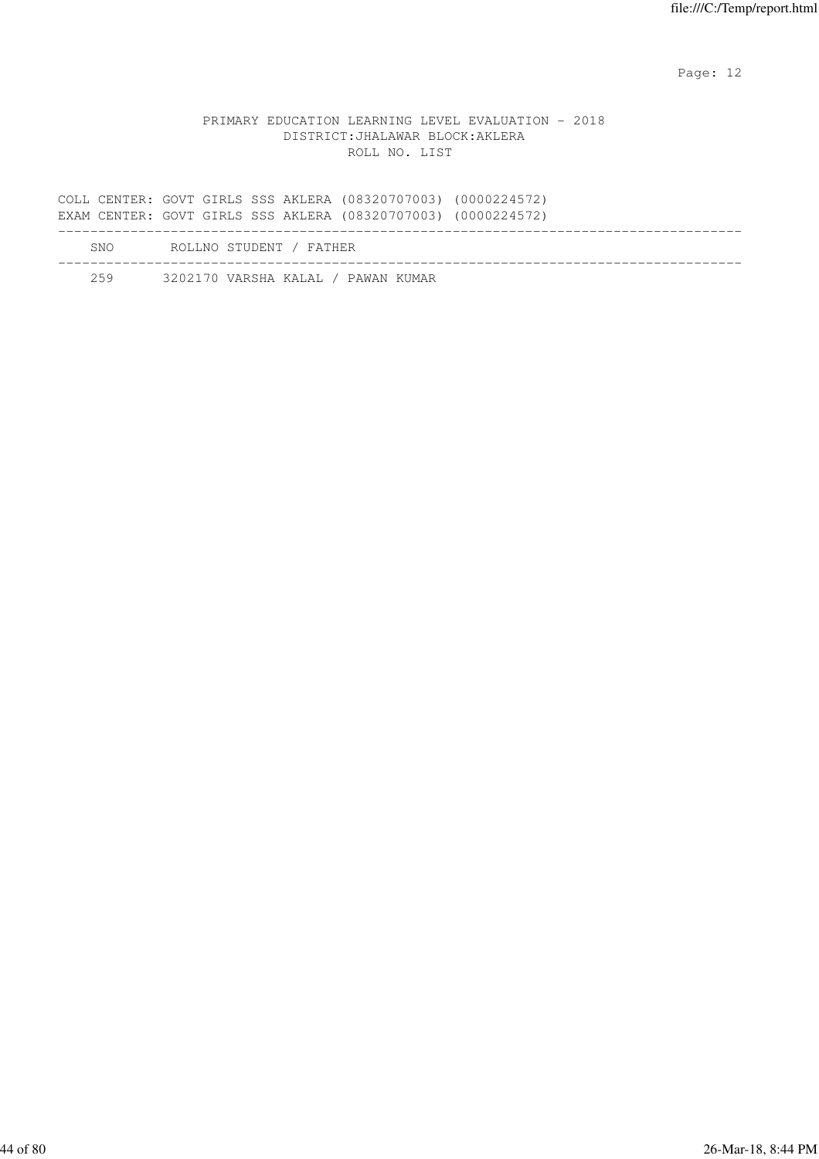### PRIMARY EDUCATION LEARNING LEVEL EVALUATION - 2018 DISTRICT:JHALAWAR BLOCK:AKLERA ROLL NO. LIST

COLL CENTER: GOVT GIRLS SSS AKLERA (08320707003) (0000224572) EXAM CENTER: GOVT GIRLS SSS AKLERA (08320707003) (0000224572) ------------------------------------------------------------------------------------- SNO ROLLNO STUDENT / FATHER ------------------------------------------------------------------------------------- 259 3202170 VARSHA KALAL / PAWAN KUMAR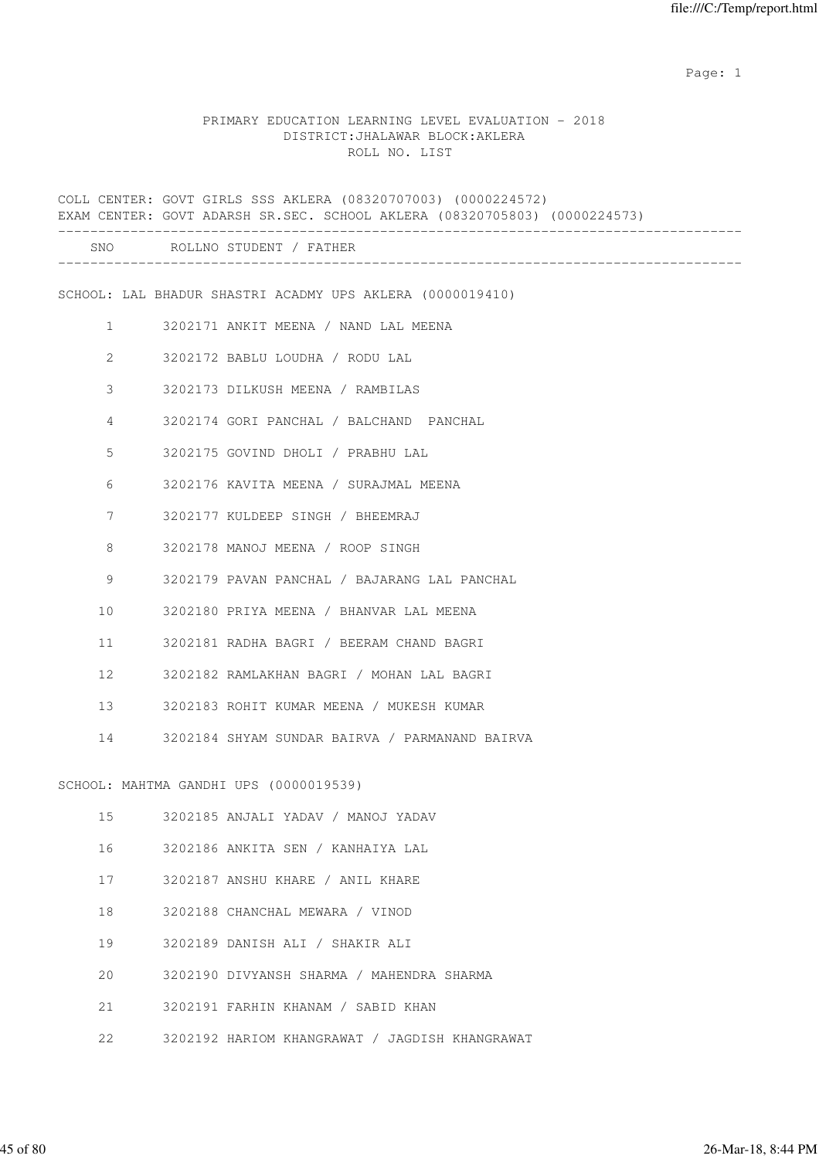expected to the control of the control of the control of the control of the control of the control of the control of the control of the control of the control of the control of the control of the control of the control of

#### PRIMARY EDUCATION LEARNING LEVEL EVALUATION - 2018 DISTRICT:JHALAWAR BLOCK:AKLERA ROLL NO. LIST

COLL CENTER: GOVT GIRLS SSS AKLERA (08320707003) (0000224572) EXAM CENTER: GOVT ADARSH SR.SEC. SCHOOL AKLERA (08320705803) (0000224573) ------------------------------------------------------------------------------------- SNO ROLLNO STUDENT / FATHER ------------------------------------------------------------------------------------- SCHOOL: LAL BHADUR SHASTRI ACADMY UPS AKLERA (0000019410) 1 3202171 ANKIT MEENA / NAND LAL MEENA 2 3202172 BABLU LOUDHA / RODU LAL 3 3202173 DILKUSH MEENA / RAMBILAS 4 3202174 GORI PANCHAL / BALCHAND PANCHAL 5 3202175 GOVIND DHOLI / PRABHU LAL 6 3202176 KAVITA MEENA / SURAJMAL MEENA 7 3202177 KULDEEP SINGH / BHEEMRAJ 8 3202178 MANOJ MEENA / ROOP SINGH 9 3202179 PAVAN PANCHAL / BAJARANG LAL PANCHAL 10 3202180 PRIYA MEENA / BHANVAR LAL MEENA 11 3202181 RADHA BAGRI / BEERAM CHAND BAGRI 12 3202182 RAMLAKHAN BAGRI / MOHAN LAL BAGRI 13 3202183 ROHIT KUMAR MEENA / MUKESH KUMAR 14 3202184 SHYAM SUNDAR BAIRVA / PARMANAND BAIRVA SCHOOL: MAHTMA GANDHI UPS (0000019539) 15 3202185 ANJALI YADAV / MANOJ YADAV 16 3202186 ANKITA SEN / KANHAIYA LAL 17 3202187 ANSHU KHARE / ANIL KHARE 18 3202188 CHANCHAL MEWARA / VINOD 19 3202189 DANISH ALI / SHAKIR ALI 20 3202190 DIVYANSH SHARMA / MAHENDRA SHARMA 21 3202191 FARHIN KHANAM / SABID KHAN

22 3202192 HARIOM KHANGRAWAT / JAGDISH KHANGRAWAT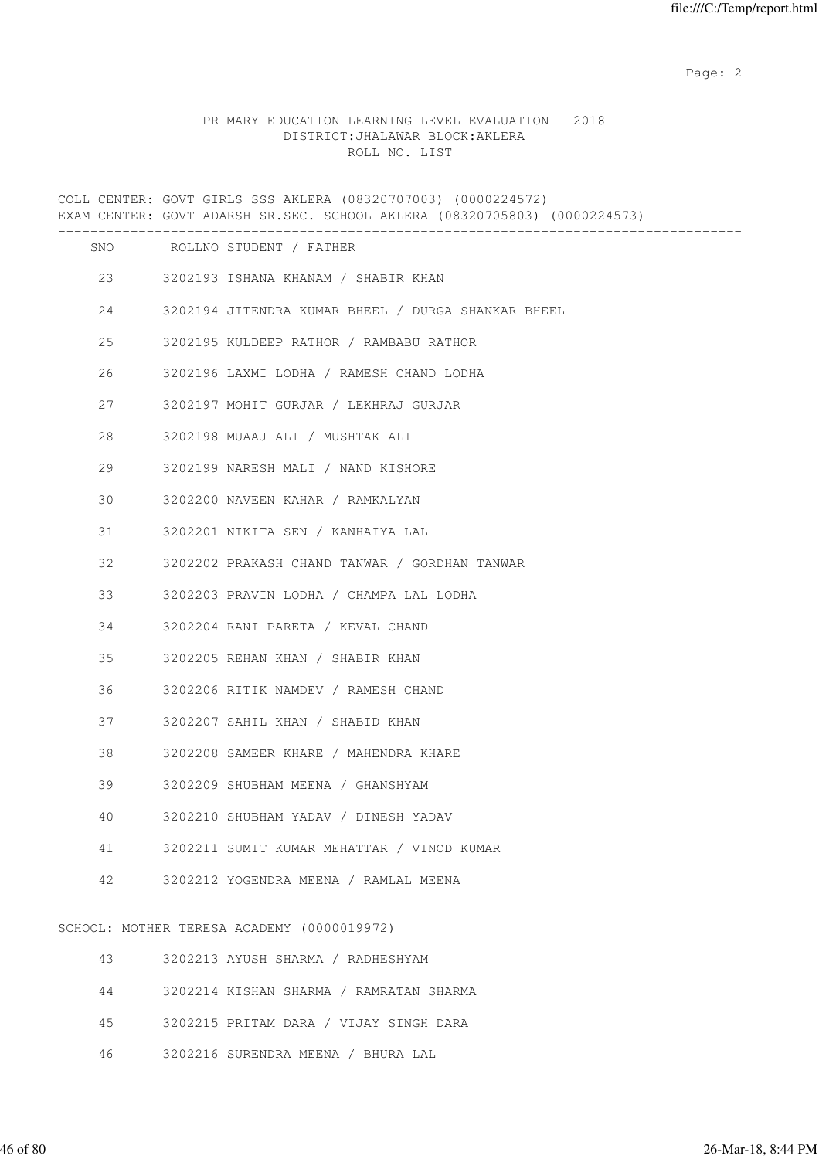Page: 2  $P$  and 2  $P$  and 2  $P$  and 2  $P$  and 2  $P$  and 2  $P$  and 2  $P$  and 2  $P$  and 2  $P$  and 2  $P$  and 2  $P$  and 2  $P$  and 2  $P$  and 2  $P$  and 2  $P$  and 2  $P$  and 2  $P$  and 2  $P$  and 2  $P$  and 2  $P$  and 2  $P$  and 2  $P$ 

# PRIMARY EDUCATION LEARNING LEVEL EVALUATION - 2018 DISTRICT:JHALAWAR BLOCK:AKLERA ROLL NO. LIST

COLL CENTER: GOVT GIRLS SSS AKLERA (08320707003) (0000224572) EXAM CENTER: GOVT ADARSH SR.SEC. SCHOOL AKLERA (08320705803) (0000224573) ------------------------------------------------------------------------------------- SNO ROLLNO STUDENT / FATHER ------------------------------------------------------------------------------------- 23 3202193 ISHANA KHANAM / SHABIR KHAN 24 3202194 JITENDRA KUMAR BHEEL / DURGA SHANKAR BHEEL 25 3202195 KULDEEP RATHOR / RAMBABU RATHOR 26 3202196 LAXMI LODHA / RAMESH CHAND LODHA 27 3202197 MOHIT GURJAR / LEKHRAJ GURJAR 28 3202198 MUAAJ ALI / MUSHTAK ALI 29 3202199 NARESH MALI / NAND KISHORE 30 3202200 NAVEEN KAHAR / RAMKALYAN 31 3202201 NIKITA SEN / KANHAIYA LAL 32 3202202 PRAKASH CHAND TANWAR / GORDHAN TANWAR 33 3202203 PRAVIN LODHA / CHAMPA LAL LODHA 34 3202204 RANI PARETA / KEVAL CHAND 35 3202205 REHAN KHAN / SHABIR KHAN 36 3202206 RITIK NAMDEV / RAMESH CHAND 37 3202207 SAHIL KHAN / SHABID KHAN 38 3202208 SAMEER KHARE / MAHENDRA KHARE 39 3202209 SHUBHAM MEENA / GHANSHYAM 40 3202210 SHUBHAM YADAV / DINESH YADAV 41 3202211 SUMIT KUMAR MEHATTAR / VINOD KUMAR 42 3202212 YOGENDRA MEENA / RAMLAL MEENA SCHOOL: MOTHER TERESA ACADEMY (0000019972) 43 3202213 AYUSH SHARMA / RADHESHYAM 44 3202214 KISHAN SHARMA / RAMRATAN SHARMA

- 45 3202215 PRITAM DARA / VIJAY SINGH DARA
- 46 3202216 SURENDRA MEENA / BHURA LAL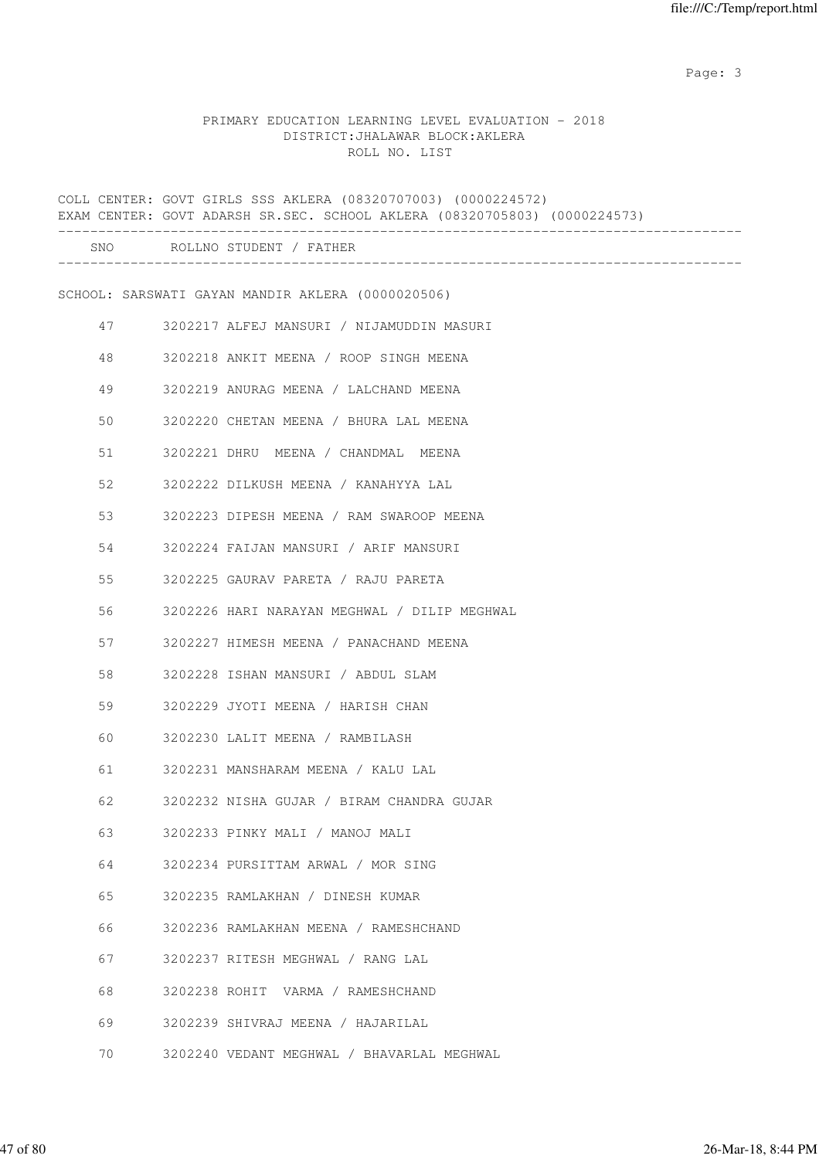# PRIMARY EDUCATION LEARNING LEVEL EVALUATION - 2018 DISTRICT:JHALAWAR BLOCK:AKLERA ROLL NO. LIST

|    | COLL CENTER: GOVT GIRLS SSS AKLERA (08320707003) (0000224572)<br>EXAM CENTER: GOVT ADARSH SR.SEC. SCHOOL AKLERA (08320705803) (0000224573) |
|----|--------------------------------------------------------------------------------------------------------------------------------------------|
|    | SNO ROLLNO STUDENT / FATHER                                                                                                                |
|    | SCHOOL: SARSWATI GAYAN MANDIR AKLERA (0000020506)                                                                                          |
| 47 | 3202217 ALFEJ MANSURI / NIJAMUDDIN MASURI                                                                                                  |
| 48 | 3202218 ANKIT MEENA / ROOP SINGH MEENA                                                                                                     |
| 49 | 3202219 ANURAG MEENA / LALCHAND MEENA                                                                                                      |
| 50 | 3202220 CHETAN MEENA / BHURA LAL MEENA                                                                                                     |
| 51 | 3202221 DHRU MEENA / CHANDMAL MEENA                                                                                                        |
| 52 | 3202222 DILKUSH MEENA / KANAHYYA LAL                                                                                                       |
| 53 | 3202223 DIPESH MEENA / RAM SWAROOP MEENA                                                                                                   |
| 54 | 3202224 FAIJAN MANSURI / ARIF MANSURI                                                                                                      |
| 55 | 3202225 GAURAV PARETA / RAJU PARETA                                                                                                        |
| 56 | 3202226 HARI NARAYAN MEGHWAL / DILIP MEGHWAL                                                                                               |
| 57 | 3202227 HIMESH MEENA / PANACHAND MEENA                                                                                                     |
| 58 | 3202228 ISHAN MANSURI / ABDUL SLAM                                                                                                         |
| 59 | 3202229 JYOTI MEENA / HARISH CHAN                                                                                                          |
| 60 | 3202230 LALIT MEENA / RAMBILASH                                                                                                            |
| 61 | 3202231 MANSHARAM MEENA / KALU LAL                                                                                                         |
| 62 | 3202232 NISHA GUJAR / BIRAM CHANDRA GUJAR                                                                                                  |
| 63 | 3202233 PINKY MALI / MANOJ MALI                                                                                                            |
| 64 | 3202234 PURSITTAM ARWAL / MOR SING                                                                                                         |
| 65 | 3202235 RAMLAKHAN / DINESH KUMAR                                                                                                           |
| 66 | 3202236 RAMLAKHAN MEENA / RAMESHCHAND                                                                                                      |
| 67 | 3202237 RITESH MEGHWAL / RANG LAL                                                                                                          |
| 68 | 3202238 ROHIT VARMA / RAMESHCHAND                                                                                                          |
| 69 | 3202239 SHIVRAJ MEENA / HAJARILAL                                                                                                          |
| 70 | 3202240 VEDANT MEGHWAL / BHAVARLAL MEGHWAL                                                                                                 |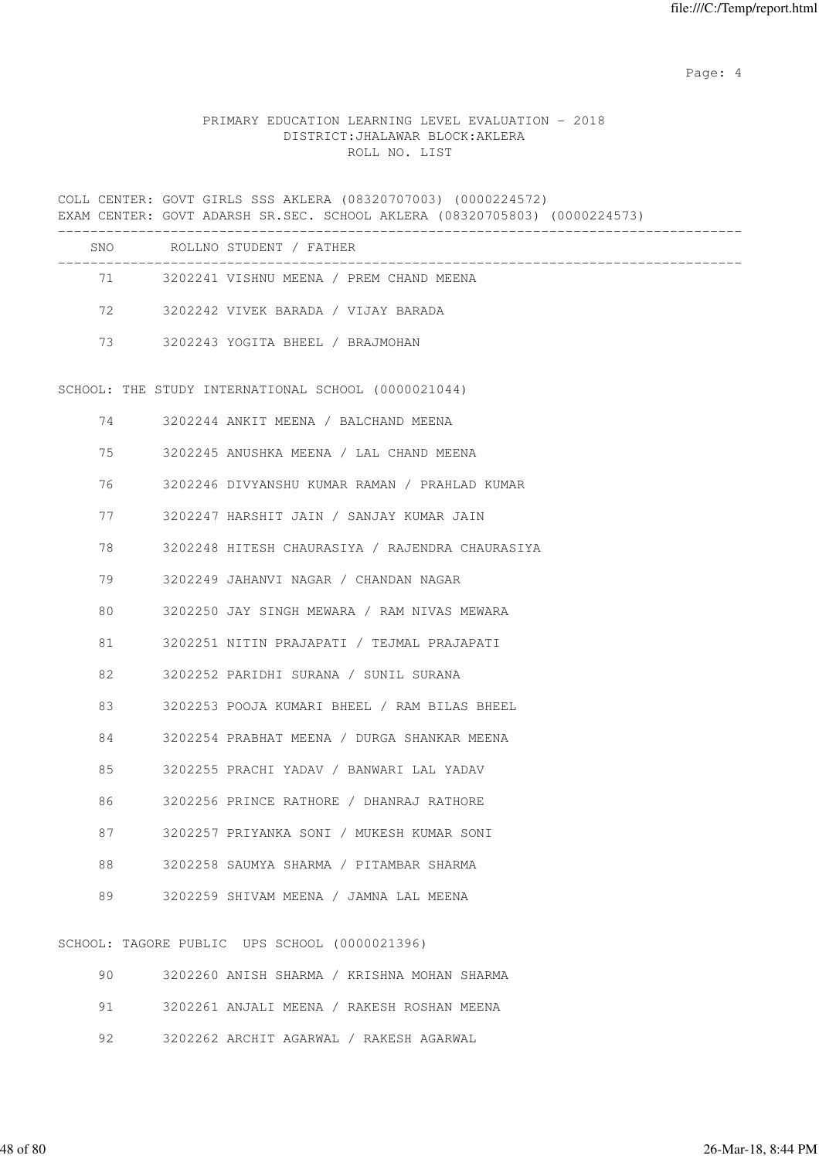Page: 4  $P$ 

# PRIMARY EDUCATION LEARNING LEVEL EVALUATION - 2018 DISTRICT:JHALAWAR BLOCK:AKLERA ROLL NO. LIST

|    | COLL CENTER: GOVT GIRLS SSS AKLERA (08320707003) (0000224572)<br>EXAM CENTER: GOVT ADARSH SR.SEC. SCHOOL AKLERA (08320705803) (0000224573) |
|----|--------------------------------------------------------------------------------------------------------------------------------------------|
|    | SNO ROLLNO STUDENT / FATHER                                                                                                                |
|    | 71 3202241 VISHNU MEENA / PREM CHAND MEENA                                                                                                 |
| 72 | 3202242 VIVEK BARADA / VIJAY BARADA                                                                                                        |
| 73 | 3202243 YOGITA BHEEL / BRAJMOHAN                                                                                                           |
|    | SCHOOL: THE STUDY INTERNATIONAL SCHOOL (0000021044)                                                                                        |
| 74 | 3202244 ANKIT MEENA / BALCHAND MEENA                                                                                                       |
| 75 | 3202245 ANUSHKA MEENA / LAL CHAND MEENA                                                                                                    |
| 76 | 3202246 DIVYANSHU KUMAR RAMAN / PRAHLAD KUMAR                                                                                              |
| 77 | 3202247 HARSHIT JAIN / SANJAY KUMAR JAIN                                                                                                   |
| 78 | 3202248 HITESH CHAURASIYA / RAJENDRA CHAURASIYA                                                                                            |
| 79 | 3202249 JAHANVI NAGAR / CHANDAN NAGAR                                                                                                      |
| 80 | 3202250 JAY SINGH MEWARA / RAM NIVAS MEWARA                                                                                                |
| 81 | 3202251 NITIN PRAJAPATI / TEJMAL PRAJAPATI                                                                                                 |
| 82 | 3202252 PARIDHI SURANA / SUNIL SURANA                                                                                                      |
| 83 | 3202253 POOJA KUMARI BHEEL / RAM BILAS BHEEL                                                                                               |
| 84 | 3202254 PRABHAT MEENA / DURGA SHANKAR MEENA                                                                                                |
| 85 | 3202255 PRACHI YADAV / BANWARI LAL YADAV                                                                                                   |
| 86 | 3202256 PRINCE RATHORE / DHANRAJ RATHORE                                                                                                   |
| 87 | 3202257 PRIYANKA SONI / MUKESH KUMAR SONI                                                                                                  |
| 88 | 3202258 SAUMYA SHARMA / PITAMBAR SHARMA                                                                                                    |
| 89 | 3202259 SHIVAM MEENA / JAMNA LAL MEENA                                                                                                     |
|    | SCHOOL: TAGORE PUBLIC UPS SCHOOL (0000021396)                                                                                              |
| 90 | 3202260 ANISH SHARMA / KRISHNA MOHAN SHARMA                                                                                                |

| $\mathcal{A} \cup \mathcal{A}$ | SZUZZ6U ANISH SHARMA / KRISHNA MUHAN SHARMA     |  |  |  |
|--------------------------------|-------------------------------------------------|--|--|--|
|                                | 91 - 3202261 ANJALI MEENA / RAKESH ROSHAN MEENA |  |  |  |
|                                | 92 3202262 ARCHIT AGARWAL / RAKESH AGARWAL      |  |  |  |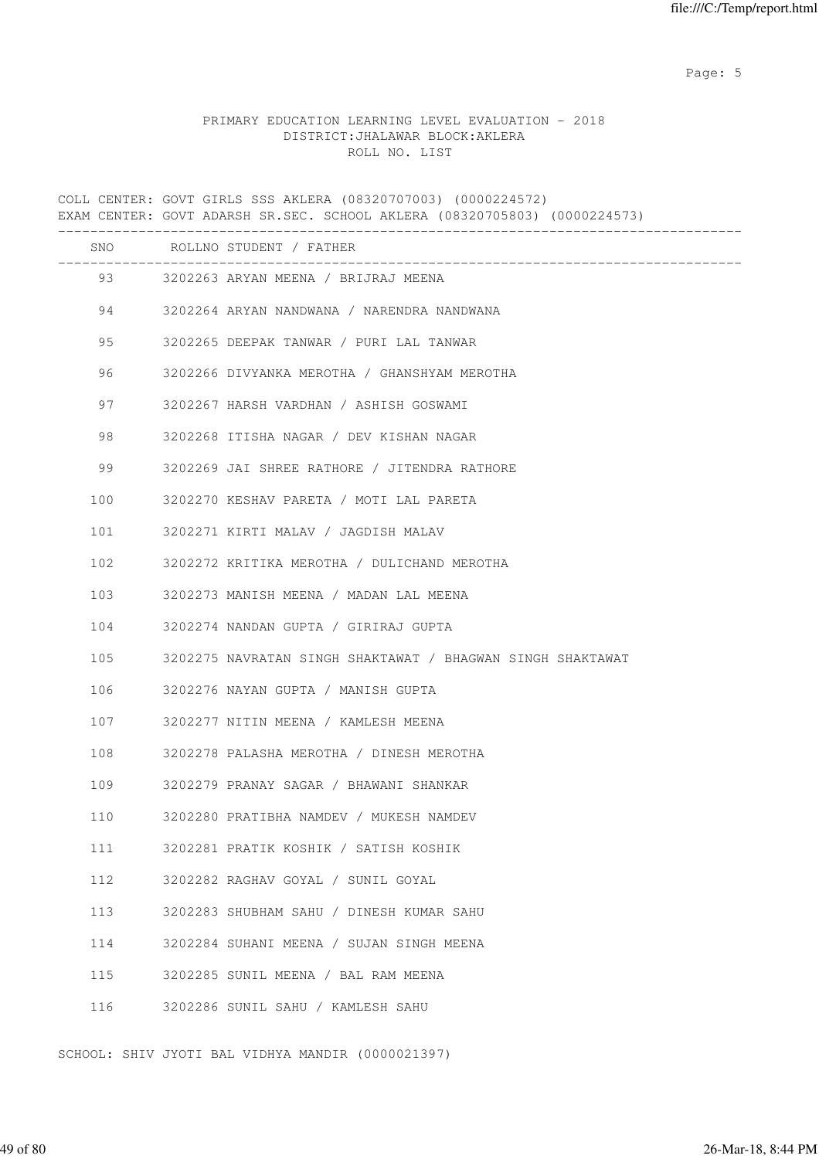Page: 5  $P$  and  $P$  and  $P$  and  $P$  and  $P$  and  $P$  and  $P$  and  $P$  and  $P$  and  $P$  and  $P$  and  $P$  and  $P$  and  $P$  and  $P$  and  $P$  and  $P$  and  $P$  and  $P$  and  $P$  and  $P$  and  $P$  and  $P$  and  $P$  and  $P$  and  $P$  and  $P$  an

# PRIMARY EDUCATION LEARNING LEVEL EVALUATION - 2018 DISTRICT:JHALAWAR BLOCK:AKLERA ROLL NO. LIST

COLL CENTER: GOVT GIRLS SSS AKLERA (08320707003) (0000224572) EXAM CENTER: GOVT ADARSH SR.SEC. SCHOOL AKLERA (08320705803) (0000224573) ------------------------------------------------------------------------------------- SNO ROLLNO STUDENT / FATHER ------------------------------------------------------------------------------------- 93 3202263 ARYAN MEENA / BRIJRAJ MEENA 94 3202264 ARYAN NANDWANA / NARENDRA NANDWANA 95 3202265 DEEPAK TANWAR / PURI LAL TANWAR 96 3202266 DIVYANKA MEROTHA / GHANSHYAM MEROTHA 97 3202267 HARSH VARDHAN / ASHISH GOSWAMI 98 3202268 ITISHA NAGAR / DEV KISHAN NAGAR 99 3202269 JAI SHREE RATHORE / JITENDRA RATHORE 100 3202270 KESHAV PARETA / MOTI LAL PARETA 101 3202271 KIRTI MALAV / JAGDISH MALAV 102 3202272 KRITIKA MEROTHA / DULICHAND MEROTHA 103 3202273 MANISH MEENA / MADAN LAL MEENA 104 3202274 NANDAN GUPTA / GIRIRAJ GUPTA 105 3202275 NAVRATAN SINGH SHAKTAWAT / BHAGWAN SINGH SHAKTAWAT 106 3202276 NAYAN GUPTA / MANISH GUPTA 107 3202277 NITIN MEENA / KAMLESH MEENA 108 3202278 PALASHA MEROTHA / DINESH MEROTHA 109 3202279 PRANAY SAGAR / BHAWANI SHANKAR 110 3202280 PRATIBHA NAMDEV / MUKESH NAMDEV 111 3202281 PRATIK KOSHIK / SATISH KOSHIK 112 3202282 RAGHAV GOYAL / SUNIL GOYAL 113 3202283 SHUBHAM SAHU / DINESH KUMAR SAHU 114 3202284 SUHANI MEENA / SUJAN SINGH MEENA 115 3202285 SUNIL MEENA / BAL RAM MEENA 116 3202286 SUNIL SAHU / KAMLESH SAHU

SCHOOL: SHIV JYOTI BAL VIDHYA MANDIR (0000021397)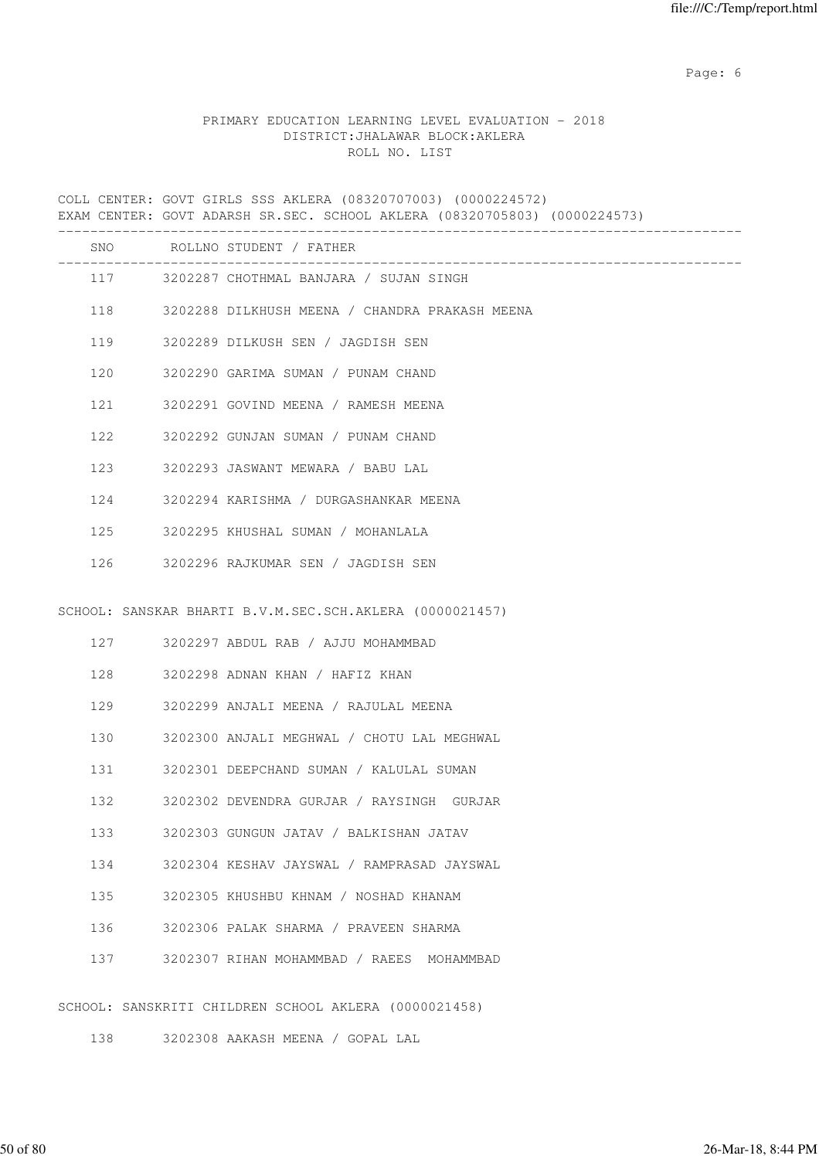Page: 6  $P$  and  $P$  and  $P$  and  $P$  and  $P$  and  $P$  and  $P$  and  $P$  and  $P$  and  $P$  and  $P$  and  $P$  and  $P$  and  $P$  and  $P$  and  $P$  and  $P$  and  $P$  and  $P$  and  $P$  and  $P$  and  $P$  and  $P$  and  $P$  and  $P$  and  $P$  and  $P$  an

# PRIMARY EDUCATION LEARNING LEVEL EVALUATION - 2018 DISTRICT:JHALAWAR BLOCK:AKLERA ROLL NO. LIST

COLL CENTER: GOVT GIRLS SSS AKLERA (08320707003) (0000224572) EXAM CENTER: GOVT ADARSH SR.SEC. SCHOOL AKLERA (08320705803) (0000224573) ------------------------------------------------------------------------------------- SNO ROLLNO STUDENT / FATHER ------------------------------------------------------------------------------------- 117 3202287 CHOTHMAL BANJARA / SUJAN SINGH 118 3202288 DILKHUSH MEENA / CHANDRA PRAKASH MEENA 119 3202289 DILKUSH SEN / JAGDISH SEN 120 3202290 GARIMA SUMAN / PUNAM CHAND 121 3202291 GOVIND MEENA / RAMESH MEENA 122 3202292 GUNJAN SUMAN / PUNAM CHAND 123 3202293 JASWANT MEWARA / BABU LAL 124 3202294 KARISHMA / DURGASHANKAR MEENA 125 3202295 KHUSHAL SUMAN / MOHANLALA 126 3202296 RAJKUMAR SEN / JAGDISH SEN SCHOOL: SANSKAR BHARTI B.V.M.SEC.SCH.AKLERA (0000021457) 127 3202297 ABDUL RAB / AJJU MOHAMMBAD 128 3202298 ADNAN KHAN / HAFIZ KHAN 129 3202299 ANJALI MEENA / RAJULAL MEENA 130 3202300 ANJALI MEGHWAL / CHOTU LAL MEGHWAL 131 3202301 DEEPCHAND SUMAN / KALULAL SUMAN 132 3202302 DEVENDRA GURJAR / RAYSINGH GURJAR 133 3202303 GUNGUN JATAV / BALKISHAN JATAV 134 3202304 KESHAV JAYSWAL / RAMPRASAD JAYSWAL 135 3202305 KHUSHBU KHNAM / NOSHAD KHANAM 136 3202306 PALAK SHARMA / PRAVEEN SHARMA 137 3202307 RIHAN MOHAMMBAD / RAEES MOHAMMBAD SCHOOL: SANSKRITI CHILDREN SCHOOL AKLERA (0000021458)

138 3202308 AAKASH MEENA / GOPAL LAL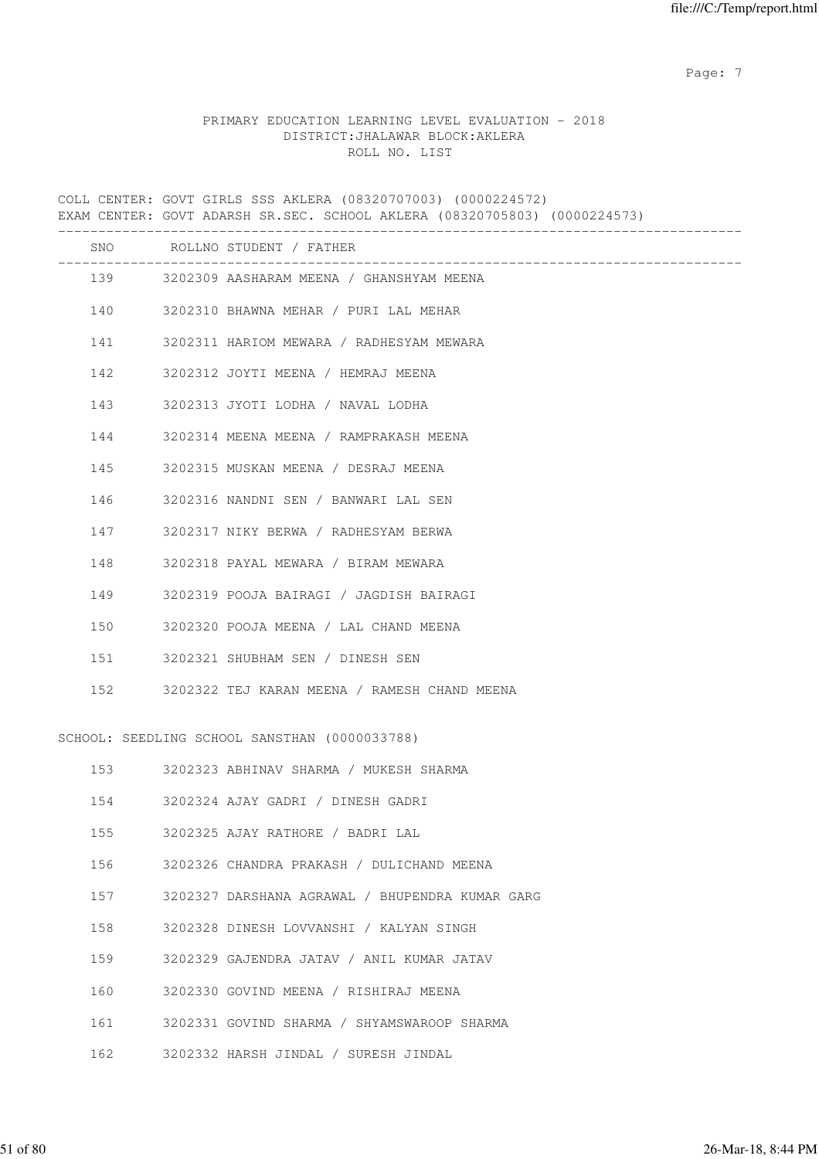Page: 7  $P$  and  $P$  and  $P$  and  $P$  and  $P$  and  $P$  and  $P$  and  $P$  and  $P$  and  $P$  and  $P$  and  $P$  and  $P$  and  $P$  and  $P$  and  $P$  and  $P$  and  $P$  and  $P$  and  $P$  and  $P$  and  $P$  and  $P$  and  $P$  and  $P$  and  $P$  and  $P$  an

# PRIMARY EDUCATION LEARNING LEVEL EVALUATION - 2018 DISTRICT:JHALAWAR BLOCK:AKLERA ROLL NO. LIST

COLL CENTER: GOVT GIRLS SSS AKLERA (08320707003) (0000224572) EXAM CENTER: GOVT ADARSH SR.SEC. SCHOOL AKLERA (08320705803) (0000224573) ------------------------------------------------------------------------------------- SNO ROLLNO STUDENT / FATHER ------------------------------------------------------------------------------------- 139 3202309 AASHARAM MEENA / GHANSHYAM MEENA 140 3202310 BHAWNA MEHAR / PURI LAL MEHAR 141 3202311 HARIOM MEWARA / RADHESYAM MEWARA 142 3202312 JOYTI MEENA / HEMRAJ MEENA 143 3202313 JYOTI LODHA / NAVAL LODHA 144 3202314 MEENA MEENA / RAMPRAKASH MEENA 145 3202315 MUSKAN MEENA / DESRAJ MEENA 146 3202316 NANDNI SEN / BANWARI LAL SEN 147 3202317 NIKY BERWA / RADHESYAM BERWA 148 3202318 PAYAL MEWARA / BIRAM MEWARA 149 3202319 POOJA BAIRAGI / JAGDISH BAIRAGI 150 3202320 POOJA MEENA / LAL CHAND MEENA 151 3202321 SHUBHAM SEN / DINESH SEN 152 3202322 TEJ KARAN MEENA / RAMESH CHAND MEENA SCHOOL: SEEDLING SCHOOL SANSTHAN (0000033788) 153 3202323 ABHINAV SHARMA / MUKESH SHARMA 154 3202324 AJAY GADRI / DINESH GADRI 155 3202325 AJAY RATHORE / BADRI LAL 156 3202326 CHANDRA PRAKASH / DULICHAND MEENA 157 3202327 DARSHANA AGRAWAL / BHUPENDRA KUMAR GARG 158 3202328 DINESH LOVVANSHI / KALYAN SINGH 159 3202329 GAJENDRA JATAV / ANIL KUMAR JATAV 160 3202330 GOVIND MEENA / RISHIRAJ MEENA 161 3202331 GOVIND SHARMA / SHYAMSWAROOP SHARMA 162 3202332 HARSH JINDAL / SURESH JINDAL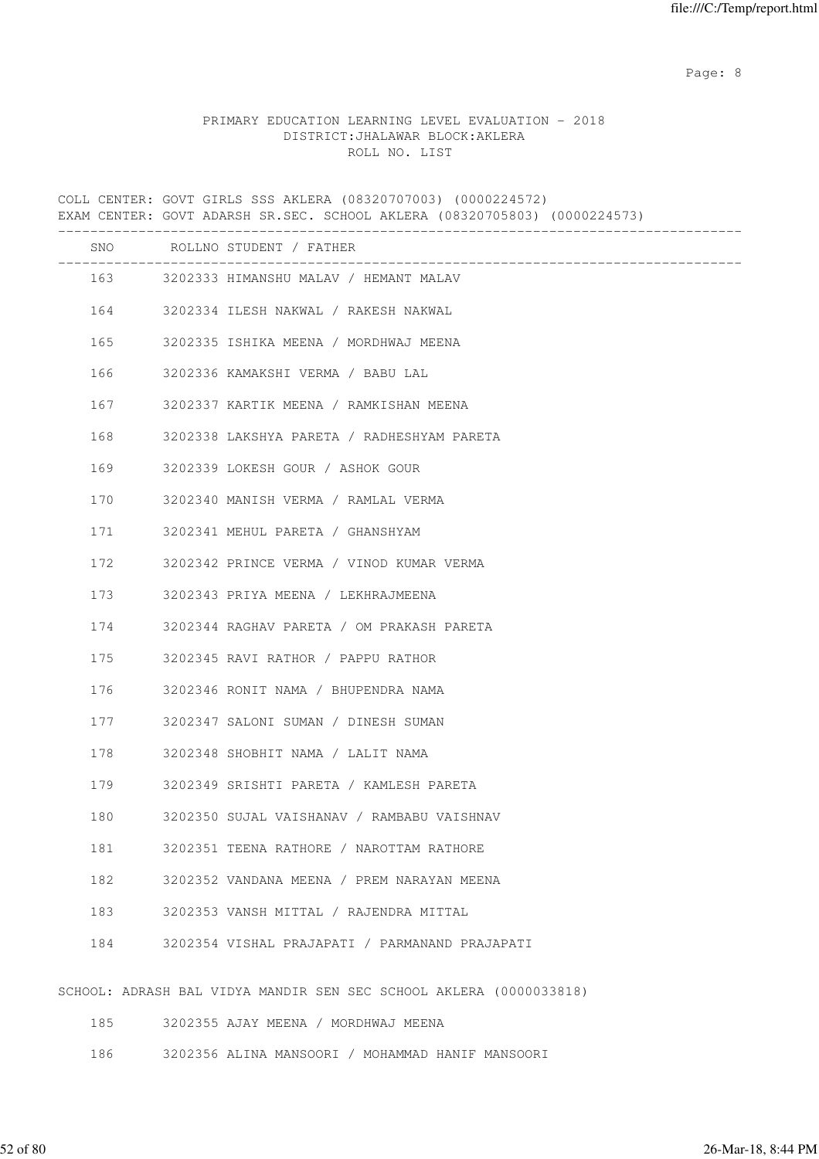en de la provincia de la provincia de la provincia de la provincia de la provincia de la provincia de la provi

# PRIMARY EDUCATION LEARNING LEVEL EVALUATION - 2018 DISTRICT:JHALAWAR BLOCK:AKLERA ROLL NO. LIST

COLL CENTER: GOVT GIRLS SSS AKLERA (08320707003) (0000224572) EXAM CENTER: GOVT ADARSH SR.SEC. SCHOOL AKLERA (08320705803) (0000224573) ------------------------------------------------------------------------------------- SNO ROLLNO STUDENT / FATHER ------------------------------------------------------------------------------------- 163 3202333 HIMANSHU MALAV / HEMANT MALAV 164 3202334 ILESH NAKWAL / RAKESH NAKWAL 165 3202335 ISHIKA MEENA / MORDHWAJ MEENA 166 3202336 KAMAKSHI VERMA / BABU LAL 167 3202337 KARTIK MEENA / RAMKISHAN MEENA 168 3202338 LAKSHYA PARETA / RADHESHYAM PARETA 169 3202339 LOKESH GOUR / ASHOK GOUR 170 3202340 MANISH VERMA / RAMLAL VERMA 171 3202341 MEHUL PARETA / GHANSHYAM 172 3202342 PRINCE VERMA / VINOD KUMAR VERMA 173 3202343 PRIYA MEENA / LEKHRAJMEENA 174 3202344 RAGHAV PARETA / OM PRAKASH PARETA 175 3202345 RAVI RATHOR / PAPPU RATHOR 176 3202346 RONIT NAMA / BHUPENDRA NAMA 177 3202347 SALONI SUMAN / DINESH SUMAN 178 3202348 SHOBHIT NAMA / LALIT NAMA 179 3202349 SRISHTI PARETA / KAMLESH PARETA 180 3202350 SUJAL VAISHANAV / RAMBABU VAISHNAV 181 3202351 TEENA RATHORE / NAROTTAM RATHORE 182 3202352 VANDANA MEENA / PREM NARAYAN MEENA 183 3202353 VANSH MITTAL / RAJENDRA MITTAL 184 3202354 VISHAL PRAJAPATI / PARMANAND PRAJAPATI SCHOOL: ADRASH BAL VIDYA MANDIR SEN SEC SCHOOL AKLERA (0000033818) 185 3202355 AJAY MEENA / MORDHWAJ MEENA

186 3202356 ALINA MANSOORI / MOHAMMAD HANIF MANSOORI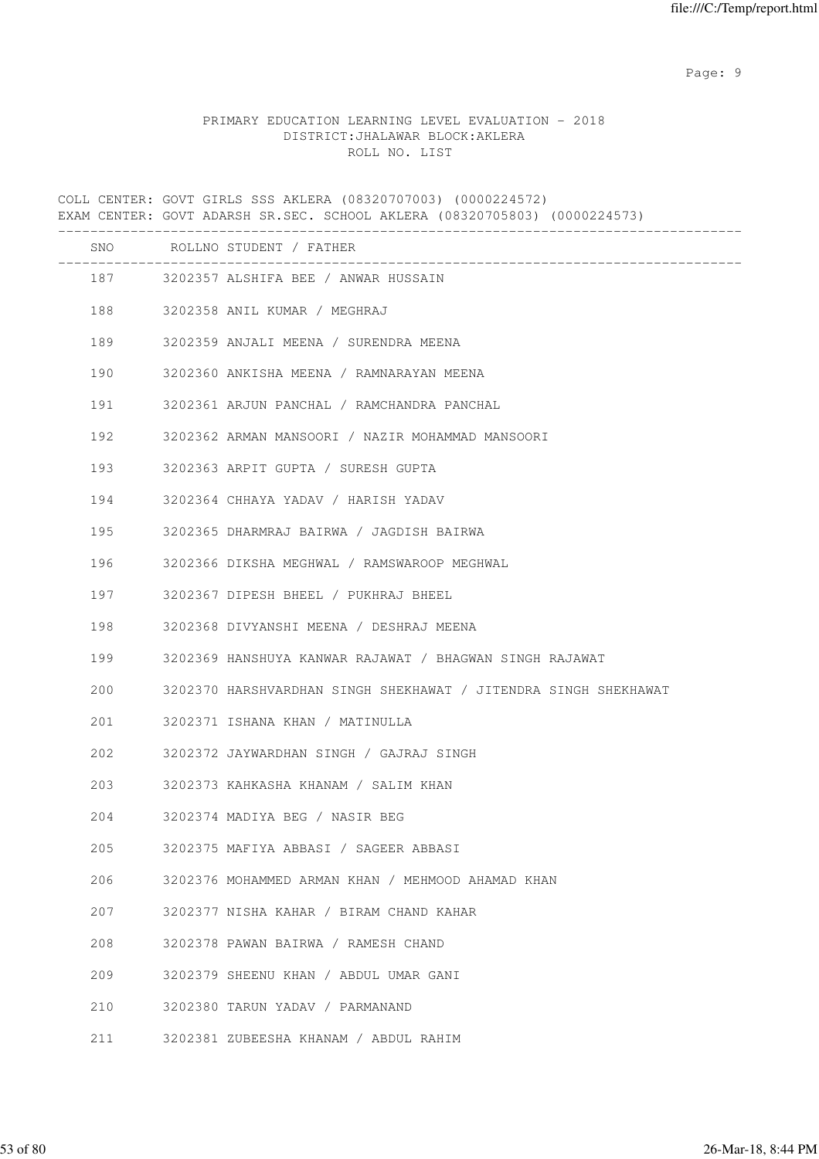en de la provincia de la provincia de la provincia de la provincia de la provincia de la provincia de la provi

# PRIMARY EDUCATION LEARNING LEVEL EVALUATION - 2018 DISTRICT:JHALAWAR BLOCK:AKLERA ROLL NO. LIST

COLL CENTER: GOVT GIRLS SSS AKLERA (08320707003) (0000224572) EXAM CENTER: GOVT ADARSH SR.SEC. SCHOOL AKLERA (08320705803) (0000224573) ------------------------------------------------------------------------------------- SNO ROLLNO STUDENT / FATHER ------------------------------------------------------------------------------------- 187 3202357 ALSHIFA BEE / ANWAR HUSSAIN 188 3202358 ANIL KUMAR / MEGHRAJ 189 3202359 ANJALI MEENA / SURENDRA MEENA 190 3202360 ANKISHA MEENA / RAMNARAYAN MEENA 191 3202361 ARJUN PANCHAL / RAMCHANDRA PANCHAL 192 3202362 ARMAN MANSOORI / NAZIR MOHAMMAD MANSOORI 193 3202363 ARPIT GUPTA / SURESH GUPTA 194 3202364 CHHAYA YADAV / HARISH YADAV 195 3202365 DHARMRAJ BAIRWA / JAGDISH BAIRWA 196 3202366 DIKSHA MEGHWAL / RAMSWAROOP MEGHWAL 197 3202367 DIPESH BHEEL / PUKHRAJ BHEEL 198 3202368 DIVYANSHI MEENA / DESHRAJ MEENA 199 3202369 HANSHUYA KANWAR RAJAWAT / BHAGWAN SINGH RAJAWAT 200 3202370 HARSHVARDHAN SINGH SHEKHAWAT / JITENDRA SINGH SHEKHAWAT 201 3202371 ISHANA KHAN / MATINULLA 202 3202372 JAYWARDHAN SINGH / GAJRAJ SINGH 203 3202373 KAHKASHA KHANAM / SALIM KHAN 204 3202374 MADIYA BEG / NASIR BEG 205 3202375 MAFIYA ABBASI / SAGEER ABBASI 206 3202376 MOHAMMED ARMAN KHAN / MEHMOOD AHAMAD KHAN 207 3202377 NISHA KAHAR / BIRAM CHAND KAHAR 208 3202378 PAWAN BAIRWA / RAMESH CHAND 209 3202379 SHEENU KHAN / ABDUL UMAR GANI 210 3202380 TARUN YADAV / PARMANAND 211 3202381 ZUBEESHA KHANAM / ABDUL RAHIM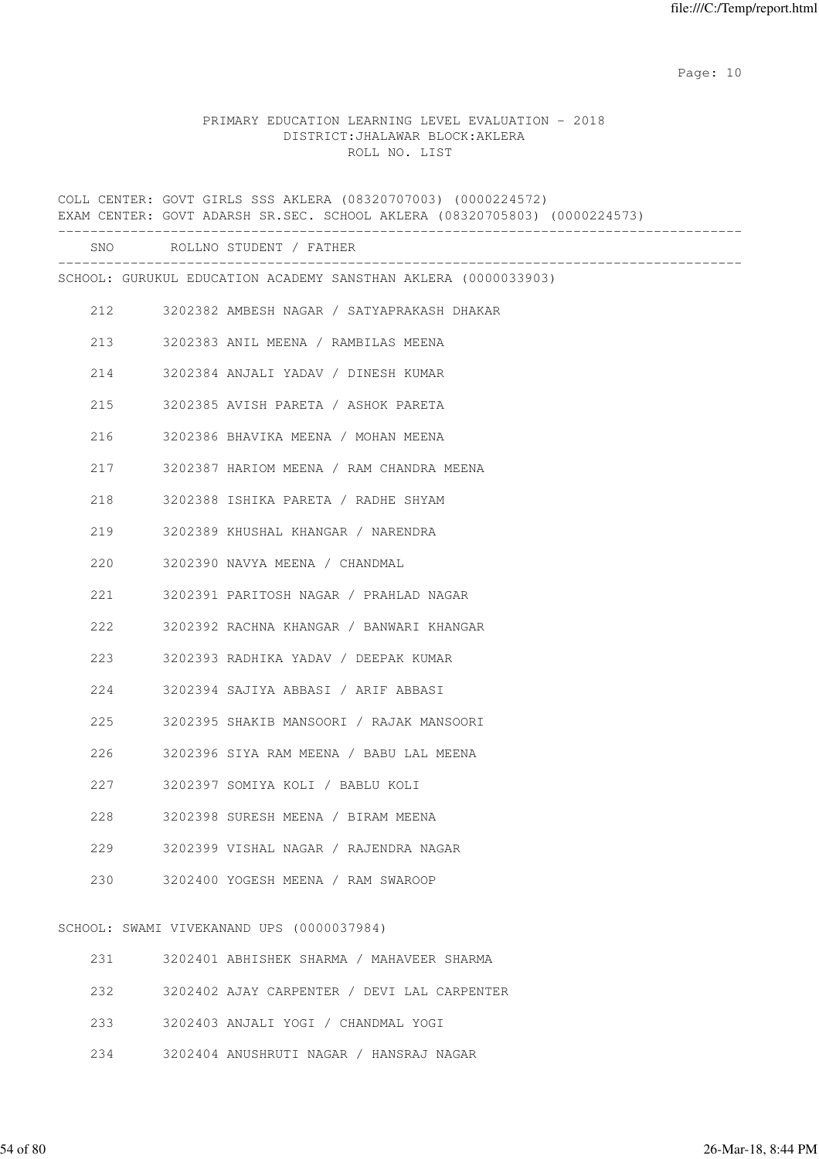## PRIMARY EDUCATION LEARNING LEVEL EVALUATION - 2018 DISTRICT:JHALAWAR BLOCK:AKLERA ROLL NO. LIST

COLL CENTER: GOVT GIRLS SSS AKLERA (08320707003) (0000224572) EXAM CENTER: GOVT ADARSH SR.SEC. SCHOOL AKLERA (08320705803) (0000224573) ------------------------------------------------------------------------------------- SNO ROLLNO STUDENT / FATHER ------------------------------------------------------------------------------------- SCHOOL: GURUKUL EDUCATION ACADEMY SANSTHAN AKLERA (0000033903) 212 3202382 AMBESH NAGAR / SATYAPRAKASH DHAKAR 213 3202383 ANIL MEENA / RAMBILAS MEENA 214 3202384 ANJALI YADAV / DINESH KUMAR 215 3202385 AVISH PARETA / ASHOK PARETA 216 3202386 BHAVIKA MEENA / MOHAN MEENA 217 3202387 HARIOM MEENA / RAM CHANDRA MEENA 218 3202388 ISHIKA PARETA / RADHE SHYAM 219 3202389 KHUSHAL KHANGAR / NARENDRA 220 3202390 NAVYA MEENA / CHANDMAL 221 3202391 PARITOSH NAGAR / PRAHLAD NAGAR 222 3202392 RACHNA KHANGAR / BANWARI KHANGAR 223 3202393 RADHIKA YADAV / DEEPAK KUMAR 224 3202394 SAJIYA ABBASI / ARIF ABBASI 225 3202395 SHAKIB MANSOORI / RAJAK MANSOORI 226 3202396 SIYA RAM MEENA / BABU LAL MEENA 227 3202397 SOMIYA KOLI / BABLU KOLI 228 3202398 SURESH MEENA / BIRAM MEENA 229 3202399 VISHAL NAGAR / RAJENDRA NAGAR 230 3202400 YOGESH MEENA / RAM SWAROOP SCHOOL: SWAMI VIVEKANAND UPS (0000037984) 231 3202401 ABHISHEK SHARMA / MAHAVEER SHARMA 232 3202402 AJAY CARPENTER / DEVI LAL CARPENTER 233 3202403 ANJALI YOGI / CHANDMAL YOGI

234 3202404 ANUSHRUTI NAGAR / HANSRAJ NAGAR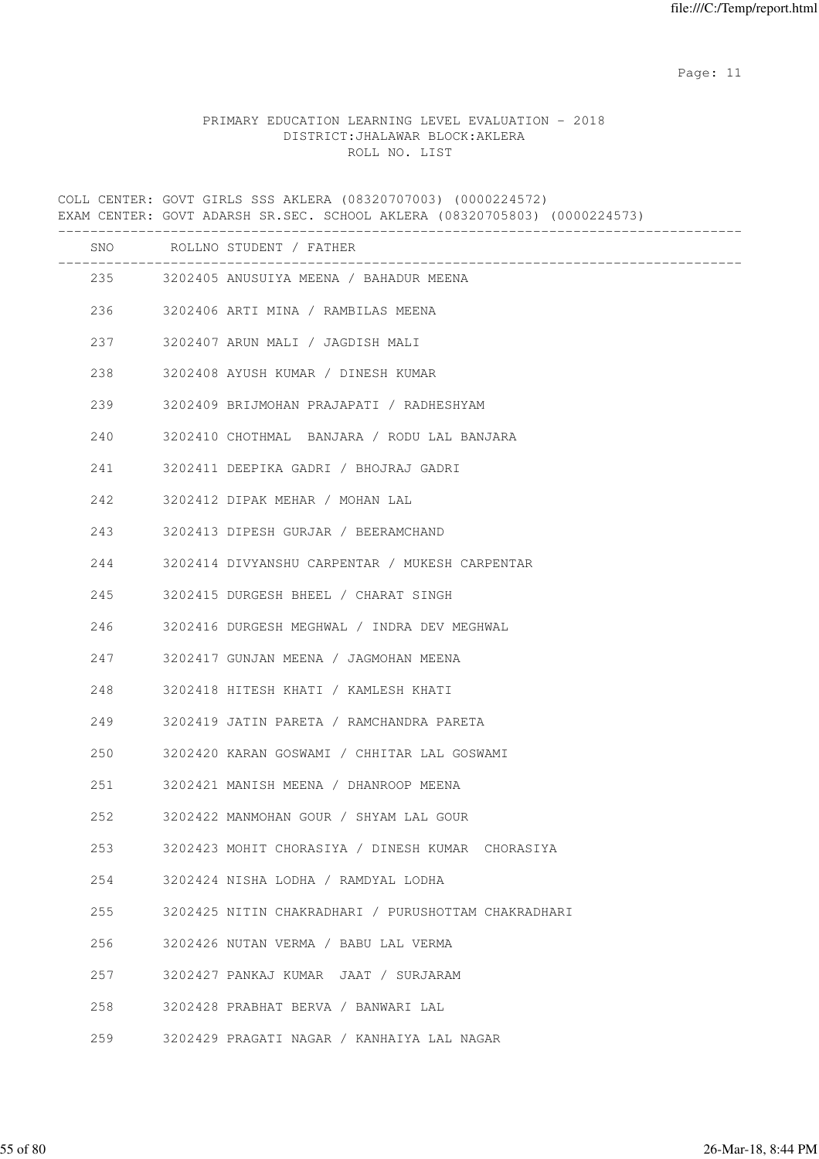# PRIMARY EDUCATION LEARNING LEVEL EVALUATION - 2018 DISTRICT:JHALAWAR BLOCK:AKLERA ROLL NO. LIST

COLL CENTER: GOVT GIRLS SSS AKLERA (08320707003) (0000224572) EXAM CENTER: GOVT ADARSH SR.SEC. SCHOOL AKLERA (08320705803) (0000224573) ------------------------------------------------------------------------------------- SNO ROLLNO STUDENT / FATHER ------------------------------------------------------------------------------------- 235 3202405 ANUSUIYA MEENA / BAHADUR MEENA 236 3202406 ARTI MINA / RAMBILAS MEENA 237 3202407 ARUN MALI / JAGDISH MALI 238 3202408 AYUSH KUMAR / DINESH KUMAR 239 3202409 BRIJMOHAN PRAJAPATI / RADHESHYAM 240 3202410 CHOTHMAL BANJARA / RODU LAL BANJARA 241 3202411 DEEPIKA GADRI / BHOJRAJ GADRI 242 3202412 DIPAK MEHAR / MOHAN LAL 243 3202413 DIPESH GURJAR / BEERAMCHAND 244 3202414 DIVYANSHU CARPENTAR / MUKESH CARPENTAR 245 3202415 DURGESH BHEEL / CHARAT SINGH 246 3202416 DURGESH MEGHWAL / INDRA DEV MEGHWAL 247 3202417 GUNJAN MEENA / JAGMOHAN MEENA 248 3202418 HITESH KHATI / KAMLESH KHATI 249 3202419 JATIN PARETA / RAMCHANDRA PARETA 250 3202420 KARAN GOSWAMI / CHHITAR LAL GOSWAMI 251 3202421 MANISH MEENA / DHANROOP MEENA 252 3202422 MANMOHAN GOUR / SHYAM LAL GOUR 253 3202423 MOHIT CHORASIYA / DINESH KUMAR CHORASIYA 254 3202424 NISHA LODHA / RAMDYAL LODHA 255 3202425 NITIN CHAKRADHARI / PURUSHOTTAM CHAKRADHARI 256 3202426 NUTAN VERMA / BABU LAL VERMA 257 3202427 PANKAJ KUMAR JAAT / SURJARAM 258 3202428 PRABHAT BERVA / BANWARI LAL 259 3202429 PRAGATI NAGAR / KANHAIYA LAL NAGAR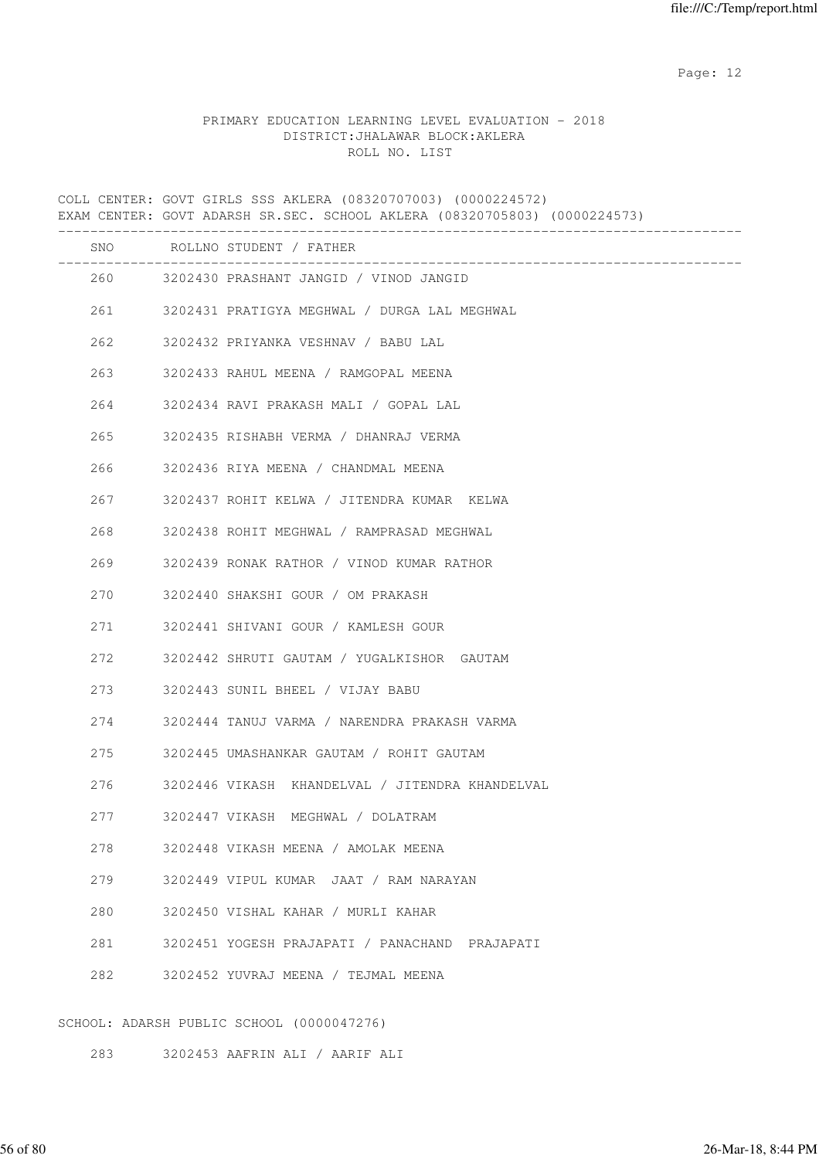## PRIMARY EDUCATION LEARNING LEVEL EVALUATION - 2018 DISTRICT:JHALAWAR BLOCK:AKLERA ROLL NO. LIST

COLL CENTER: GOVT GIRLS SSS AKLERA (08320707003) (0000224572) EXAM CENTER: GOVT ADARSH SR.SEC. SCHOOL AKLERA (08320705803) (0000224573) ------------------------------------------------------------------------------------- SNO ROLLNO STUDENT / FATHER ------------------------------------------------------------------------------------- 260 3202430 PRASHANT JANGID / VINOD JANGID 261 3202431 PRATIGYA MEGHWAL / DURGA LAL MEGHWAL 262 3202432 PRIYANKA VESHNAV / BABU LAL 263 3202433 RAHUL MEENA / RAMGOPAL MEENA 264 3202434 RAVI PRAKASH MALI / GOPAL LAL 265 3202435 RISHABH VERMA / DHANRAJ VERMA 266 3202436 RIYA MEENA / CHANDMAL MEENA 267 3202437 ROHIT KELWA / JITENDRA KUMAR KELWA 268 3202438 ROHIT MEGHWAL / RAMPRASAD MEGHWAL 269 3202439 RONAK RATHOR / VINOD KUMAR RATHOR 270 3202440 SHAKSHI GOUR / OM PRAKASH 271 3202441 SHIVANI GOUR / KAMLESH GOUR 272 3202442 SHRUTI GAUTAM / YUGALKISHOR GAUTAM 273 3202443 SUNIL BHEEL / VIJAY BABU 274 3202444 TANUJ VARMA / NARENDRA PRAKASH VARMA 275 3202445 UMASHANKAR GAUTAM / ROHIT GAUTAM 276 3202446 VIKASH KHANDELVAL / JITENDRA KHANDELVAL 277 3202447 VIKASH MEGHWAL / DOLATRAM 278 3202448 VIKASH MEENA / AMOLAK MEENA 279 3202449 VIPUL KUMAR JAAT / RAM NARAYAN 280 3202450 VISHAL KAHAR / MURLI KAHAR 281 3202451 YOGESH PRAJAPATI / PANACHAND PRAJAPATI 282 3202452 YUVRAJ MEENA / TEJMAL MEENA SCHOOL: ADARSH PUBLIC SCHOOL (0000047276)

283 3202453 AAFRIN ALI / AARIF ALI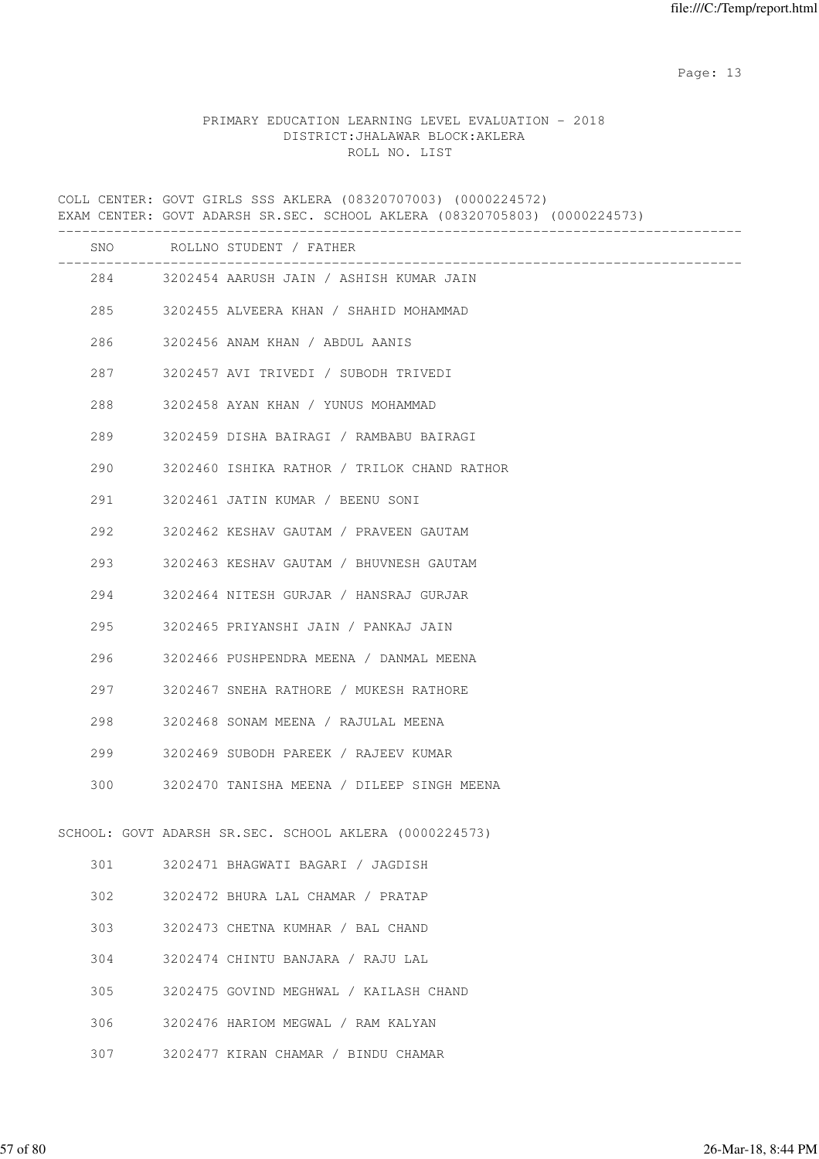# PRIMARY EDUCATION LEARNING LEVEL EVALUATION - 2018 DISTRICT:JHALAWAR BLOCK:AKLERA ROLL NO. LIST

COLL CENTER: GOVT GIRLS SSS AKLERA (08320707003) (0000224572) EXAM CENTER: GOVT ADARSH SR.SEC. SCHOOL AKLERA (08320705803) (0000224573) ------------------------------------------------------------------------------------- SNO ROLLNO STUDENT / FATHER ------------------------------------------------------------------------------------- 284 3202454 AARUSH JAIN / ASHISH KUMAR JAIN 285 3202455 ALVEERA KHAN / SHAHID MOHAMMAD 286 3202456 ANAM KHAN / ABDUL AANIS 287 3202457 AVI TRIVEDI / SUBODH TRIVEDI 288 3202458 AYAN KHAN / YUNUS MOHAMMAD 289 3202459 DISHA BAIRAGI / RAMBABU BAIRAGI 290 3202460 ISHIKA RATHOR / TRILOK CHAND RATHOR 291 3202461 JATIN KUMAR / BEENU SONI 292 3202462 KESHAV GAUTAM / PRAVEEN GAUTAM 293 3202463 KESHAV GAUTAM / BHUVNESH GAUTAM 294 3202464 NITESH GURJAR / HANSRAJ GURJAR 295 3202465 PRIYANSHI JAIN / PANKAJ JAIN 296 3202466 PUSHPENDRA MEENA / DANMAL MEENA 297 3202467 SNEHA RATHORE / MUKESH RATHORE 298 3202468 SONAM MEENA / RAJULAL MEENA 299 3202469 SUBODH PAREEK / RAJEEV KUMAR 300 3202470 TANISHA MEENA / DILEEP SINGH MEENA SCHOOL: GOVT ADARSH SR.SEC. SCHOOL AKLERA (0000224573) 301 3202471 BHAGWATI BAGARI / JAGDISH 302 3202472 BHURA LAL CHAMAR / PRATAP 303 3202473 CHETNA KUMHAR / BAL CHAND 304 3202474 CHINTU BANJARA / RAJU LAL 305 3202475 GOVIND MEGHWAL / KAILASH CHAND 306 3202476 HARIOM MEGWAL / RAM KALYAN 307 3202477 KIRAN CHAMAR / BINDU CHAMAR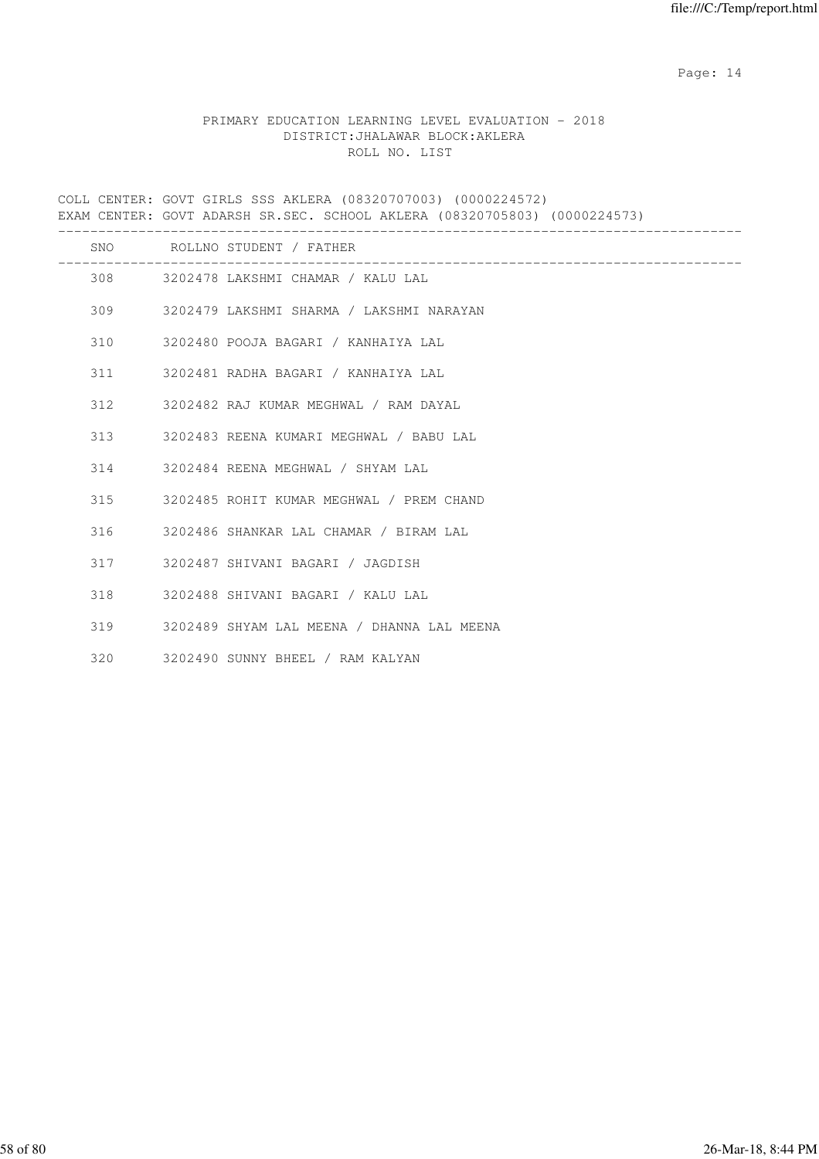# PRIMARY EDUCATION LEARNING LEVEL EVALUATION - 2018 DISTRICT:JHALAWAR BLOCK:AKLERA ROLL NO. LIST

COLL CENTER: GOVT GIRLS SSS AKLERA (08320707003) (0000224572) EXAM CENTER: GOVT ADARSH SR.SEC. SCHOOL AKLERA (08320705803) (0000224573) ------------------------------------------------------------------------------------- SNO ROLLNO STUDENT / FATHER ------------------------------------------------------------------------------------- 308 3202478 LAKSHMI CHAMAR / KALU LAL 309 3202479 LAKSHMI SHARMA / LAKSHMI NARAYAN 310 3202480 POOJA BAGARI / KANHAIYA LAL 311 3202481 RADHA BAGARI / KANHAIYA LAL 312 3202482 RAJ KUMAR MEGHWAL / RAM DAYAL 313 3202483 REENA KUMARI MEGHWAL / BABU LAL 314 3202484 REENA MEGHWAL / SHYAM LAL 315 3202485 ROHIT KUMAR MEGHWAL / PREM CHAND 316 3202486 SHANKAR LAL CHAMAR / BIRAM LAL 317 3202487 SHIVANI BAGARI / JAGDISH 318 3202488 SHIVANI BAGARI / KALU LAL 319 3202489 SHYAM LAL MEENA / DHANNA LAL MEENA 320 3202490 SUNNY BHEEL / RAM KALYAN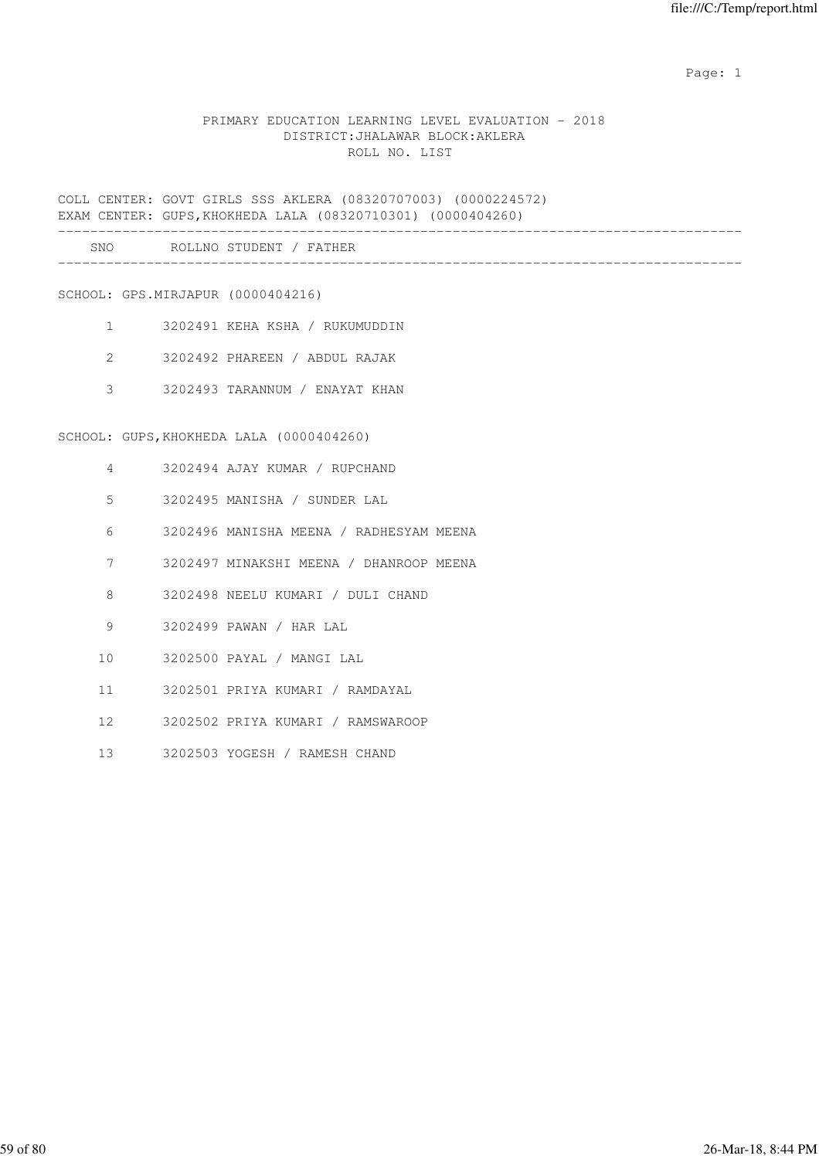expected to the control of the control of the control of the control of the control of the control of the control of the control of the control of the control of the control of the control of the control of the control of

### PRIMARY EDUCATION LEARNING LEVEL EVALUATION - 2018 DISTRICT:JHALAWAR BLOCK:AKLERA ROLL NO. LIST

COLL CENTER: GOVT GIRLS SSS AKLERA (08320707003) (0000224572) EXAM CENTER: GUPS,KHOKHEDA LALA (08320710301) (0000404260)

| SNC | $\circ$ $\circ$ $\circ$<br>. N 0<br><b>NI</b><br>---- |  |
|-----|-------------------------------------------------------|--|
|     |                                                       |  |

SCHOOL: GPS.MIRJAPUR (0000404216)

- 1 3202491 KEHA KSHA / RUKUMUDDIN
- 2 3202492 PHAREEN / ABDUL RAJAK
- 3 3202493 TARANNUM / ENAYAT KHAN

SCHOOL: GUPS,KHOKHEDA LALA (0000404260)

- 4 3202494 AJAY KUMAR / RUPCHAND
- 5 3202495 MANISHA / SUNDER LAL
- 6 3202496 MANISHA MEENA / RADHESYAM MEENA
- 7 3202497 MINAKSHI MEENA / DHANROOP MEENA
- 8 3202498 NEELU KUMARI / DULI CHAND
- 9 3202499 PAWAN / HAR LAL
- 10 3202500 PAYAL / MANGI LAL
- 11 3202501 PRIYA KUMARI / RAMDAYAL
- 12 3202502 PRIYA KUMARI / RAMSWAROOP
- 13 3202503 YOGESH / RAMESH CHAND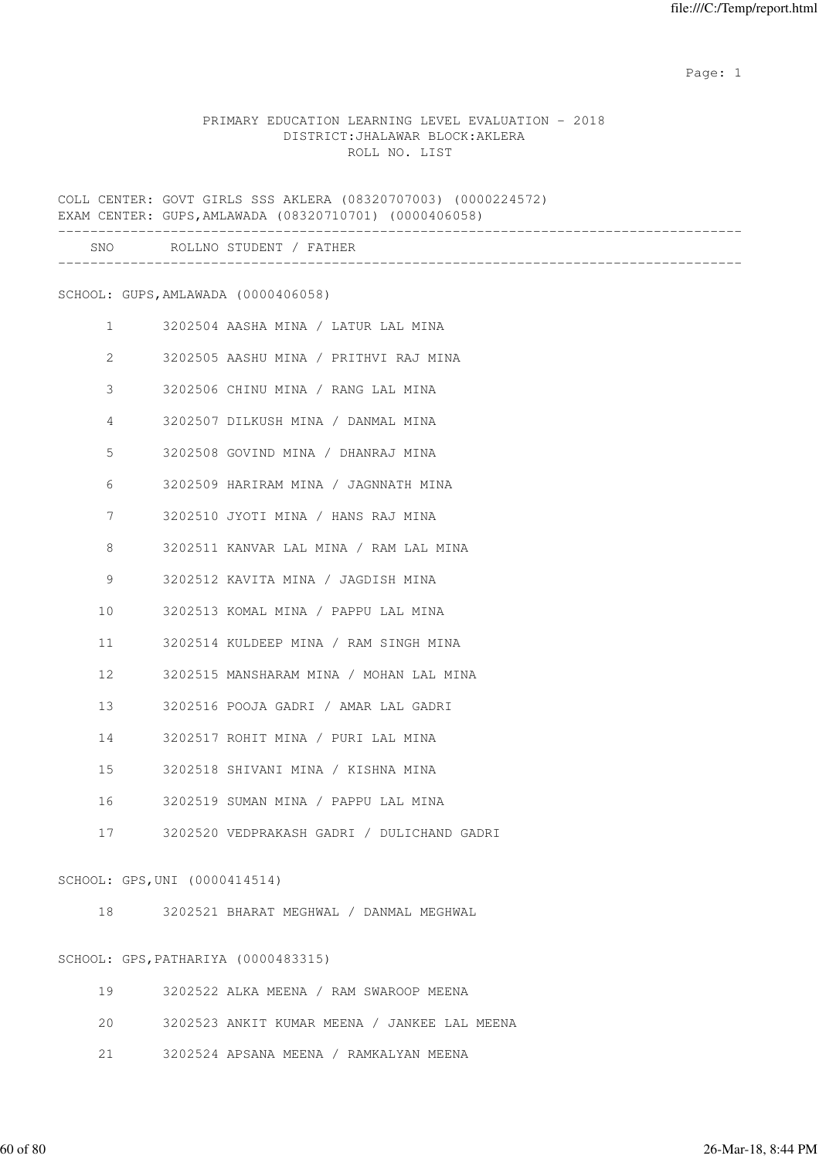expected to the control of the control of the control of the control of the control of the control of the control of the control of the control of the control of the control of the control of the control of the control of

### PRIMARY EDUCATION LEARNING LEVEL EVALUATION - 2018 DISTRICT:JHALAWAR BLOCK:AKLERA ROLL NO. LIST

COLL CENTER: GOVT GIRLS SSS AKLERA (08320707003) (0000224572) EXAM CENTER: GUPS,AMLAWADA (08320710701) (0000406058) ------------------------------------------------------------------------------------- SNO ROLLNO STUDENT / FATHER ------------------------------------------------------------------------------------- SCHOOL: GUPS,AMLAWADA (0000406058) 1 3202504 AASHA MINA / LATUR LAL MINA 2 3202505 AASHU MINA / PRITHVI RAJ MINA 3 3202506 CHINU MINA / RANG LAL MINA 4 3202507 DILKUSH MINA / DANMAL MINA 5 3202508 GOVIND MINA / DHANRAJ MINA 6 3202509 HARIRAM MINA / JAGNNATH MINA 7 3202510 JYOTI MINA / HANS RAJ MINA 8 3202511 KANVAR LAL MINA / RAM LAL MINA 9 3202512 KAVITA MINA / JAGDISH MINA 10 3202513 KOMAL MINA / PAPPU LAL MINA

11 3202514 KULDEEP MINA / RAM SINGH MINA

12 3202515 MANSHARAM MINA / MOHAN LAL MINA

13 3202516 POOJA GADRI / AMAR LAL GADRI

14 3202517 ROHIT MINA / PURI LAL MINA

15 3202518 SHIVANI MINA / KISHNA MINA

16 3202519 SUMAN MINA / PAPPU LAL MINA

17 3202520 VEDPRAKASH GADRI / DULICHAND GADRI

#### SCHOOL: GPS,UNI (0000414514)

18 3202521 BHARAT MEGHWAL / DANMAL MEGHWAL

## SCHOOL: GPS,PATHARIYA (0000483315)

| 19 | 3202522 ALKA MEENA / RAM SWAROOP MEENA |
|----|----------------------------------------|
|    |                                        |
|    |                                        |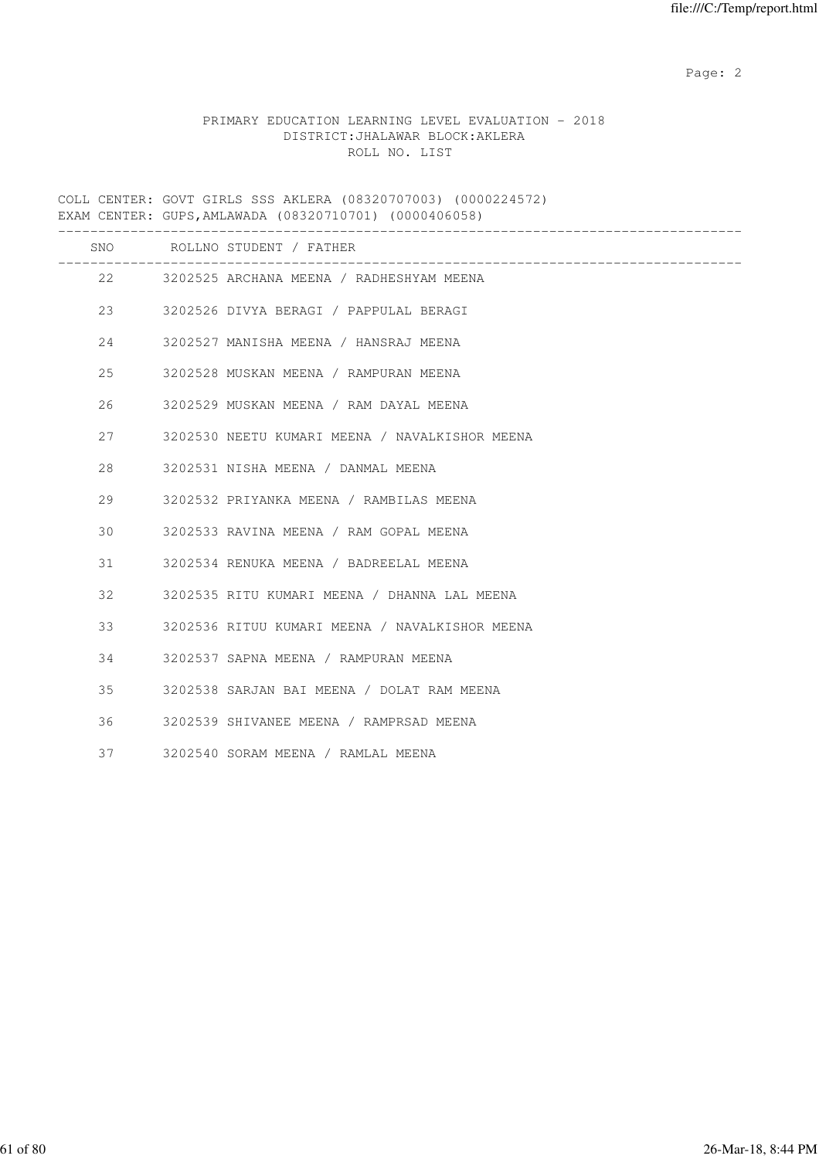Page: 2  $P$  and 2  $P$  and 2  $P$  and 2  $P$  and 2  $P$  and 2  $P$  and 2  $P$  and 2  $P$  and 2  $P$  and 2  $P$  and 2  $P$  and 2  $P$  and 2  $P$  and 2  $P$  and 2  $P$  and 2  $P$  and 2  $P$  and 2  $P$  and 2  $P$  and 2  $P$  and 2  $P$  and 2  $P$ 

# PRIMARY EDUCATION LEARNING LEVEL EVALUATION - 2018 DISTRICT:JHALAWAR BLOCK:AKLERA ROLL NO. LIST

COLL CENTER: GOVT GIRLS SSS AKLERA (08320707003) (0000224572) EXAM CENTER: GUPS,AMLAWADA (08320710701) (0000406058)

|     | SNO ROLLNO STUDENT / FATHER                    |
|-----|------------------------------------------------|
|     | 22 3202525 ARCHANA MEENA / RADHESHYAM MEENA    |
| 23  | 3202526 DIVYA BERAGI / PAPPULAL BERAGI         |
| 24  | 3202527 MANISHA MEENA / HANSRAJ MEENA          |
| 25  | 3202528 MUSKAN MEENA / RAMPURAN MEENA          |
| 26  | 3202529 MUSKAN MEENA / RAM DAYAL MEENA         |
| 2.7 | 3202530 NEETU KUMARI MEENA / NAVALKISHOR MEENA |
| 28  | 3202531 NISHA MEENA / DANMAL MEENA             |
| 29  | 3202532 PRIYANKA MEENA / RAMBILAS MEENA        |
| 30  | 3202533 RAVINA MEENA / RAM GOPAL MEENA         |
| 31  | 3202534 RENUKA MEENA / BADREELAL MEENA         |
| 32  | 3202535 RITU KUMARI MEENA / DHANNA LAL MEENA   |
| 33  | 3202536 RITUU KUMARI MEENA / NAVALKISHOR MEENA |
| 34  | 3202537 SAPNA MEENA / RAMPURAN MEENA           |
| 35  | 3202538 SARJAN BAI MEENA / DOLAT RAM MEENA     |
| 36  | 3202539 SHIVANEE MEENA / RAMPRSAD MEENA        |
| 37  | 3202540 SORAM MEENA / RAMLAL MEENA             |
|     |                                                |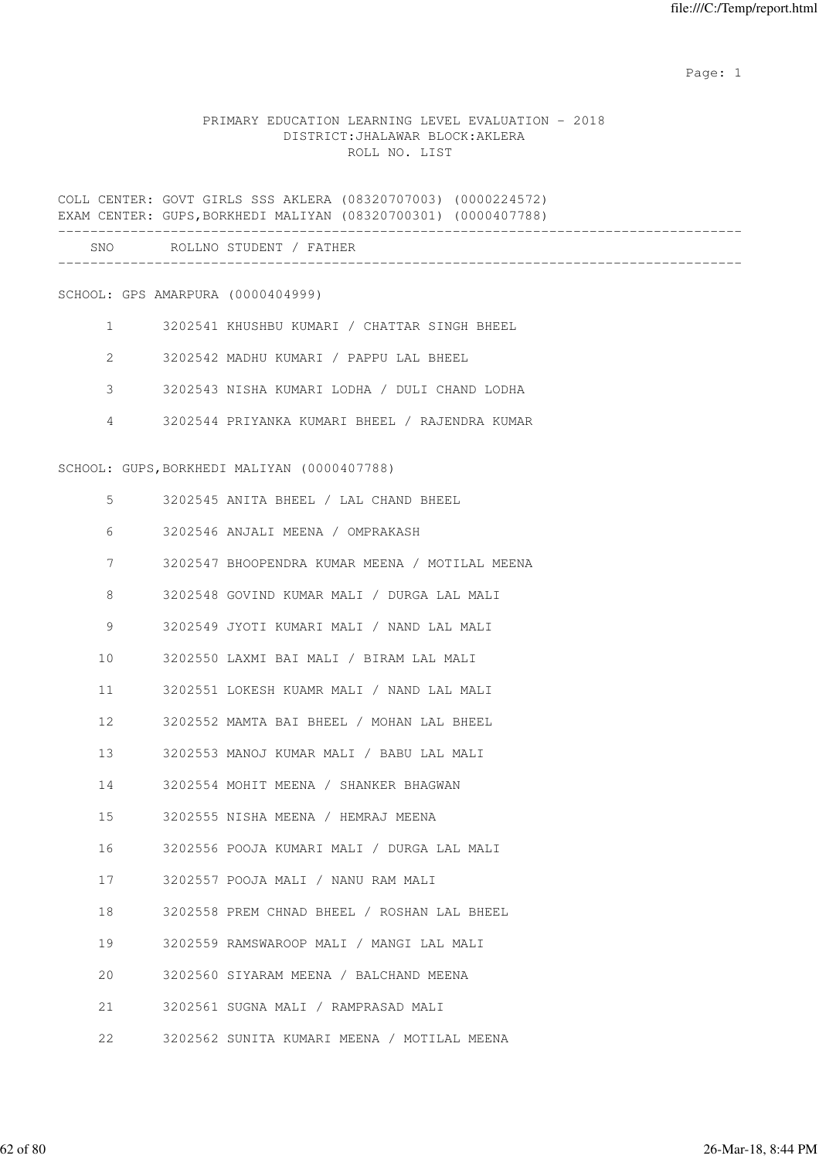expected to the control of the control of the control of the control of the control of the control of the control of the control of the control of the control of the control of the control of the control of the control of

# PRIMARY EDUCATION LEARNING LEVEL EVALUATION - 2018 DISTRICT:JHALAWAR BLOCK:AKLERA ROLL NO. LIST

|                |  | COLL CENTER: GOVT GIRLS SSS AKLERA (08320707003) (0000224572)<br>EXAM CENTER: GUPS, BORKHEDI MALIYAN (08320700301) (0000407788) |
|----------------|--|---------------------------------------------------------------------------------------------------------------------------------|
|                |  | SNO ROLLNO STUDENT / FATHER                                                                                                     |
|                |  | SCHOOL: GPS AMARPURA (0000404999)                                                                                               |
| 1              |  | 3202541 KHUSHBU KUMARI / CHATTAR SINGH BHEEL                                                                                    |
| 2              |  | 3202542 MADHU KUMARI / PAPPU LAL BHEEL                                                                                          |
| 3              |  | 3202543 NISHA KUMARI LODHA / DULI CHAND LODHA                                                                                   |
| $\overline{4}$ |  | 3202544 PRIYANKA KUMARI BHEEL / RAJENDRA KUMAR                                                                                  |
|                |  | SCHOOL: GUPS, BORKHEDI MALIYAN (0000407788)                                                                                     |
| 5              |  | 3202545 ANITA BHEEL / LAL CHAND BHEEL                                                                                           |
| 6              |  | 3202546 ANJALI MEENA / OMPRAKASH                                                                                                |
| 7              |  | 3202547 BHOOPENDRA KUMAR MEENA / MOTILAL MEENA                                                                                  |
| 8              |  | 3202548 GOVIND KUMAR MALI / DURGA LAL MALI                                                                                      |
| 9              |  | 3202549 JYOTI KUMARI MALI / NAND LAL MALI                                                                                       |
| 10             |  | 3202550 LAXMI BAI MALI / BIRAM LAL MALI                                                                                         |
| 11             |  | 3202551 LOKESH KUAMR MALI / NAND LAL MALI                                                                                       |
| 12             |  | 3202552 MAMTA BAI BHEEL / MOHAN LAL BHEEL                                                                                       |
| 13             |  | 3202553 MANOJ KUMAR MALI / BABU LAL MALI                                                                                        |
| 14             |  | 3202554 MOHIT MEENA / SHANKER BHAGWAN                                                                                           |
| 15             |  | 3202555 NISHA MEENA / HEMRAJ MEENA                                                                                              |
| 16             |  | 3202556 POOJA KUMARI MALI / DURGA LAL MALI                                                                                      |
| 17             |  | 3202557 POOJA MALI / NANU RAM MALI                                                                                              |
| 18             |  | 3202558 PREM CHNAD BHEEL / ROSHAN LAL BHEEL                                                                                     |
| 19             |  | 3202559 RAMSWAROOP MALI / MANGI LAL MALI                                                                                        |
| 20             |  | 3202560 SIYARAM MEENA / BALCHAND MEENA                                                                                          |
| 21             |  | 3202561 SUGNA MALI / RAMPRASAD MALI                                                                                             |
| 22             |  | 3202562 SUNITA KUMARI MEENA / MOTILAL MEENA                                                                                     |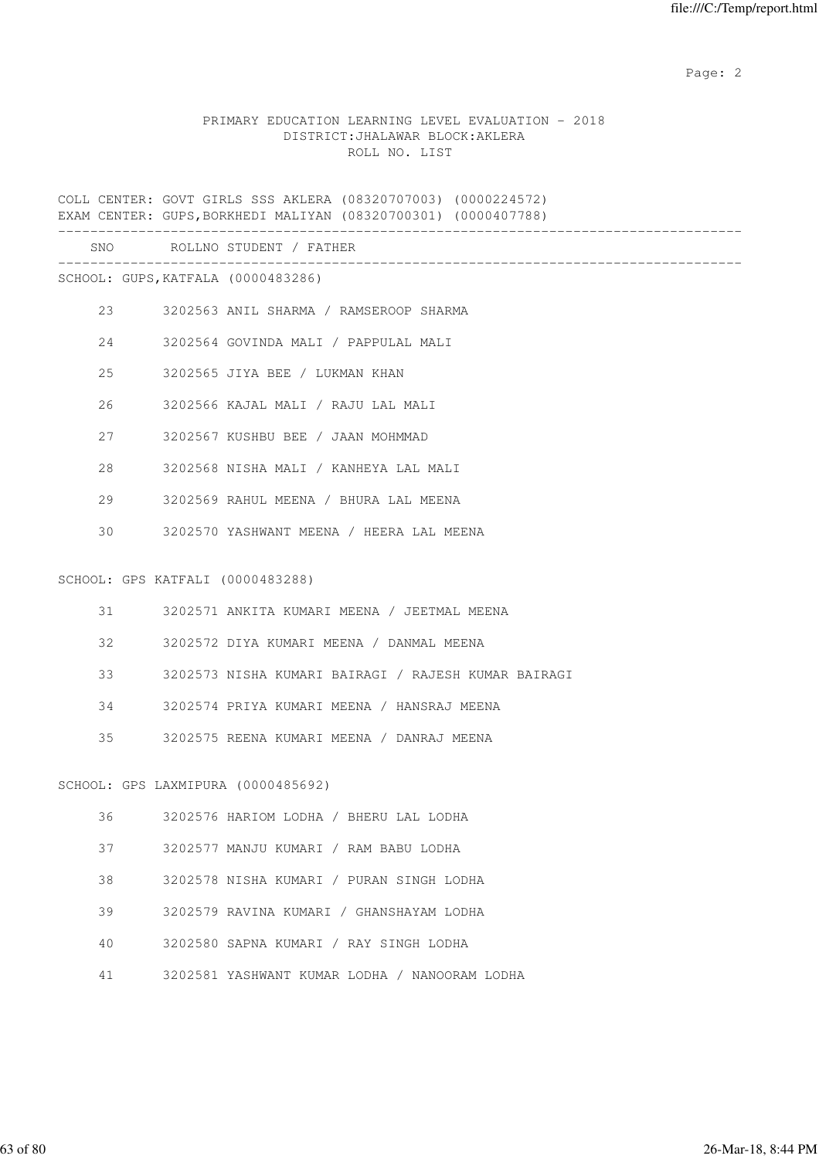Page: 2  $P$  and 2  $P$  and 2  $P$  and 2  $P$  and 2  $P$  and 2  $P$  and 2  $P$  and 2  $P$  and 2  $P$  and 2  $P$  and 2  $P$  and 2  $P$  and 2  $P$  and 2  $P$  and 2  $P$  and 2  $P$  and 2  $P$  and 2  $P$  and 2  $P$  and 2  $P$  and 2  $P$  and 2  $P$ 

# PRIMARY EDUCATION LEARNING LEVEL EVALUATION - 2018 DISTRICT:JHALAWAR BLOCK:AKLERA ROLL NO. LIST

COLL CENTER: GOVT GIRLS SSS AKLERA (08320707003) (0000224572) EXAM CENTER: GUPS,BORKHEDI MALIYAN (08320700301) (0000407788) ------------------------------------------------------------------------------------- SNO ROLLNO STUDENT / FATHER ------------------------------------------------------------------------------------- SCHOOL: GUPS,KATFALA (0000483286) 23 3202563 ANIL SHARMA / RAMSEROOP SHARMA 24 3202564 GOVINDA MALI / PAPPULAL MALI 25 3202565 JIYA BEE / LUKMAN KHAN 26 3202566 KAJAL MALI / RAJU LAL MALI 27 3202567 KUSHBU BEE / JAAN MOHMMAD 28 3202568 NISHA MALI / KANHEYA LAL MALI 29 3202569 RAHUL MEENA / BHURA LAL MEENA 30 3202570 YASHWANT MEENA / HEERA LAL MEENA SCHOOL: GPS KATFALI (0000483288) 31 3202571 ANKITA KUMARI MEENA / JEETMAL MEENA 32 3202572 DIYA KUMARI MEENA / DANMAL MEENA 33 3202573 NISHA KUMARI BAIRAGI / RAJESH KUMAR BAIRAGI 34 3202574 PRIYA KUMARI MEENA / HANSRAJ MEENA 35 3202575 REENA KUMARI MEENA / DANRAJ MEENA SCHOOL: GPS LAXMIPURA (0000485692) 36 3202576 HARIOM LODHA / BHERU LAL LODHA 37 3202577 MANJU KUMARI / RAM BABU LODHA 38 3202578 NISHA KUMARI / PURAN SINGH LODHA 39 3202579 RAVINA KUMARI / GHANSHAYAM LODHA 40 3202580 SAPNA KUMARI / RAY SINGH LODHA 41 3202581 YASHWANT KUMAR LODHA / NANOORAM LODHA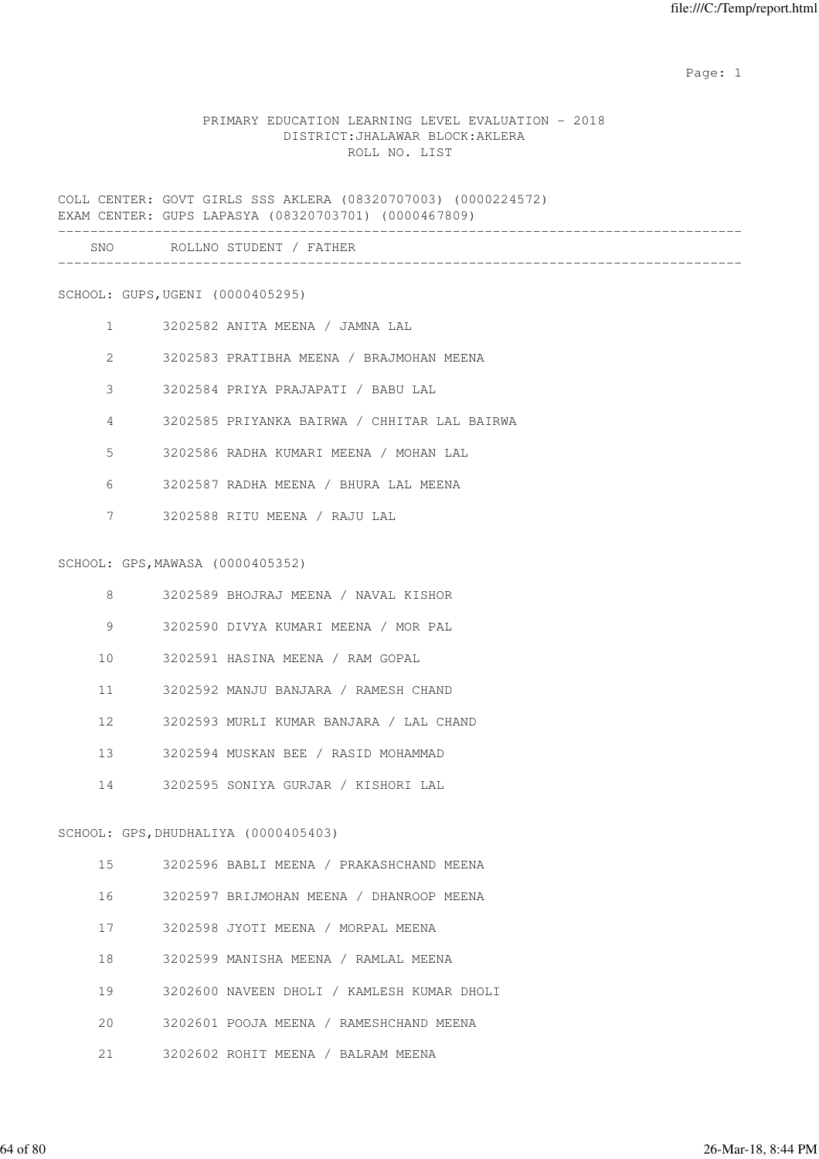expected to the control of the control of the control of the control of the control of the control of the control of the control of the control of the control of the control of the control of the control of the control of

### PRIMARY EDUCATION LEARNING LEVEL EVALUATION - 2018 DISTRICT:JHALAWAR BLOCK:AKLERA ROLL NO. LIST

COLL CENTER: GOVT GIRLS SSS AKLERA (08320707003) (0000224572) EXAM CENTER: GUPS LAPASYA (08320703701) (0000467809)

| SNC<br>__ | n n<br>ND |  |  |
|-----------|-----------|--|--|
|           |           |  |  |

#### SCHOOL: GUPS,UGENI (0000405295)

- 1 3202582 ANITA MEENA / JAMNA LAL
- 2 3202583 PRATIBHA MEENA / BRAJMOHAN MEENA
- 3 3202584 PRIYA PRAJAPATI / BABU LAL
- 4 3202585 PRIYANKA BAIRWA / CHHITAR LAL BAIRWA
- 5 3202586 RADHA KUMARI MEENA / MOHAN LAL
- 6 3202587 RADHA MEENA / BHURA LAL MEENA
- 7 3202588 RITU MEENA / RAJU LAL

#### SCHOOL: GPS,MAWASA (0000405352)

- 8 3202589 BHOJRAJ MEENA / NAVAL KISHOR
- 9 3202590 DIVYA KUMARI MEENA / MOR PAL
- 10 3202591 HASINA MEENA / RAM GOPAL
- 11 3202592 MANJU BANJARA / RAMESH CHAND
- 12 3202593 MURLI KUMAR BANJARA / LAL CHAND
- 13 3202594 MUSKAN BEE / RASID MOHAMMAD
- 14 3202595 SONIYA GURJAR / KISHORI LAL

#### SCHOOL: GPS,DHUDHALIYA (0000405403)

- 15 3202596 BABLI MEENA / PRAKASHCHAND MEENA
- 16 3202597 BRIJMOHAN MEENA / DHANROOP MEENA
- 17 3202598 JYOTI MEENA / MORPAL MEENA
- 18 3202599 MANISHA MEENA / RAMLAL MEENA
- 19 3202600 NAVEEN DHOLI / KAMLESH KUMAR DHOLI
- 20 3202601 POOJA MEENA / RAMESHCHAND MEENA
- 21 3202602 ROHIT MEENA / BALRAM MEENA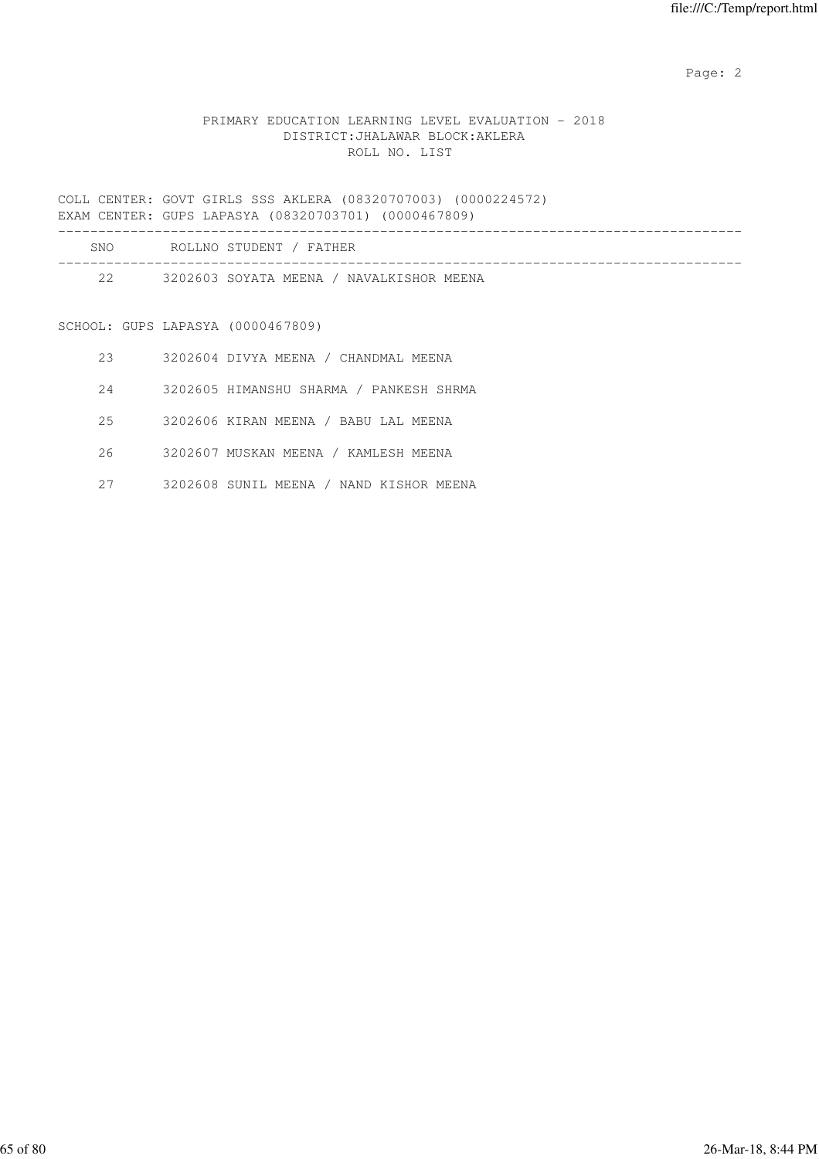Page: 2  $P$  and 2  $P$  and 2  $P$  and 2  $P$  and 2  $P$  and 2  $P$  and 2  $P$  and 2  $P$  and 2  $P$  and 2  $P$  and 2  $P$  and 2  $P$  and 2  $P$  and 2  $P$  and 2  $P$  and 2  $P$  and 2  $P$  and 2  $P$  and 2  $P$  and 2  $P$  and 2  $P$  and 2  $P$ 

# PRIMARY EDUCATION LEARNING LEVEL EVALUATION - 2018 DISTRICT:JHALAWAR BLOCK:AKLERA ROLL NO. LIST

COLL CENTER: GOVT GIRLS SSS AKLERA (08320707003) (0000224572) EXAM CENTER: GUPS LAPASYA (08320703701) (0000467809)

| <b>SNO</b> | ROLLNO STUDENT / FATHER                  |  |
|------------|------------------------------------------|--|
| 2.2        | 3202603 SOYATA MEENA / NAVALKISHOR MEENA |  |

# SCHOOL: GUPS LAPASYA (0000467809)

- 23 3202604 DIVYA MEENA / CHANDMAL MEENA
- 24 3202605 HIMANSHU SHARMA / PANKESH SHRMA
- 25 3202606 KIRAN MEENA / BABU LAL MEENA
- 26 3202607 MUSKAN MEENA / KAMLESH MEENA
- 27 3202608 SUNIL MEENA / NAND KISHOR MEENA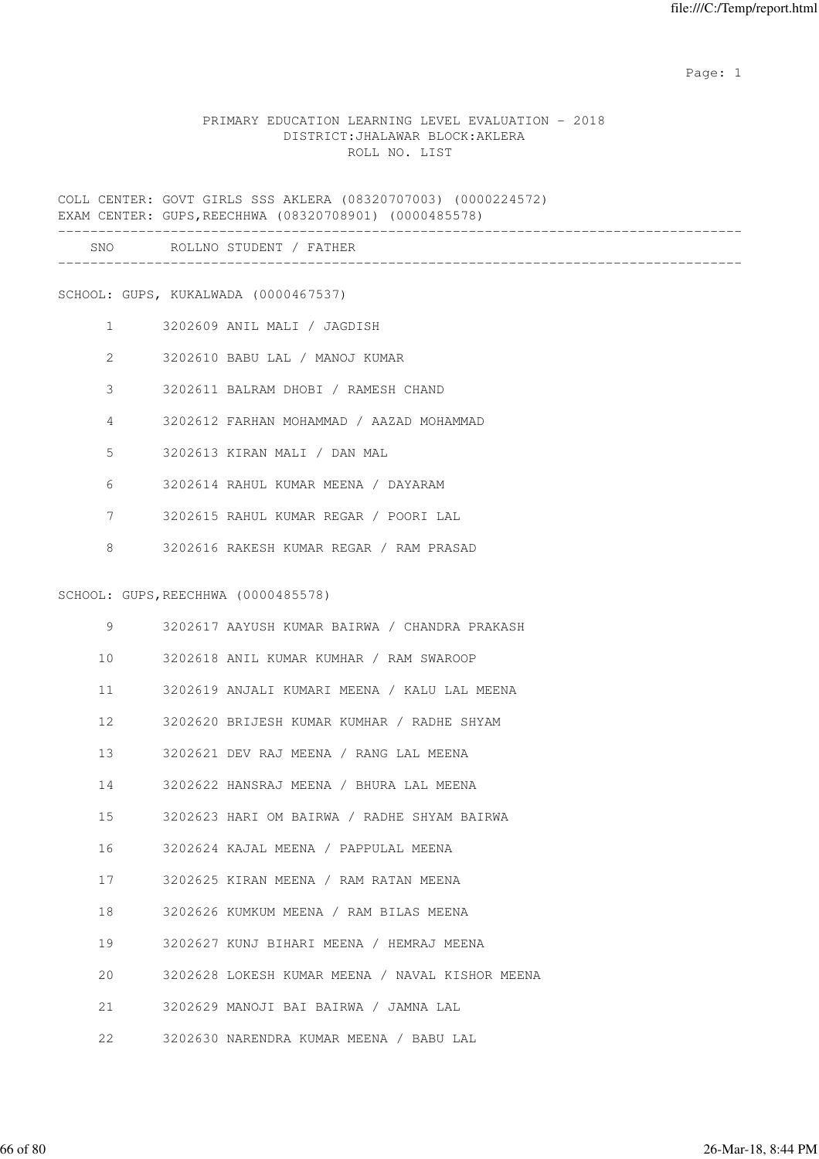expected to the control of the control of the control of the control of the control of the control of the control of the control of the control of the control of the control of the control of the control of the control of

## PRIMARY EDUCATION LEARNING LEVEL EVALUATION - 2018 DISTRICT:JHALAWAR BLOCK:AKLERA ROLL NO. LIST

COLL CENTER: GOVT GIRLS SSS AKLERA (08320707003) (0000224572) EXAM CENTER: GUPS,REECHHWA (08320708901) (0000485578)

| SNC | $\circ$ $\circ$ $\circ$<br>. N 0<br><b>NI</b><br>---- |  |
|-----|-------------------------------------------------------|--|
|     |                                                       |  |

SCHOOL: GUPS, KUKALWADA (0000467537)

- 1 3202609 ANIL MALI / JAGDISH
- 2 3202610 BABU LAL / MANOJ KUMAR
- 3 3202611 BALRAM DHOBI / RAMESH CHAND
- 4 3202612 FARHAN MOHAMMAD / AAZAD MOHAMMAD
- 5 3202613 KIRAN MALI / DAN MAL
- 6 3202614 RAHUL KUMAR MEENA / DAYARAM
- 7 3202615 RAHUL KUMAR REGAR / POORI LAL
- 8 3202616 RAKESH KUMAR REGAR / RAM PRASAD

#### SCHOOL: GUPS,REECHHWA (0000485578)

| 9               | 3202617 AAYUSH KUMAR BAIRWA / CHANDRA PRAKASH   |  |
|-----------------|-------------------------------------------------|--|
|                 | 10 3202618 ANIL KUMAR KUMHAR / RAM SWAROOP      |  |
|                 | 11 3202619 ANJALI KUMARI MEENA / KALU LAL MEENA |  |
| 12 <sup>°</sup> | 3202620 BRIJESH KUMAR KUMHAR / RADHE SHYAM      |  |
| 13 and 13       | 3202621 DEV RAJ MEENA / RANG LAL MEENA          |  |
| 14              | 3202622 HANSRAJ MEENA / BHURA LAL MEENA         |  |
| 15              | 3202623 HARI OM BAIRWA / RADHE SHYAM BAIRWA     |  |
| 16              | 3202624 KAJAL MEENA / PAPPULAL MEENA            |  |
| 17              | 3202625 KIRAN MEENA / RAM RATAN MEENA           |  |
|                 | 3202626 KUMKUM MEENA / RAM BILAS MEENA          |  |
| 19              | 3202627 KUNJ BIHARI MEENA / HEMRAJ MEENA        |  |
| 20              | 3202628 LOKESH KUMAR MEENA / NAVAL KISHOR MEENA |  |
| 21              | 3202629 MANOJI BAI BAIRWA / JAMNA LAL           |  |
| 22              | 3202630 NARENDRA KUMAR MEENA / BABU LAL         |  |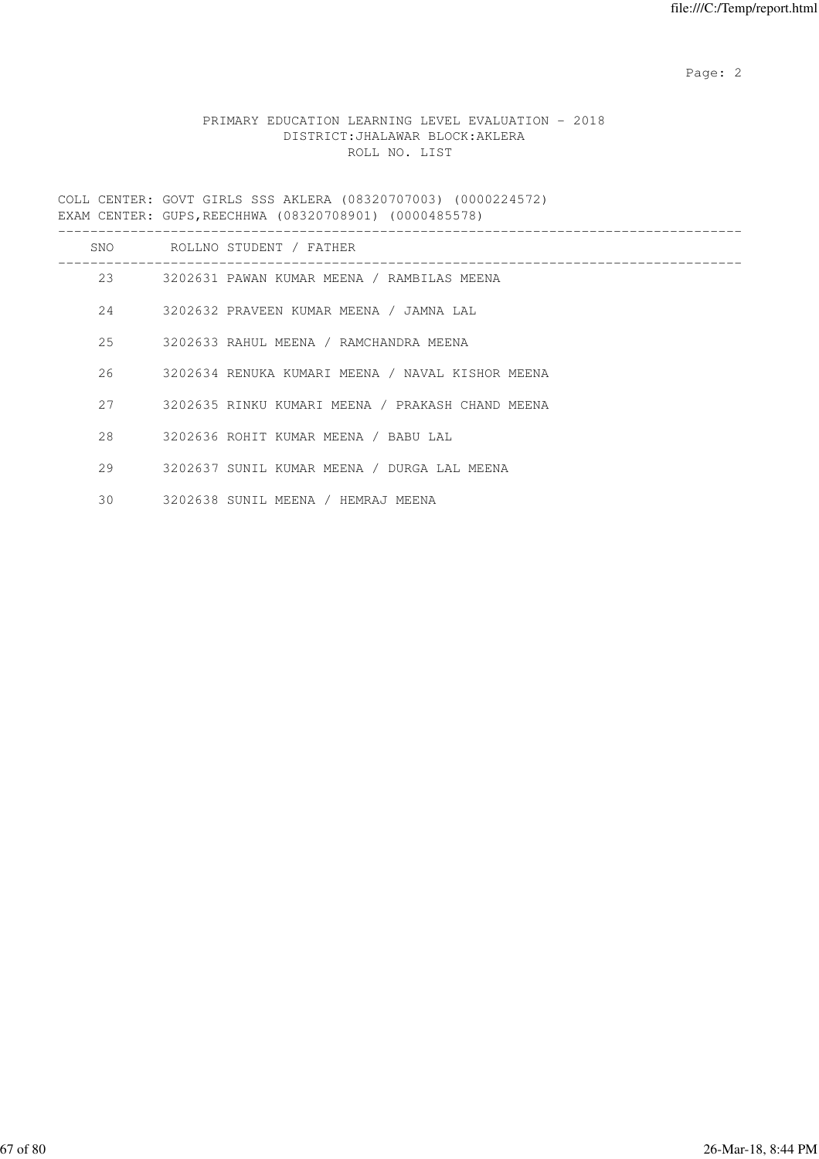Page: 2  $P$  and 2  $P$  and 2  $P$  and 2  $P$  and 2  $P$  and 2  $P$  and 2  $P$  and 2  $P$  and 2  $P$  and 2  $P$  and 2  $P$  and 2  $P$  and 2  $P$  and 2  $P$  and 2  $P$  and 2  $P$  and 2  $P$  and 2  $P$  and 2  $P$  and 2  $P$  and 2  $P$  and 2  $P$ 

# PRIMARY EDUCATION LEARNING LEVEL EVALUATION - 2018 DISTRICT:JHALAWAR BLOCK:AKLERA ROLL NO. LIST

COLL CENTER: GOVT GIRLS SSS AKLERA (08320707003) (0000224572) EXAM CENTER: GUPS,REECHHWA (08320708901) (0000485578)

| SNO | ROLLNO STUDENT / FATHER                          |
|-----|--------------------------------------------------|
| 23  | 3202631 PAWAN KUMAR MEENA / RAMBILAS MEENA       |
| 2.4 | 3202632 PRAVEEN KUMAR MEENA / JAMNA LAL          |
| 2.5 | 3202633 RAHUL MEENA / RAMCHANDRA MEENA           |
| 26  | 3202634 RENUKA KUMARI MEENA / NAVAL KISHOR MEENA |
| 2.7 | 3202635 RINKU KUMARI MEENA / PRAKASH CHAND MEENA |
| 2.8 | 3202636 ROHIT KUMAR MEENA / BABU LAL             |
| 29  | 3202637 SUNIL KUMAR MEENA / DURGA LAL MEENA      |
| 30  | 3202638 SUNIL MEENA / HEMRAJ MEENA               |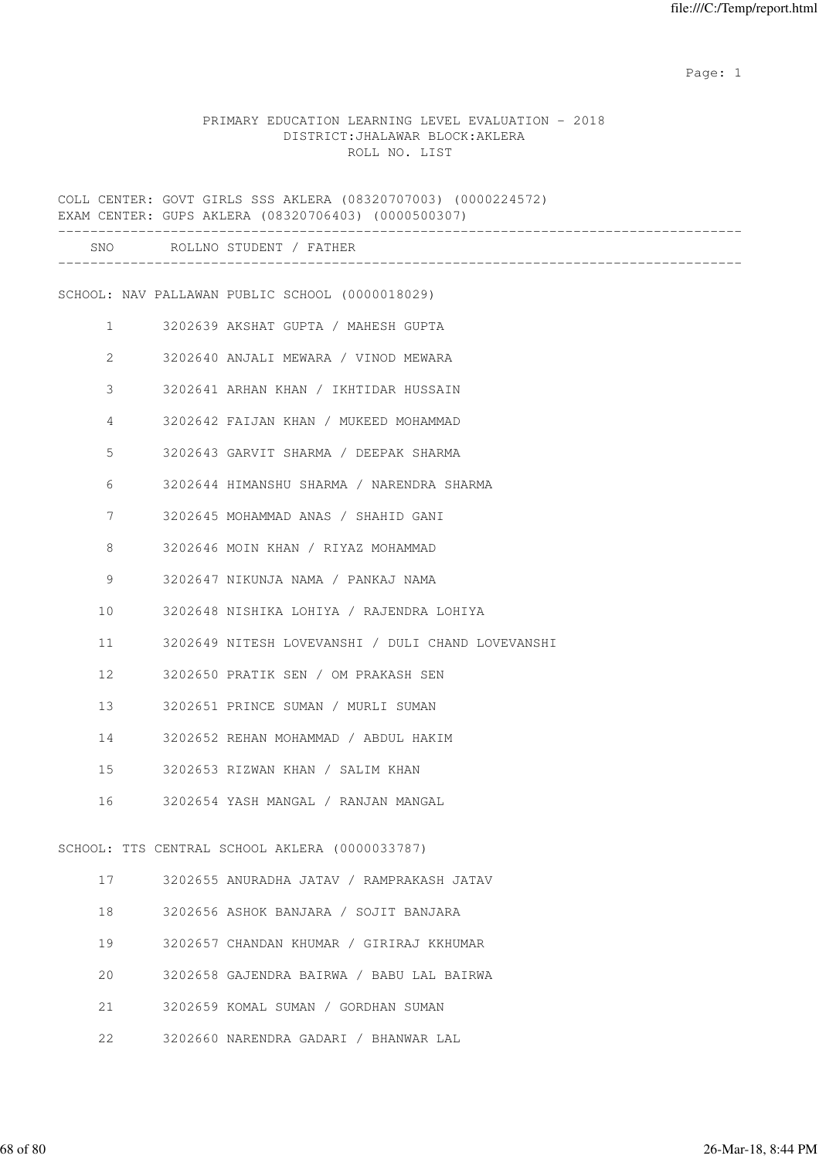expected to the control of the control of the control of the control of the control of the control of the control of the control of the control of the control of the control of the control of the control of the control of

### PRIMARY EDUCATION LEARNING LEVEL EVALUATION - 2018 DISTRICT:JHALAWAR BLOCK:AKLERA ROLL NO. LIST

COLL CENTER: GOVT GIRLS SSS AKLERA (08320707003) (0000224572) EXAM CENTER: GUPS AKLERA (08320706403) (0000500307) ------------------------------------------------------------------------------------- SNO ROLLNO STUDENT / FATHER ------------------------------------------------------------------------------------- SCHOOL: NAV PALLAWAN PUBLIC SCHOOL (0000018029) 1 3202639 AKSHAT GUPTA / MAHESH GUPTA 2 3202640 ANJALI MEWARA / VINOD MEWARA 3 3202641 ARHAN KHAN / IKHTIDAR HUSSAIN 4 3202642 FAIJAN KHAN / MUKEED MOHAMMAD 5 3202643 GARVIT SHARMA / DEEPAK SHARMA 6 3202644 HIMANSHU SHARMA / NARENDRA SHARMA 7 3202645 MOHAMMAD ANAS / SHAHID GANI 8 3202646 MOIN KHAN / RIYAZ MOHAMMAD 9 3202647 NIKUNJA NAMA / PANKAJ NAMA 10 3202648 NISHIKA LOHIYA / RAJENDRA LOHIYA 11 3202649 NITESH LOVEVANSHI / DULI CHAND LOVEVANSHI 12 3202650 PRATIK SEN / OM PRAKASH SEN 13 3202651 PRINCE SUMAN / MURLI SUMAN 14 3202652 REHAN MOHAMMAD / ABDUL HAKIM 15 3202653 RIZWAN KHAN / SALIM KHAN 16 3202654 YASH MANGAL / RANJAN MANGAL SCHOOL: TTS CENTRAL SCHOOL AKLERA (0000033787) 17 3202655 ANURADHA JATAV / RAMPRAKASH JATAV 18 3202656 ASHOK BANJARA / SOJIT BANJARA 19 3202657 CHANDAN KHUMAR / GIRIRAJ KKHUMAR 20 3202658 GAJENDRA BAIRWA / BABU LAL BAIRWA 21 3202659 KOMAL SUMAN / GORDHAN SUMAN

22 3202660 NARENDRA GADARI / BHANWAR LAL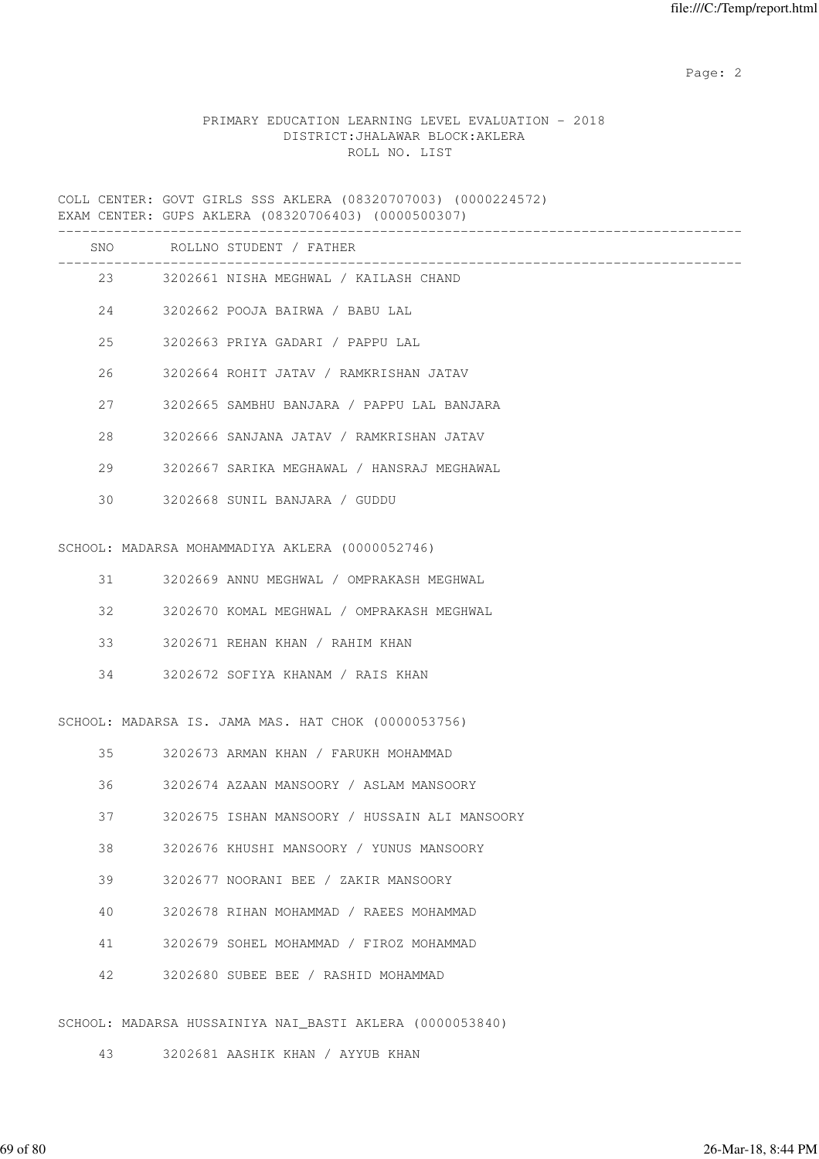Page: 2  $P$  and 2  $P$  and 2  $P$  and 2  $P$  and 2  $P$  and 2  $P$  and 2  $P$  and 2  $P$  and 2  $P$  and 2  $P$  and 2  $P$  and 2  $P$  and 2  $P$  and 2  $P$  and 2  $P$  and 2  $P$  and 2  $P$  and 2  $P$  and 2  $P$  and 2  $P$  and 2  $P$  and 2  $P$ 

# PRIMARY EDUCATION LEARNING LEVEL EVALUATION - 2018 DISTRICT:JHALAWAR BLOCK:AKLERA ROLL NO. LIST

COLL CENTER: GOVT GIRLS SSS AKLERA (08320707003) (0000224572) EXAM CENTER: GUPS AKLERA (08320706403) (0000500307)

|     | SNO ROLLNO STUDENT / FATHER                |
|-----|--------------------------------------------|
|     | 23 3202661 NISHA MEGHWAL / KAILASH CHAND   |
|     | 24 3202662 POOJA BAIRWA / BABU LAL         |
| 25  | 3202663 PRIYA GADARI / PAPPU LAL           |
| 26  | 3202664 ROHIT JATAV / RAMKRISHAN JATAV     |
| 2.7 | 3202665 SAMBHU BANJARA / PAPPU LAL BANJARA |
| 28  | 3202666 SANJANA JATAV / RAMKRISHAN JATAV   |
| 29  | 3202667 SARIKA MEGHAWAL / HANSRAJ MEGHAWAL |
| 30  | 3202668 SUNIL BANJARA / GUDDU              |
|     |                                            |

SCHOOL: MADARSA MOHAMMADIYA AKLERA (0000052746)

|  |  | 3202669 ANNU MEGHWAL | / OMPRAKASH MEGHWAL |  |
|--|--|----------------------|---------------------|--|
|--|--|----------------------|---------------------|--|

- 32 3202670 KOMAL MEGHWAL / OMPRAKASH MEGHWAL
- 33 3202671 REHAN KHAN / RAHIM KHAN
- 34 3202672 SOFIYA KHANAM / RAIS KHAN

SCHOOL: MADARSA IS. JAMA MAS. HAT CHOK (0000053756)

| 35 | 3202673 ARMAN KHAN / FARUKH MOHAMMAD          |
|----|-----------------------------------------------|
| 36 | 3202674 AZAAN MANSOORY / ASLAM MANSOORY       |
| 37 | 3202675 ISHAN MANSOORY / HUSSAIN ALI MANSOORY |
| 38 | 3202676 KHUSHI MANSOORY / YUNUS MANSOORY      |
| 39 | 3202677 NOORANI BEE / ZAKIR MANSOORY          |
| 40 | 3202678 RIHAN MOHAMMAD / RAEES MOHAMMAD       |
| 41 | 3202679 SOHEL MOHAMMAD / FIROZ MOHAMMAD       |
| 42 | 3202680 SUBEE BEE / RASHID MOHAMMAD           |
|    |                                               |

SCHOOL: MADARSA HUSSAINIYA NAI\_BASTI AKLERA (0000053840)

43 3202681 AASHIK KHAN / AYYUB KHAN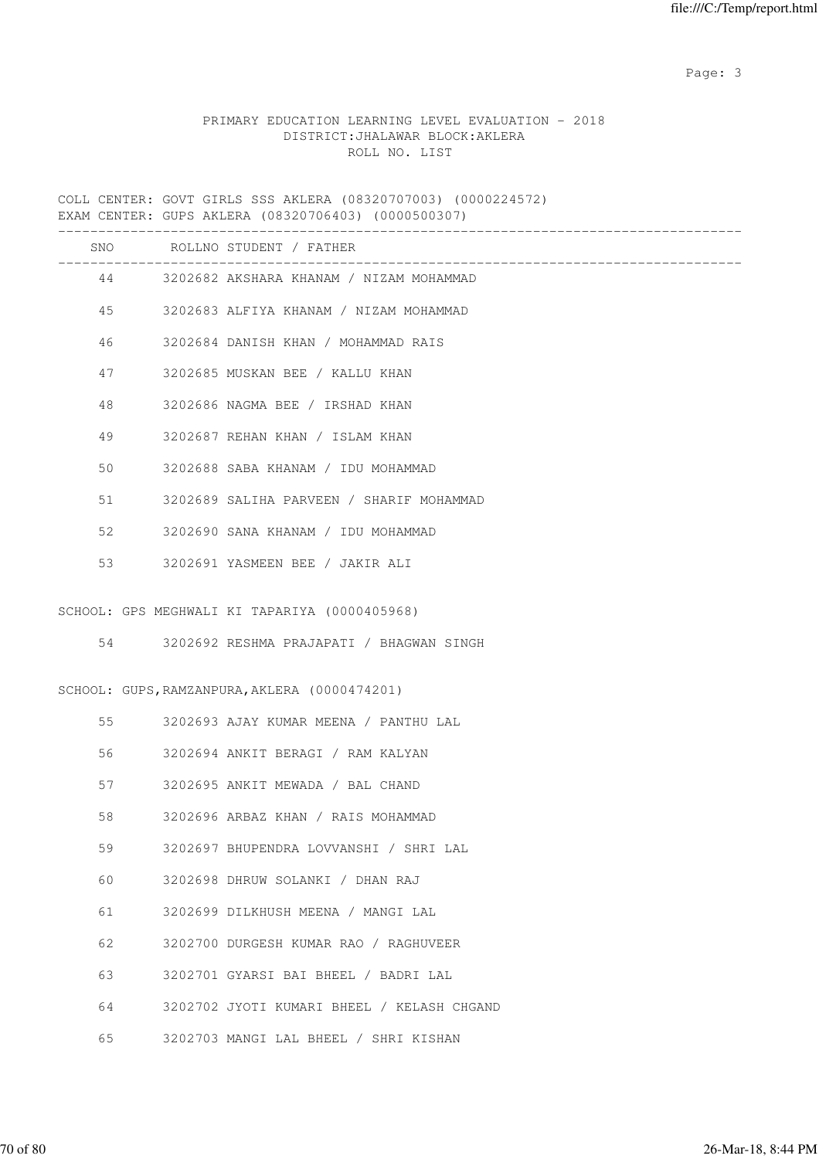Page: 3 Advanced 20 April 2014 2016 2017 2022 3 April 2017 2022 3 April 2022 3 April 2022 3 April 2022 3 April 2022 3 April 2022 3 April 2022 3 April 2022 3 April 2022 3 April 2022 3 April 2022 3 April 2022 3 April 2022 3

# PRIMARY EDUCATION LEARNING LEVEL EVALUATION - 2018 DISTRICT:JHALAWAR BLOCK:AKLERA ROLL NO. LIST

COLL CENTER: GOVT GIRLS SSS AKLERA (08320707003) (0000224572) EXAM CENTER: GUPS AKLERA (08320706403) (0000500307)

|    | SNO ROLLNO STUDENT / FATHER                                                               |
|----|-------------------------------------------------------------------------------------------|
|    | 44 3202682 AKSHARA KHANAM / NIZAM MOHAMMAD                                                |
| 45 | 3202683 ALFIYA KHANAM / NIZAM MOHAMMAD                                                    |
| 46 | 3202684 DANISH KHAN / MOHAMMAD RAIS                                                       |
| 47 | 3202685 MUSKAN BEE / KALLU KHAN                                                           |
| 48 | 3202686 NAGMA BEE / IRSHAD KHAN                                                           |
| 49 | 3202687 REHAN KHAN / ISLAM KHAN                                                           |
| 50 | 3202688 SABA KHANAM / IDU MOHAMMAD                                                        |
| 51 | 3202689 SALIHA PARVEEN / SHARIF MOHAMMAD                                                  |
| 52 | 3202690 SANA KHANAM / IDU MOHAMMAD                                                        |
| 53 | 3202691 YASMEEN BEE / JAKIR ALI                                                           |
| 54 | SCHOOL: GPS MEGHWALI KI TAPARIYA (0000405968)<br>3202692 RESHMA PRAJAPATI / BHAGWAN SINGH |
|    | SCHOOL: GUPS, RAMZANPURA, AKLERA (0000474201)                                             |
| 55 | 3202693 AJAY KUMAR MEENA / PANTHU LAL                                                     |
| 56 | 3202694 ANKIT BERAGI / RAM KALYAN                                                         |
| 57 | 3202695 ANKIT MEWADA / BAL CHAND                                                          |
| 58 | 3202696 ARBAZ KHAN / RAIS MOHAMMAD                                                        |
| 59 | 3202697 BHUPENDRA LOVVANSHI / SHRI LAL                                                    |
| 60 | 3202698 DHRUW SOLANKI / DHAN RAJ                                                          |
| 61 | 3202699 DILKHUSH MEENA / MANGI LAL                                                        |
| 62 | 3202700 DURGESH KUMAR RAO / RAGHUVEER                                                     |
| 63 | 3202701 GYARSI BAI BHEEL / BADRI LAL                                                      |
| 64 | 3202702 JYOTI KUMARI BHEEL / KELASH CHGAND                                                |
| 65 | 3202703 MANGI LAL BHEEL / SHRI KISHAN                                                     |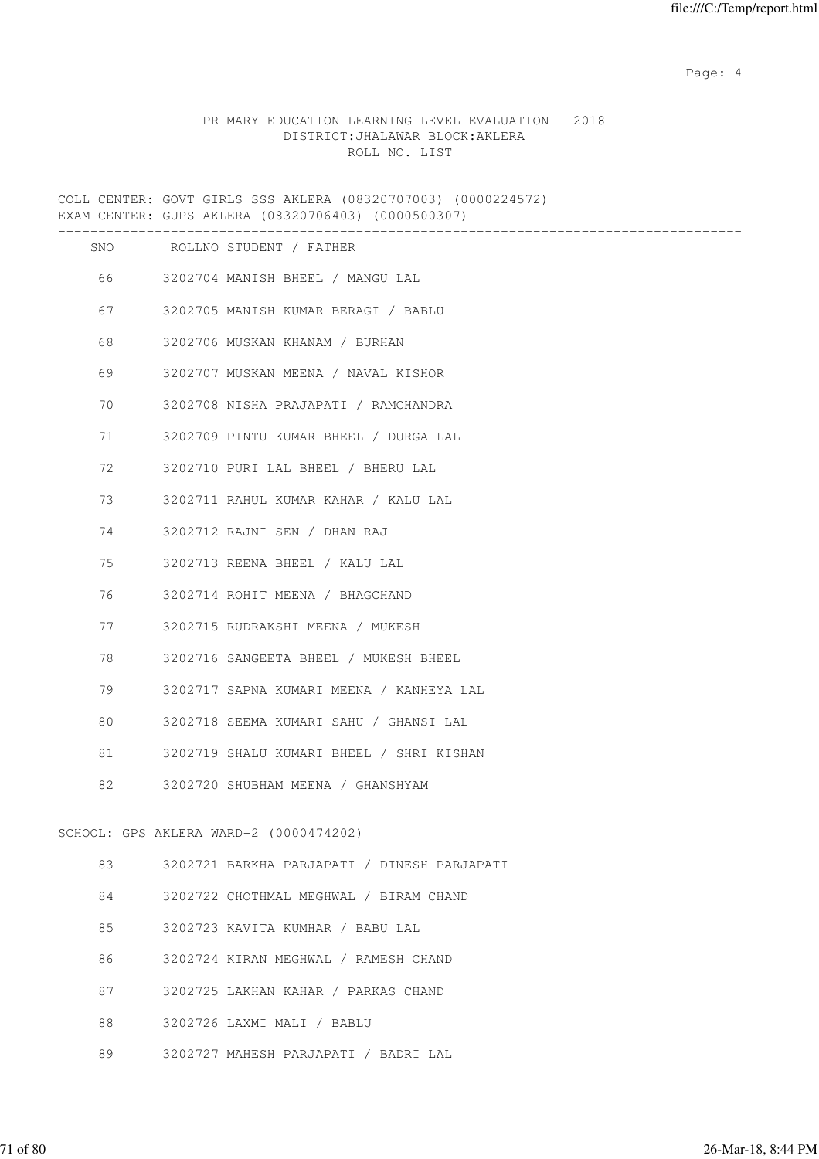Page: 4  $P$ 

## PRIMARY EDUCATION LEARNING LEVEL EVALUATION - 2018 DISTRICT:JHALAWAR BLOCK:AKLERA ROLL NO. LIST

COLL CENTER: GOVT GIRLS SSS AKLERA (08320707003) (0000224572) EXAM CENTER: GUPS AKLERA (08320706403) (0000500307) ------------------------------------------------------------------------------------- SNO ROLLNO STUDENT / FATHER ------------------------------------------------------------------------------------- 66 3202704 MANISH BHEEL / MANGU LAL 67 3202705 MANISH KUMAR BERAGI / BABLU 68 3202706 MUSKAN KHANAM / BURHAN 69 3202707 MUSKAN MEENA / NAVAL KISHOR 70 3202708 NISHA PRAJAPATI / RAMCHANDRA 71 3202709 PINTU KUMAR BHEEL / DURGA LAL 72 3202710 PURI LAL BHEEL / BHERU LAL 73 3202711 RAHUL KUMAR KAHAR / KALU LAL 74 3202712 RAJNI SEN / DHAN RAJ 75 3202713 REENA BHEEL / KALU LAL 76 3202714 ROHIT MEENA / BHAGCHAND 77 3202715 RUDRAKSHI MEENA / MUKESH 78 3202716 SANGEETA BHEEL / MUKESH BHEEL 79 3202717 SAPNA KUMARI MEENA / KANHEYA LAL 80 3202718 SEEMA KUMARI SAHU / GHANSI LAL 81 3202719 SHALU KUMARI BHEEL / SHRI KISHAN 82 3202720 SHUBHAM MEENA / GHANSHYAM SCHOOL: GPS AKLERA WARD-2 (0000474202) 83 3202721 BARKHA PARJAPATI / DINESH PARJAPATI 84 3202722 CHOTHMAL MEGHWAL / BIRAM CHAND 85 3202723 KAVITA KUMHAR / BABU LAL 86 3202724 KIRAN MEGHWAL / RAMESH CHAND 87 3202725 LAKHAN KAHAR / PARKAS CHAND 88 3202726 LAXMI MALI / BABLU 89 3202727 MAHESH PARJAPATI / BADRI LAL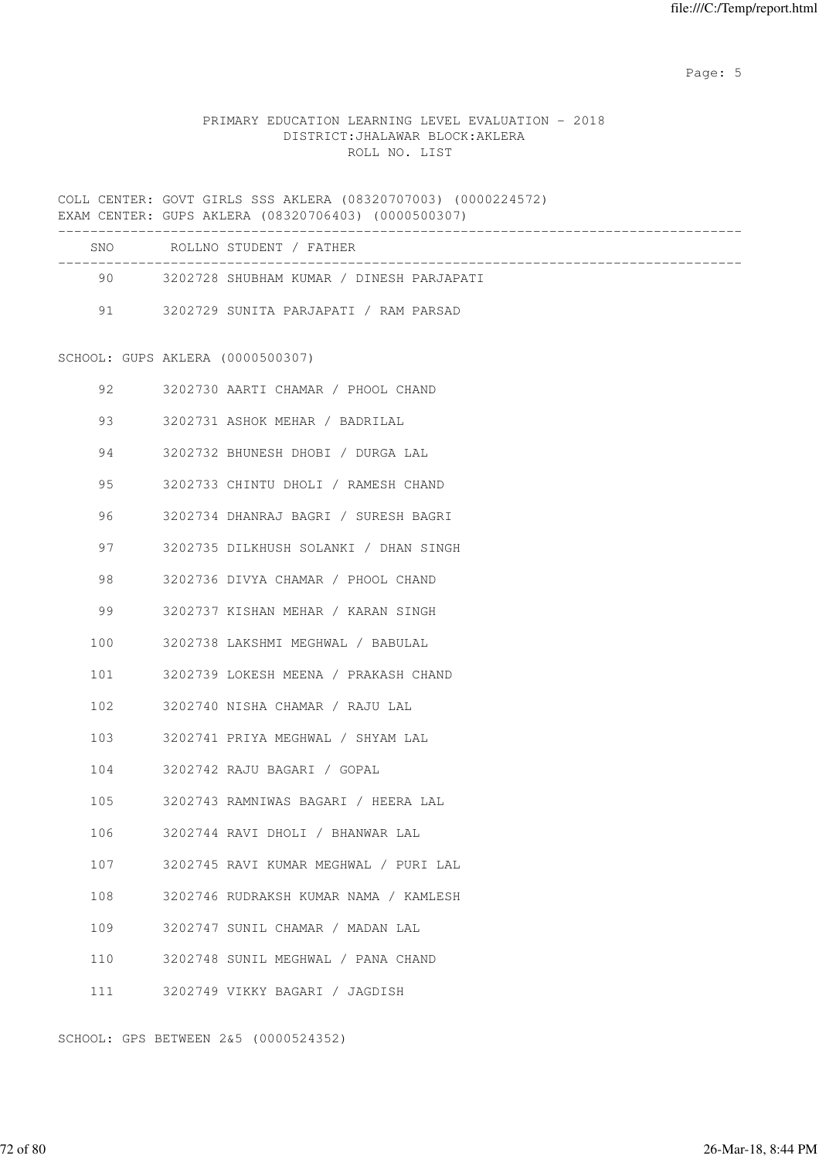Page: 5  $P$  and  $P$  and  $P$  and  $P$  and  $P$  and  $P$  and  $P$  and  $P$  and  $P$  and  $P$  and  $P$  and  $P$  and  $P$  and  $P$  and  $P$  and  $P$  and  $P$  and  $P$  and  $P$  and  $P$  and  $P$  and  $P$  and  $P$  and  $P$  and  $P$  and  $P$  and  $P$  an

# PRIMARY EDUCATION LEARNING LEVEL EVALUATION - 2018 DISTRICT:JHALAWAR BLOCK:AKLERA ROLL NO. LIST

COLL CENTER: GOVT GIRLS SSS AKLERA (08320707003) (0000224572) EXAM CENTER: GUPS AKLERA (08320706403) (0000500307)

| SNO. | ROLLNO STUDENT / FATHER                  |
|------|------------------------------------------|
| 90   | 3202728 SHUBHAM KUMAR / DINESH PARJAPATI |
| 91   | 3202729 SUNITA PARJAPATI / RAM PARSAD    |

SCHOOL: GUPS AKLERA (0000500307)

| 92  | 3202730 AARTI CHAMAR / PHOOL CHAND    |
|-----|---------------------------------------|
| 93  | 3202731 ASHOK MEHAR / BADRILAL        |
| 94  | 3202732 BHUNESH DHOBI / DURGA LAL     |
| 95  | 3202733 CHINTU DHOLI / RAMESH CHAND   |
| 96  | 3202734 DHANRAJ BAGRI / SURESH BAGRI  |
| 97  | 3202735 DILKHUSH SOLANKI / DHAN SINGH |
| 98  | 3202736 DIVYA CHAMAR / PHOOL CHAND    |
| 99  | 3202737 KISHAN MEHAR / KARAN SINGH    |
| 100 | 3202738 LAKSHMI MEGHWAL / BABULAL     |
| 101 | 3202739 LOKESH MEENA / PRAKASH CHAND  |
| 102 | 3202740 NISHA CHAMAR / RAJU LAL       |
|     | 103 3202741 PRIYA MEGHWAL / SHYAM LAL |
| 104 | 3202742 RAJU BAGARI / GOPAL           |
| 105 | 3202743 RAMNIWAS BAGARI / HEERA LAL   |
| 106 | 3202744 RAVI DHOLI / BHANWAR LAL      |
| 107 | 3202745 RAVI KUMAR MEGHWAL / PURI LAL |
| 108 | 3202746 RUDRAKSH KUMAR NAMA / KAMLESH |
| 109 | 3202747 SUNIL CHAMAR / MADAN LAL      |
| 110 | 3202748 SUNIL MEGHWAL / PANA CHAND    |
| 111 | 3202749 VIKKY BAGARI / JAGDISH        |

SCHOOL: GPS BETWEEN 2&5 (0000524352)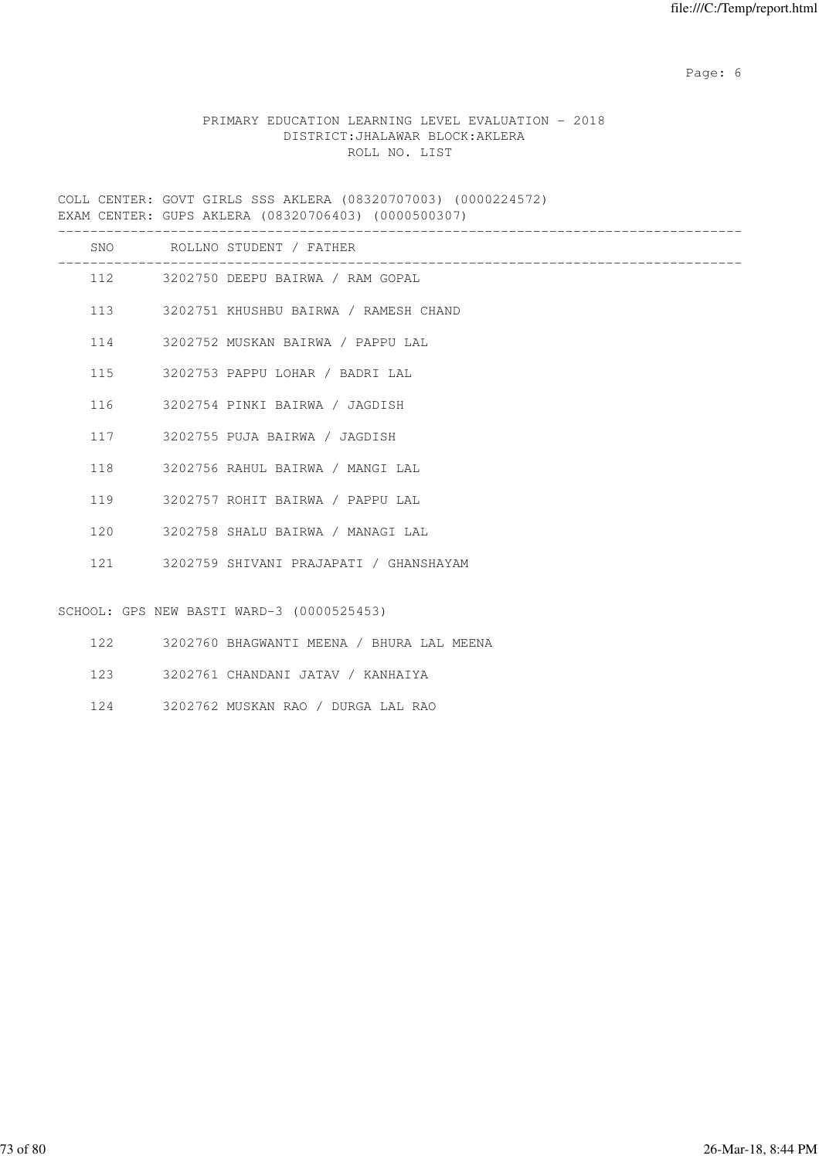Page: 6  $P$  and  $P$  and  $P$  and  $P$  and  $P$  and  $P$  and  $P$  and  $P$  and  $P$  and  $P$  and  $P$  and  $P$  and  $P$  and  $P$  and  $P$  and  $P$  and  $P$  and  $P$  and  $P$  and  $P$  and  $P$  and  $P$  and  $P$  and  $P$  and  $P$  and  $P$  and  $P$  an

# PRIMARY EDUCATION LEARNING LEVEL EVALUATION - 2018 DISTRICT:JHALAWAR BLOCK:AKLERA ROLL NO. LIST

COLL CENTER: GOVT GIRLS SSS AKLERA (08320707003) (0000224572) EXAM CENTER: GUPS AKLERA (08320706403) (0000500307)

|     | SNO ROLLNO STUDENT / FATHER                   |
|-----|-----------------------------------------------|
|     | 112 3202750 DEEPU BAIRWA / RAM GOPAL          |
|     | 113 3202751 KHUSHBU BAIRWA / RAMESH CHAND     |
|     | 114 3202752 MUSKAN BAIRWA / PAPPU LAL         |
|     | 115 3202753 PAPPU LOHAR / BADRI LAL           |
|     | 116 3202754 PINKI BAIRWA / JAGDISH            |
|     | 117 3202755 PUJA BAIRWA / JAGDISH             |
| 118 | 3202756 RAHUL BAIRWA / MANGI LAL              |
|     | 119 3202757 ROHIT BAIRWA / PAPPU LAL          |
|     | 120 3202758 SHALU BAIRWA / MANAGI LAL         |
|     | 121 3202759 SHIVANI PRAJAPATI / GHANSHAYAM    |
|     |                                               |
|     | SCHOOL: GPS NEW BASTI WARD-3 (0000525453)     |
|     | 122 3202760 BHAGWANTI MEENA / BHURA LAL MEENA |

- 123 3202761 CHANDANI JATAV / KANHAIYA
- 124 3202762 MUSKAN RAO / DURGA LAL RAO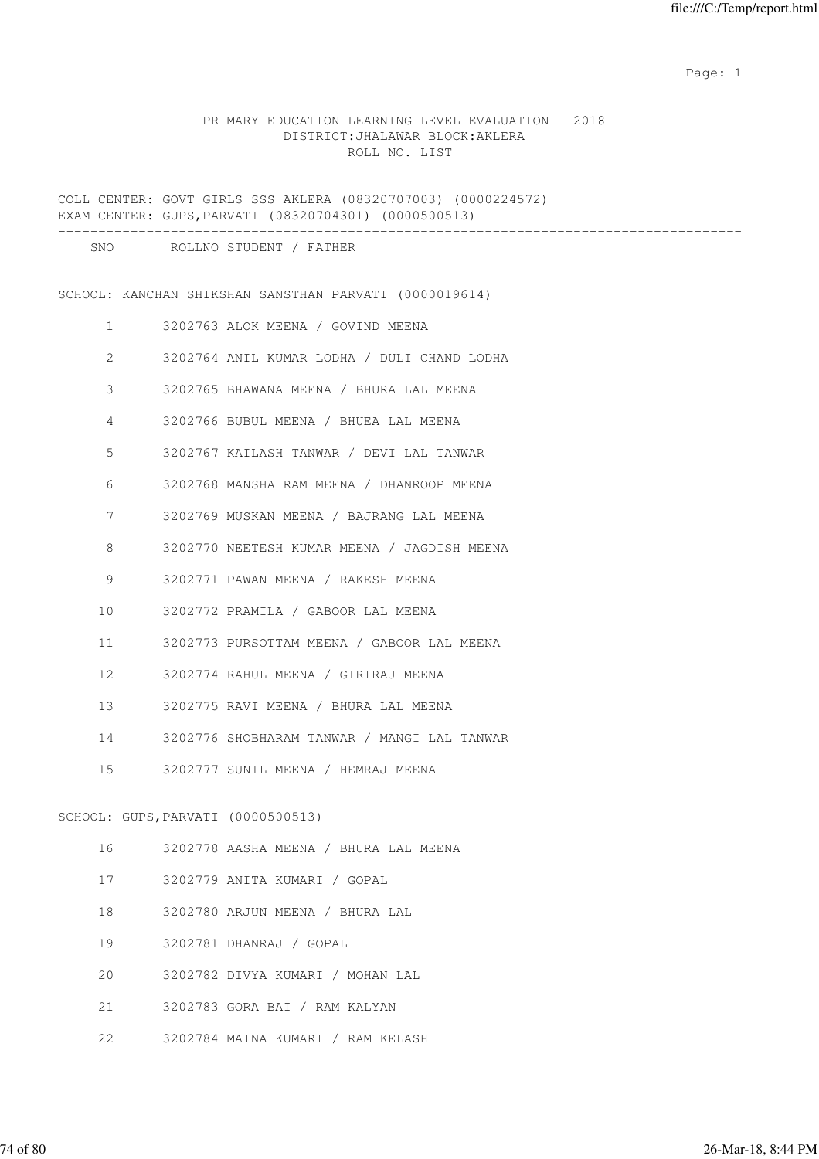expected to the control of the control of the control of the control of the control of the control of the control of the control of the control of the control of the control of the control of the control of the control of

### PRIMARY EDUCATION LEARNING LEVEL EVALUATION - 2018 DISTRICT:JHALAWAR BLOCK:AKLERA ROLL NO. LIST

COLL CENTER: GOVT GIRLS SSS AKLERA (08320707003) (0000224572) EXAM CENTER: GUPS,PARVATI (08320704301) (0000500513) ------------------------------------------------------------------------------------- SNO ROLLNO STUDENT / FATHER ------------------------------------------------------------------------------------- SCHOOL: KANCHAN SHIKSHAN SANSTHAN PARVATI (0000019614) 1 3202763 ALOK MEENA / GOVIND MEENA 2 3202764 ANIL KUMAR LODHA / DULI CHAND LODHA 3 3202765 BHAWANA MEENA / BHURA LAL MEENA 4 3202766 BUBUL MEENA / BHUEA LAL MEENA 5 3202767 KAILASH TANWAR / DEVI LAL TANWAR 6 3202768 MANSHA RAM MEENA / DHANROOP MEENA 7 3202769 MUSKAN MEENA / BAJRANG LAL MEENA 8 3202770 NEETESH KUMAR MEENA / JAGDISH MEENA 9 3202771 PAWAN MEENA / RAKESH MEENA 10 3202772 PRAMILA / GABOOR LAL MEENA 11 3202773 PURSOTTAM MEENA / GABOOR LAL MEENA 12 3202774 RAHUL MEENA / GIRIRAJ MEENA 13 3202775 RAVI MEENA / BHURA LAL MEENA 14 3202776 SHOBHARAM TANWAR / MANGI LAL TANWAR 15 3202777 SUNIL MEENA / HEMRAJ MEENA SCHOOL: GUPS,PARVATI (0000500513) 16 3202778 AASHA MEENA / BHURA LAL MEENA 17 3202779 ANITA KUMARI / GOPAL 18 3202780 ARJUN MEENA / BHURA LAL 19 3202781 DHANRAJ / GOPAL 20 3202782 DIVYA KUMARI / MOHAN LAL 21 3202783 GORA BAI / RAM KALYAN 22 3202784 MAINA KUMARI / RAM KELASH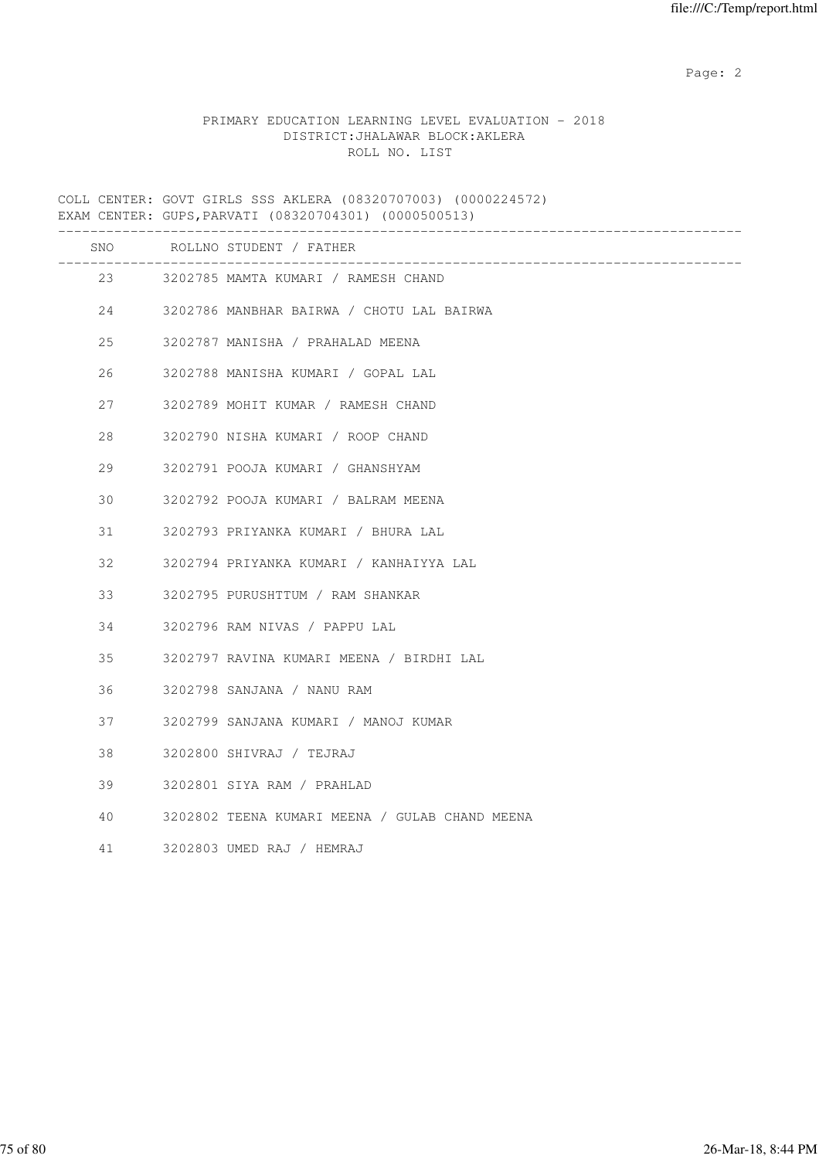Page: 2  $P$  and 2  $P$  and 2  $P$  and 2  $P$  and 2  $P$  and 2  $P$  and 2  $P$  and 2  $P$  and 2  $P$  and 2  $P$  and 2  $P$  and 2  $P$  and 2  $P$  and 2  $P$  and 2  $P$  and 2  $P$  and 2  $P$  and 2  $P$  and 2  $P$  and 2  $P$  and 2  $P$  and 2  $P$ 

# PRIMARY EDUCATION LEARNING LEVEL EVALUATION - 2018 DISTRICT:JHALAWAR BLOCK:AKLERA ROLL NO. LIST

COLL CENTER: GOVT GIRLS SSS AKLERA (08320707003) (0000224572) EXAM CENTER: GUPS,PARVATI (08320704301) (0000500513)

|    | SNO ROLLNO STUDENT / FATHER                    |
|----|------------------------------------------------|
|    | 23 3202785 MAMTA KUMARI / RAMESH CHAND         |
|    | 24 3202786 MANBHAR BAIRWA / CHOTU LAL BAIRWA   |
| 25 | 3202787 MANISHA / PRAHALAD MEENA               |
| 26 | 3202788 MANISHA KUMARI / GOPAL LAL             |
| 27 | 3202789 MOHIT KUMAR / RAMESH CHAND             |
| 28 | 3202790 NISHA KUMARI / ROOP CHAND              |
| 29 | 3202791 POOJA KUMARI / GHANSHYAM               |
| 30 | 3202792 POOJA KUMARI / BALRAM MEENA            |
| 31 | 3202793 PRIYANKA KUMARI / BHURA LAL            |
| 32 | 3202794 PRIYANKA KUMARI / KANHAIYYA LAL        |
| 33 | 3202795 PURUSHTTUM / RAM SHANKAR               |
| 34 | 3202796 RAM NIVAS / PAPPU LAL                  |
| 35 | 3202797 RAVINA KUMARI MEENA / BIRDHI LAL       |
| 36 | 3202798 SANJANA / NANU RAM                     |
| 37 | 3202799 SANJANA KUMARI / MANOJ KUMAR           |
| 38 | 3202800 SHIVRAJ / TEJRAJ                       |
| 39 | 3202801 SIYA RAM / PRAHLAD                     |
| 40 | 3202802 TEENA KUMARI MEENA / GULAB CHAND MEENA |
| 41 | 3202803 UMED RAJ / HEMRAJ                      |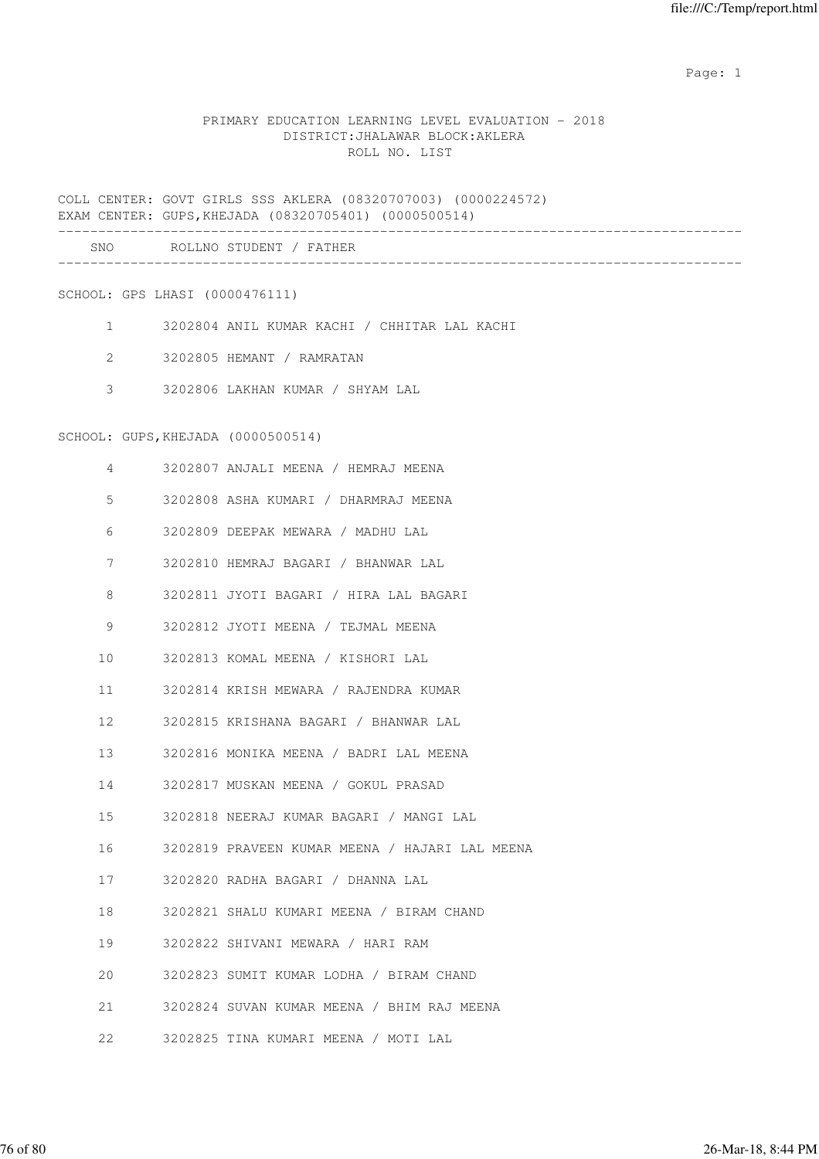expected to the control of the control of the control of the control of the control of the control of the control of the control of the control of the control of the control of the control of the control of the control of

### PRIMARY EDUCATION LEARNING LEVEL EVALUATION - 2018 DISTRICT:JHALAWAR BLOCK:AKLERA ROLL NO. LIST

COLL CENTER: GOVT GIRLS SSS AKLERA (08320707003) (0000224572) EXAM CENTER: GUPS,KHEJADA (08320705401) (0000500514)

|              |                                    | LAAM CLNILK; GUPS, ARLOADA (000207000401) (00000000014) |
|--------------|------------------------------------|---------------------------------------------------------|
|              |                                    | SNO ROLLNO STUDENT / FATHER                             |
|              | SCHOOL: GPS LHASI (0000476111)     |                                                         |
|              |                                    | 1 3202804 ANIL KUMAR KACHI / CHHITAR LAL KACHI          |
| $\mathbf{2}$ |                                    | 3202805 HEMANT / RAMRATAN                               |
| 3            |                                    | 3202806 LAKHAN KUMAR / SHYAM LAL                        |
|              |                                    |                                                         |
|              | SCHOOL: GUPS, KHEJADA (0000500514) |                                                         |
| 4            |                                    | 3202807 ANJALI MEENA / HEMRAJ MEENA                     |
| 5            |                                    | 3202808 ASHA KUMARI / DHARMRAJ MEENA                    |
| 6            |                                    | 3202809 DEEPAK MEWARA / MADHU LAL                       |
| 7            |                                    | 3202810 HEMRAJ BAGARI / BHANWAR LAL                     |
| 8            |                                    | 3202811 JYOTI BAGARI / HIRA LAL BAGARI                  |
| 9            |                                    | 3202812 JYOTI MEENA / TEJMAL MEENA                      |
| 10           |                                    | 3202813 KOMAL MEENA / KISHORI LAL                       |
| 11           |                                    | 3202814 KRISH MEWARA / RAJENDRA KUMAR                   |
| 12           |                                    | 3202815 KRISHANA BAGARI / BHANWAR LAL                   |
| 13           |                                    | 3202816 MONIKA MEENA / BADRI LAL MEENA                  |
| 14           |                                    | 3202817 MUSKAN MEENA / GOKUL PRASAD                     |
| 15           |                                    | 3202818 NEERAJ KUMAR BAGARI / MANGI LAL                 |
| 16           |                                    | 3202819 PRAVEEN KUMAR MEENA / HAJARI LAL MEENA          |
| 17           |                                    | 3202820 RADHA BAGARI / DHANNA LAL                       |
| 18           |                                    | 3202821 SHALU KUMARI MEENA / BIRAM CHAND                |
| 19           |                                    | 3202822 SHIVANI MEWARA / HARI RAM                       |
| 20           |                                    | 3202823 SUMIT KUMAR LODHA / BIRAM CHAND                 |
| 21           |                                    | 3202824 SUVAN KUMAR MEENA / BHIM RAJ MEENA              |
|              |                                    |                                                         |

22 3202825 TINA KUMARI MEENA / MOTI LAL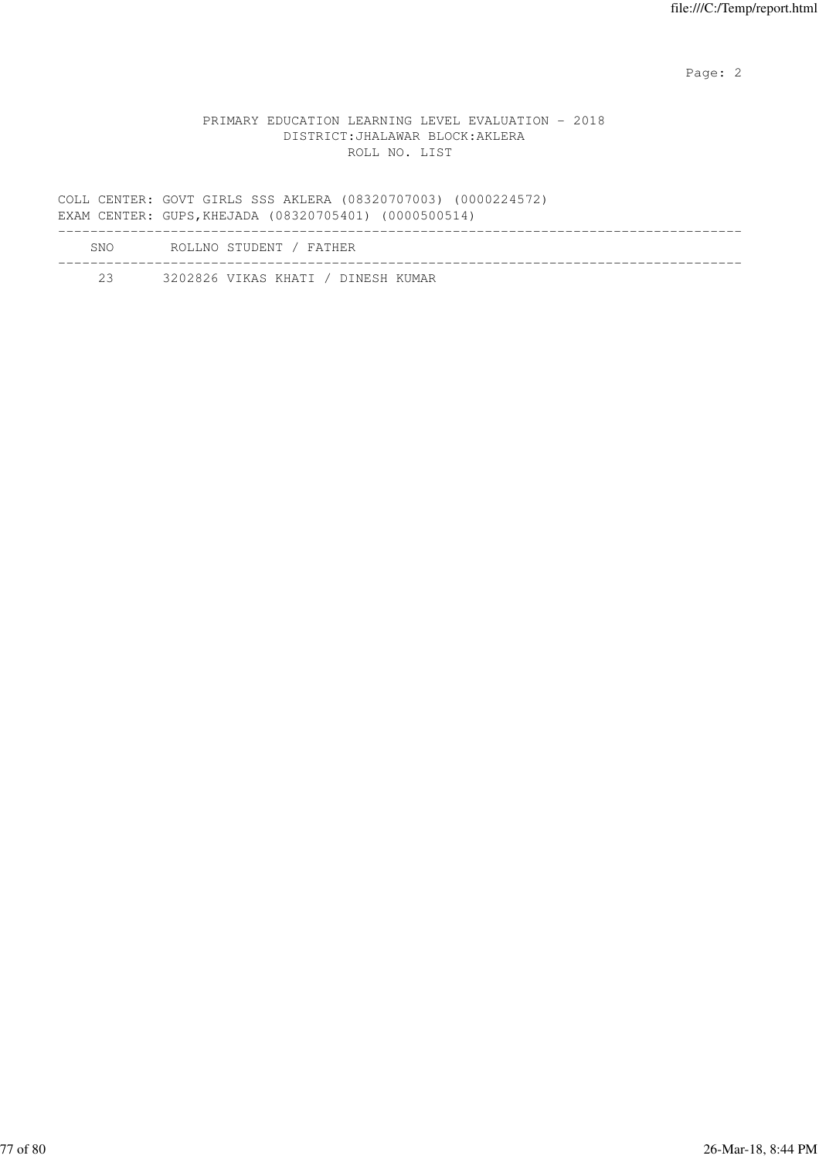Page: 2  $P$  and 2  $P$  and 2  $P$  and 2  $P$  and 2  $P$  and 2  $P$  and 2  $P$  and 2  $P$  and 2  $P$  and 2  $P$  and 2  $P$  and 2  $P$  and 2  $P$  and 2  $P$  and 2  $P$  and 2  $P$  and 2  $P$  and 2  $P$  and 2  $P$  and 2  $P$  and 2  $P$  and 2  $P$ 

### PRIMARY EDUCATION LEARNING LEVEL EVALUATION - 2018 DISTRICT:JHALAWAR BLOCK:AKLERA ROLL NO. LIST

COLL CENTER: GOVT GIRLS SSS AKLERA (08320707003) (0000224572) EXAM CENTER: GUPS,KHEJADA (08320705401) (0000500514) ------------------------------------------------------------------------------------- SNO ROLLNO STUDENT / FATHER -------------------------------------------------------------------------------------

23 3202826 VIKAS KHATI / DINESH KUMAR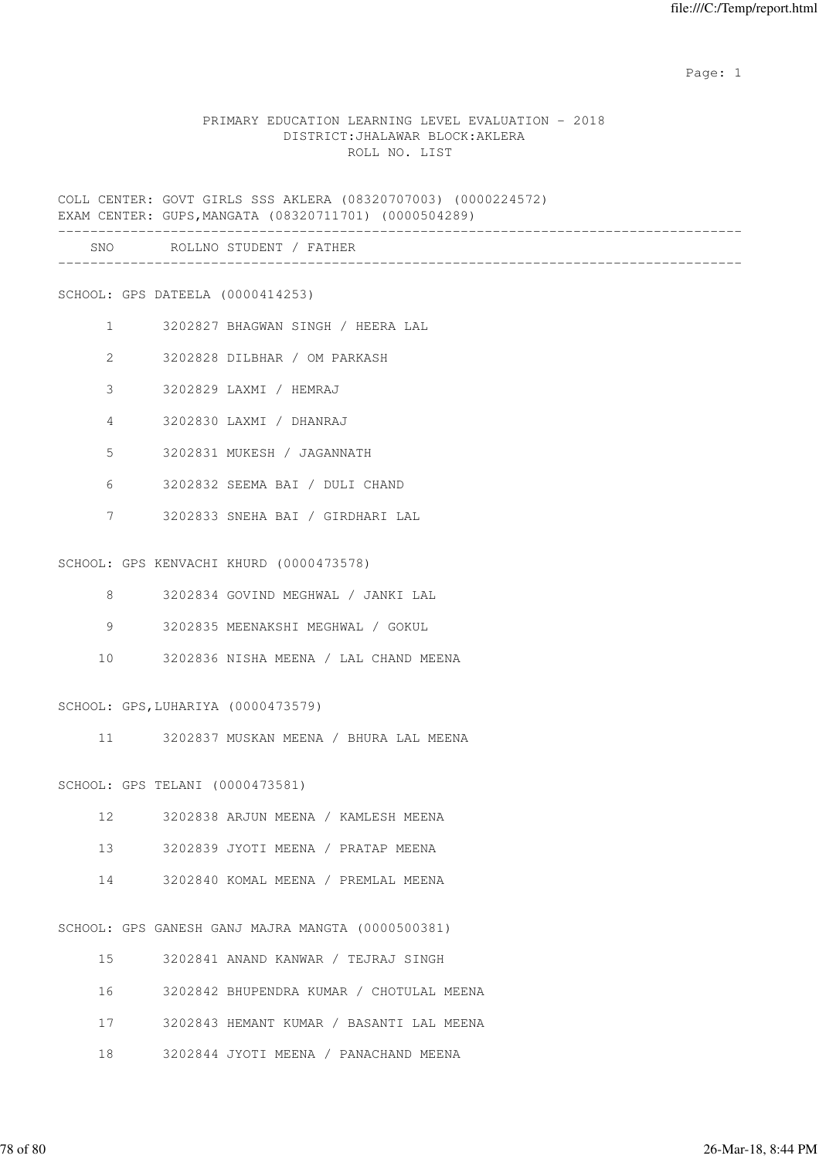expected to the control of the control of the control of the control of the control of the control of the control of the control of the control of the control of the control of the control of the control of the control of

#### PRIMARY EDUCATION LEARNING LEVEL EVALUATION - 2018 DISTRICT:JHALAWAR BLOCK:AKLERA ROLL NO. LIST

COLL CENTER: GOVT GIRLS SSS AKLERA (08320707003) (0000224572) EXAM CENTER: GUPS,MANGATA (08320711701) (0000504289)

|                | SNO                              | ROLLNO STUDENT / FATHER           |
|----------------|----------------------------------|-----------------------------------|
|                | SCHOOL: GPS DATEELA (0000414253) |                                   |
| $\mathbf{1}$   |                                  | 3202827 BHAGWAN SINGH / HEERA LAL |
| 2              |                                  | 3202828 DILBHAR / OM PARKASH      |
| 3              |                                  | 3202829 LAXMI / HEMRAJ            |
| $\overline{4}$ |                                  | 3202830 LAXMI / DHANRAJ           |
| 5              |                                  | 3202831 MUKESH / JAGANNATH        |

- 6 3202832 SEEMA BAI / DULI CHAND
- 7 3202833 SNEHA BAI / GIRDHARI LAL

SCHOOL: GPS KENVACHI KHURD (0000473578)

- 8 3202834 GOVIND MEGHWAL / JANKI LAL
- 9 3202835 MEENAKSHI MEGHWAL / GOKUL
- 10 3202836 NISHA MEENA / LAL CHAND MEENA

SCHOOL: GPS,LUHARIYA (0000473579)

11 3202837 MUSKAN MEENA / BHURA LAL MEENA

SCHOOL: GPS TELANI (0000473581)

- 12 3202838 ARJUN MEENA / KAMLESH MEENA
- 13 3202839 JYOTI MEENA / PRATAP MEENA
- 14 3202840 KOMAL MEENA / PREMLAL MEENA

SCHOOL: GPS GANESH GANJ MAJRA MANGTA (0000500381)

| 15   | 3202841 ANAND KANWAR / TEJRAJ SINGH         |
|------|---------------------------------------------|
| 16 — | 3202842 BHUPENDRA KUMAR / CHOTULAL MEENA    |
|      | 17 3202843 HEMANT KUMAR / BASANTI LAL MEENA |
| 18   | 3202844 JYOTI MEENA / PANACHAND MEENA       |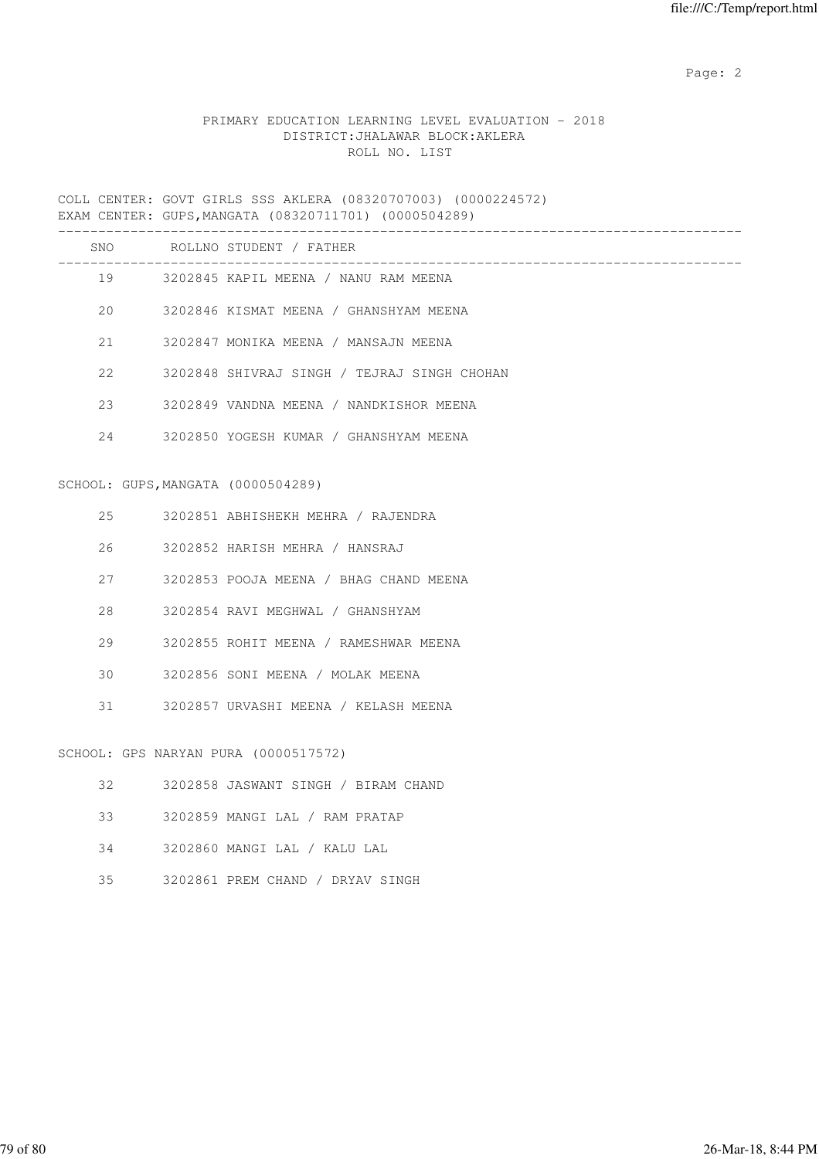Page: 2  $P$  and 2  $P$  and 2  $P$  and 2  $P$  and 2  $P$  and 2  $P$  and 2  $P$  and 2  $P$  and 2  $P$  and 2  $P$  and 2  $P$  and 2  $P$  and 2  $P$  and 2  $P$  and 2  $P$  and 2  $P$  and 2  $P$  and 2  $P$  and 2  $P$  and 2  $P$  and 2  $P$  and 2  $P$ 

# PRIMARY EDUCATION LEARNING LEVEL EVALUATION - 2018 DISTRICT:JHALAWAR BLOCK:AKLERA ROLL NO. LIST

COLL CENTER: GOVT GIRLS SSS AKLERA (08320707003) (0000224572) EXAM CENTER: GUPS,MANGATA (08320711701) (0000504289)

|    |                                    | SNO ROLLNO STUDENT / FATHER                 |
|----|------------------------------------|---------------------------------------------|
|    |                                    | 19 3202845 KAPIL MEENA / NANU RAM MEENA     |
| 20 |                                    | 3202846 KISMAT MEENA / GHANSHYAM MEENA      |
| 21 |                                    | 3202847 MONIKA MEENA / MANSAJN MEENA        |
| 22 |                                    | 3202848 SHIVRAJ SINGH / TEJRAJ SINGH CHOHAN |
| 23 |                                    | 3202849 VANDNA MEENA / NANDKISHOR MEENA     |
| 24 |                                    | 3202850 YOGESH KUMAR / GHANSHYAM MEENA      |
|    |                                    |                                             |
|    | SCHOOL: GUPS, MANGATA (0000504289) |                                             |
| 25 |                                    | 3202851 ABHISHEKH MEHRA / RAJENDRA          |
| 26 |                                    | 3202852 HARISH MEHRA / HANSRAJ              |
| 27 |                                    | 3202853 POOJA MEENA / BHAG CHAND MEENA      |
| 28 |                                    | 3202854 RAVI MEGHWAL / GHANSHYAM            |
| 29 |                                    | 3202855 ROHIT MEENA / RAMESHWAR MEENA       |
| 30 |                                    | 3202856 SONI MEENA / MOLAK MEENA            |
| 31 |                                    | 3202857 URVASHI MEENA / KELASH MEENA        |
|    |                                    | SCHOOL: GPS NARYAN PURA (0000517572)        |
| 32 |                                    | 3202858 JASWANT SINGH / BIRAM CHAND         |
| 33 |                                    | 3202859 MANGI LAL / RAM PRATAP              |

- 34 3202860 MANGI LAL / KALU LAL
- 35 3202861 PREM CHAND / DRYAV SINGH